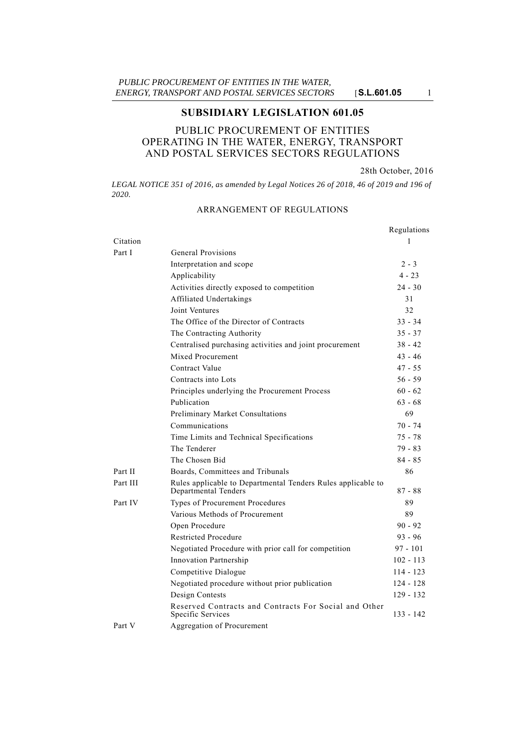# **SUBSIDIARY LEGISLATION 601.05**

# PUBLIC PROCUREMENT OF ENTITIES OPERATING IN THE WATER, ENERGY, TRANSPORT AND POSTAL SERVICES SECTORS REGULATIONS

28th October, 2016

LEGAL NOTICE 351 of 2016, as amended by Legal Notices 26 of 2018, 46 of 2019 and 196 of *2020.*

# Regulations Citation 1 Part I General Provisions Interpretation and scope 2 - 3 Applicability 4 - 23 Activities directly exposed to competition 24 - 30 Affiliated Undertakings 31 Joint Ventures 32 The Office of the Director of Contracts 33 - 34 The Contracting Authority 35 - 37 Centralised purchasing activities and joint procurement 38 - 42 Mixed Procurement 43 - 46 Contract Value 47 - 55 Contracts into Lots 56 - 59 Principles underlying the Procurement Process 60 - 62 Publication 63 - 68 Preliminary Market Consultations 69 Communications 70 - 74 Time Limits and Technical Specifications 75 - 78 The Tenderer 79 - 83 The Chosen Bid 84 - 85 Part II Boards, Committees and Tribunals 86 Part III Rules applicable to Departmental Tenders Rules applicable to Departmental Tenders 87 - 88 Part IV Types of Procurement Procedures 89 Various Methods of Procurement 89 Open Procedure 90 - 92 Restricted Procedure 93 - 96 Negotiated Procedure with prior call for competition 97 - 101 Innovation Partnership 102 - 113 Competitive Dialogue 114 - 123 Negotiated procedure without prior publication 124 - 128 Design Contests 129 - 132 Reserved Contracts and Contracts For Social and Other Specific Services 133 - 142 Part V Aggregation of Procurement

# ARRANGEMENT OF REGULATIONS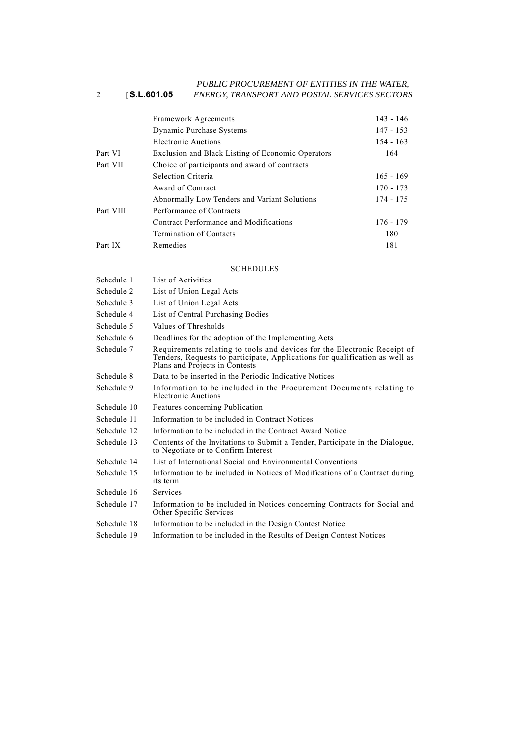#### 2 [**S.L.601.05** *PUBLIC PROCUREMENT OF ENTITIES IN THE WATER, ENERGY, TRANSPORT AND POSTAL SERVICES SECTORS*

|           | <b>Framework Agreements</b>                       | $143 - 146$ |  |
|-----------|---------------------------------------------------|-------------|--|
|           | Dynamic Purchase Systems                          | $147 - 153$ |  |
|           | Electronic Auctions                               | $154 - 163$ |  |
| Part VI   | Exclusion and Black Listing of Economic Operators | 164         |  |
| Part VII  | Choice of participants and award of contracts     |             |  |
|           | Selection Criteria                                | $165 - 169$ |  |
|           | Award of Contract                                 | $170 - 173$ |  |
|           | Abnormally Low Tenders and Variant Solutions      | 174 - 175   |  |
| Part VIII | Performance of Contracts                          |             |  |
|           | Contract Performance and Modifications            | $176 - 179$ |  |
|           | Termination of Contacts                           | 180         |  |
| Part IX   | Remedies                                          | 181         |  |

## SCHEDULES

| Schedule 1  | List of Activities                                                                                                                                                                        |
|-------------|-------------------------------------------------------------------------------------------------------------------------------------------------------------------------------------------|
| Schedule 2  | List of Union Legal Acts                                                                                                                                                                  |
| Schedule 3  | List of Union Legal Acts                                                                                                                                                                  |
| Schedule 4  | List of Central Purchasing Bodies                                                                                                                                                         |
| Schedule 5  | Values of Thresholds                                                                                                                                                                      |
| Schedule 6  | Deadlines for the adoption of the Implementing Acts                                                                                                                                       |
| Schedule 7  | Requirements relating to tools and devices for the Electronic Receipt of<br>Tenders, Requests to participate, Applications for qualification as well as<br>Plans and Projects in Contests |
| Schedule 8  | Data to be inserted in the Periodic Indicative Notices                                                                                                                                    |
| Schedule 9  | Information to be included in the Procurement Documents relating to<br>Electronic Auctions                                                                                                |
| Schedule 10 | Features concerning Publication                                                                                                                                                           |
| Schedule 11 | Information to be included in Contract Notices                                                                                                                                            |
| Schedule 12 | Information to be included in the Contract Award Notice                                                                                                                                   |
| Schedule 13 | Contents of the Invitations to Submit a Tender, Participate in the Dialogue,<br>to Negotiate or to Confirm Interest                                                                       |
| Schedule 14 | List of International Social and Environmental Conventions                                                                                                                                |
| Schedule 15 | Information to be included in Notices of Modifications of a Contract during<br>its term                                                                                                   |
| Schedule 16 | Services                                                                                                                                                                                  |
| Schedule 17 | Information to be included in Notices concerning Contracts for Social and<br>Other Specific Services                                                                                      |
| Schedule 18 | Information to be included in the Design Contest Notice                                                                                                                                   |
| Schedule 19 | Information to be included in the Results of Design Contest Notices                                                                                                                       |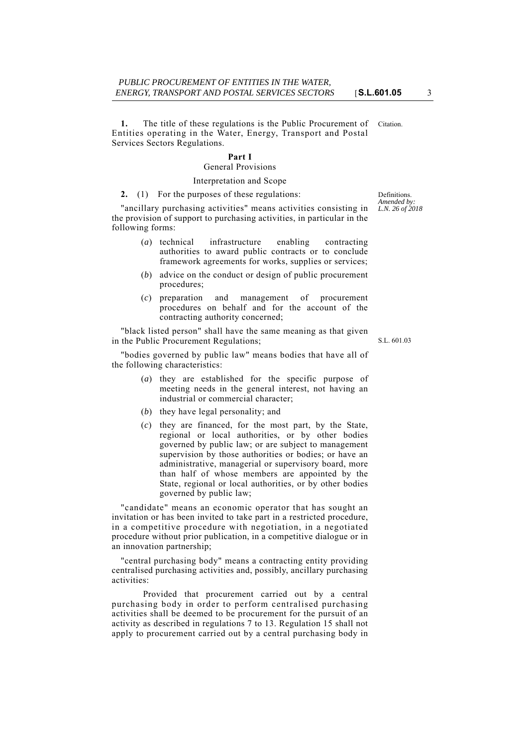**1.** The title of these regulations is the Public Procurement of Citation. Entities operating in the Water, Energy, Transport and Postal Services Sectors Regulations.

# **Part I**

# General Provisions

## Interpretation and Scope

#### **2.** (1) For the purposes of these regulations:

"ancillary purchasing activities" means activities consisting in the provision of support to purchasing activities, in particular in the following forms:

- (*a*) technical infrastructure enabling contracting authorities to award public contracts or to conclude framework agreements for works, supplies or services;
- (*b*) advice on the conduct or design of public procurement procedures;
- (*c*) preparation and management of procurement procedures on behalf and for the account of the contracting authority concerned;

"black listed person" shall have the same meaning as that given in the Public Procurement Regulations;

"bodies governed by public law" means bodies that have all of the following characteristics:

- (*a*) they are established for the specific purpose of meeting needs in the general interest, not having an industrial or commercial character;
- (*b*) they have legal personality; and
- (*c*) they are financed, for the most part, by the State, regional or local authorities, or by other bodies governed by public law; or are subject to management supervision by those authorities or bodies; or have an administrative, managerial or supervisory board, more than half of whose members are appointed by the State, regional or local authorities, or by other bodies governed by public law;

"candidate" means an economic operator that has sought an invitation or has been invited to take part in a restricted procedure, in a competitive procedure with negotiation, in a negotiated procedure without prior publication, in a competitive dialogue or in an innovation partnership;

"central purchasing body" means a contracting entity providing centralised purchasing activities and, possibly, ancillary purchasing activities:

Provided that procurement carried out by a central purchasing body in order to perform centralised purchasing activities shall be deemed to be procurement for the pursuit of an activity as described in regulations 7 to 13. Regulation 15 shall not apply to procurement carried out by a central purchasing body in

Definitions. *Amended by: L.N. 26 of 2018*

S.L. 601.03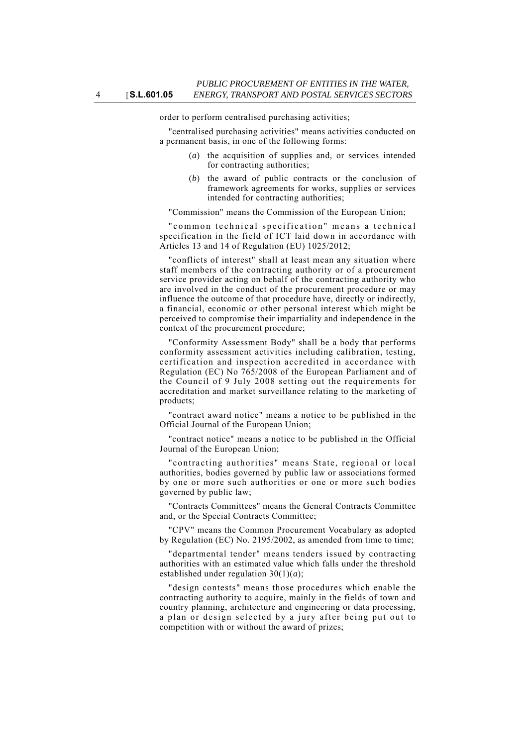order to perform centralised purchasing activities;

"centralised purchasing activities" means activities conducted on a permanent basis, in one of the following forms:

- (*a*) the acquisition of supplies and, or services intended for contracting authorities;
- (*b*) the award of public contracts or the conclusion of framework agreements for works, supplies or services intended for contracting authorities;

"Commission" means the Commission of the European Union;

"common technical specification" means a technical specification in the field of ICT laid down in accordance with Articles 13 and 14 of Regulation (EU) 1025/2012;

"conflicts of interest" shall at least mean any situation where staff members of the contracting authority or of a procurement service provider acting on behalf of the contracting authority who are involved in the conduct of the procurement procedure or may influence the outcome of that procedure have, directly or indirectly, a financial, economic or other personal interest which might be perceived to compromise their impartiality and independence in the context of the procurement procedure;

"Conformity Assessment Body" shall be a body that performs conformity assessment activities including calibration, testing, certification and inspection accredited in accordance with Regulation (EC) No 765/2008 of the European Parliament and of the Council of 9 July 2008 setting out the requirements for accreditation and market surveillance relating to the marketing of products;

"contract award notice" means a notice to be published in the Official Journal of the European Union;

"contract notice" means a notice to be published in the Official Journal of the European Union;

"contracting authorities" means State, regional or local authorities, bodies governed by public law or associations formed by one or more such authorities or one or more such bodies governed by public law;

"Contracts Committees" means the General Contracts Committee and, or the Special Contracts Committee;

"CPV" means the Common Procurement Vocabulary as adopted by Regulation (EC) No. 2195/2002, as amended from time to time;

"departmental tender" means tenders issued by contracting authorities with an estimated value which falls under the threshold established under regulation 30(1)(*a*);

"design contests" means those procedures which enable the contracting authority to acquire, mainly in the fields of town and country planning, architecture and engineering or data processing, a plan or design selected by a jury after being put out to competition with or without the award of prizes;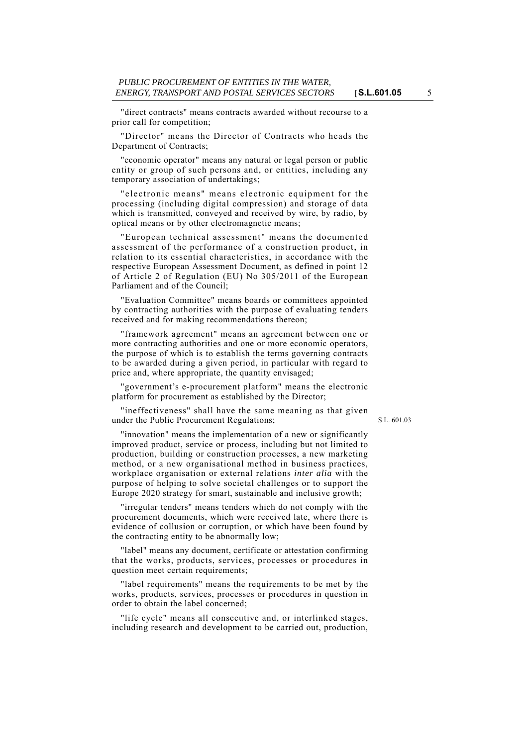"direct contracts" means contracts awarded without recourse to a prior call for competition;

"Director" means the Director of Contracts who heads the Department of Contracts;

"economic operator" means any natural or legal person or public entity or group of such persons and, or entities, including any temporary association of undertakings;

"electronic means" means electronic equipment for the processing (including digital compression) and storage of data which is transmitted, conveyed and received by wire, by radio, by optical means or by other electromagnetic means;

"European technical assessment" means the documented assessment of the performance of a construction product, in relation to its essential characteristics, in accordance with the respective European Assessment Document, as defined in point 12 of Article 2 of Regulation (EU) No 305/2011 of the European Parliament and of the Council;

"Evaluation Committee" means boards or committees appointed by contracting authorities with the purpose of evaluating tenders received and for making recommendations thereon;

"framework agreement" means an agreement between one or more contracting authorities and one or more economic operators, the purpose of which is to establish the terms governing contracts to be awarded during a given period, in particular with regard to price and, where appropriate, the quantity envisaged;

"government's e-procurement platform" means the electronic platform for procurement as established by the Director;

"ineffectiveness" shall have the same meaning as that given under the Public Procurement Regulations;

S.L. 601.03

"innovation" means the implementation of a new or significantly improved product, service or process, including but not limited to production, building or construction processes, a new marketing method, or a new organisational method in business practices, workplace organisation or external relations *inter alia* with the purpose of helping to solve societal challenges or to support the Europe 2020 strategy for smart, sustainable and inclusive growth;

"irregular tenders" means tenders which do not comply with the procurement documents, which were received late, where there is evidence of collusion or corruption, or which have been found by the contracting entity to be abnormally low;

"label" means any document, certificate or attestation confirming that the works, products, services, processes or procedures in question meet certain requirements;

"label requirements" means the requirements to be met by the works, products, services, processes or procedures in question in order to obtain the label concerned;

"life cycle" means all consecutive and, or interlinked stages, including research and development to be carried out, production,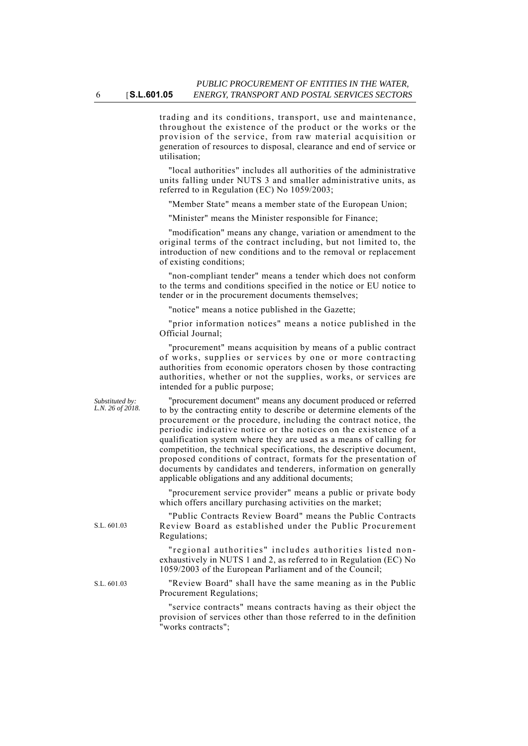trading and its conditions, transport, use and maintenance, throughout the existence of the product or the works or the provision of the service, from raw material acquisition or generation of resources to disposal, clearance and end of service or utilisation;

"local authorities" includes all authorities of the administrative units falling under NUTS 3 and smaller administrative units, as referred to in Regulation (EC) No 1059/2003;

"Member State" means a member state of the European Union;

"Minister" means the Minister responsible for Finance;

"modification" means any change, variation or amendment to the original terms of the contract including, but not limited to, the introduction of new conditions and to the removal or replacement of existing conditions;

"non-compliant tender" means a tender which does not conform to the terms and conditions specified in the notice or EU notice to tender or in the procurement documents themselves;

"notice" means a notice published in the Gazette;

"prior information notices" means a notice published in the Official Journal;

"procurement" means acquisition by means of a public contract of works, supplies or services by one or more contracting authorities from economic operators chosen by those contracting authorities, whether or not the supplies, works, or services are intended for a public purpose;

"procurement document" means any document produced or referred to by the contracting entity to describe or determine elements of the procurement or the procedure, including the contract notice, the periodic indicative notice or the notices on the existence of a qualification system where they are used as a means of calling for competition, the technical specifications, the descriptive document, proposed conditions of contract, formats for the presentation of documents by candidates and tenderers, information on generally applicable obligations and any additional documents;

"procurement service provider" means a public or private body which offers ancillary purchasing activities on the market;

"Public Contracts Review Board" means the Public Contracts Review Board as established under the Public Procurement Regulations;

"regional authorities" includes authorities listed nonexhaustively in NUTS 1 and 2, as referred to in Regulation (EC) No 1059/2003 of the European Parliament and of the Council;

S.L. 601.03 "Review Board" shall have the same meaning as in the Public Procurement Regulations;

> "service contracts" means contracts having as their object the provision of services other than those referred to in the definition "works contracts";

*Substituted by: L.N. 26 of 2018.*

S.L. 601.03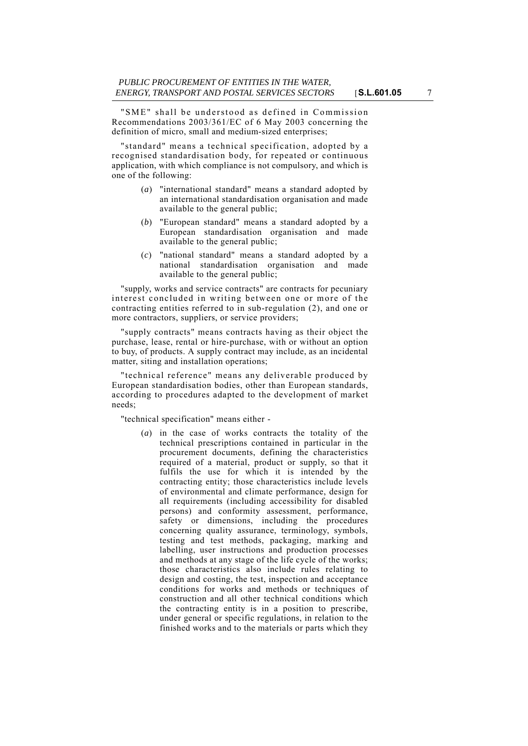"SME" shall be understood as defined in Commission Recommendations 2003/361/EC of 6 May 2003 concerning the definition of micro, small and medium-sized enterprises;

"standard" means a technical specification, adopted by a recognised standardisation body, for repeated or continuous application, with which compliance is not compulsory, and which is one of the following:

- (*a*) "international standard" means a standard adopted by an international standardisation organisation and made available to the general public;
- (*b*) "European standard" means a standard adopted by a European standardisation organisation and made available to the general public;
- (*c*) "national standard" means a standard adopted by a national standardisation organisation and made available to the general public;

"supply, works and service contracts" are contracts for pecuniary interest concluded in writing between one or more of the contracting entities referred to in sub-regulation (2), and one or more contractors, suppliers, or service providers;

"supply contracts" means contracts having as their object the purchase, lease, rental or hire-purchase, with or without an option to buy, of products. A supply contract may include, as an incidental matter, siting and installation operations;

"technical reference" means any deliverable produced by European standardisation bodies, other than European standards, according to procedures adapted to the development of market needs;

"technical specification" means either -

(*a*) in the case of works contracts the totality of the technical prescriptions contained in particular in the procurement documents, defining the characteristics required of a material, product or supply, so that it fulfils the use for which it is intended by the contracting entity; those characteristics include levels of environmental and climate performance, design for all requirements (including accessibility for disabled persons) and conformity assessment, performance, safety or dimensions, including the procedures concerning quality assurance, terminology, symbols, testing and test methods, packaging, marking and labelling, user instructions and production processes and methods at any stage of the life cycle of the works; those characteristics also include rules relating to design and costing, the test, inspection and acceptance conditions for works and methods or techniques of construction and all other technical conditions which the contracting entity is in a position to prescribe, under general or specific regulations, in relation to the finished works and to the materials or parts which they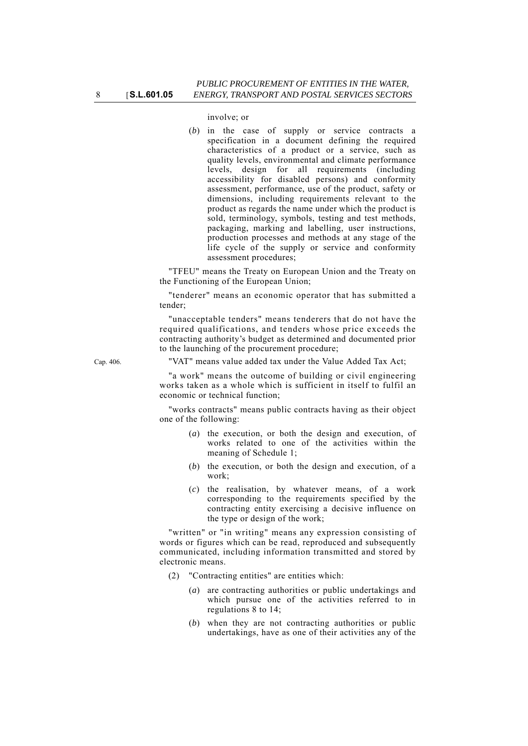involve; or

(*b*) in the case of supply or service contracts a specification in a document defining the required characteristics of a product or a service, such as quality levels, environmental and climate performance levels, design for all requirements (including accessibility for disabled persons) and conformity assessment, performance, use of the product, safety or dimensions, including requirements relevant to the product as regards the name under which the product is sold, terminology, symbols, testing and test methods, packaging, marking and labelling, user instructions, production processes and methods at any stage of the life cycle of the supply or service and conformity assessment procedures;

"TFEU" means the Treaty on European Union and the Treaty on the Functioning of the European Union;

"tenderer" means an economic operator that has submitted a tender;

"unacceptable tenders" means tenderers that do not have the required qualifications, and tenders whose price exceeds the contracting authority's budget as determined and documented prior to the launching of the procurement procedure;

Cap. 406. "VAT" means value added tax under the Value Added Tax Act;

"a work" means the outcome of building or civil engineering works taken as a whole which is sufficient in itself to fulfil an economic or technical function;

"works contracts" means public contracts having as their object one of the following:

- (*a*) the execution, or both the design and execution, of works related to one of the activities within the meaning of Schedule 1;
- (*b*) the execution, or both the design and execution, of a work;
- (*c*) the realisation, by whatever means, of a work corresponding to the requirements specified by the contracting entity exercising a decisive influence on the type or design of the work;

"written" or "in writing" means any expression consisting of words or figures which can be read, reproduced and subsequently communicated, including information transmitted and stored by electronic means.

- (2) "Contracting entities" are entities which:
	- (*a*) are contracting authorities or public undertakings and which pursue one of the activities referred to in regulations 8 to 14;
	- (*b*) when they are not contracting authorities or public undertakings, have as one of their activities any of the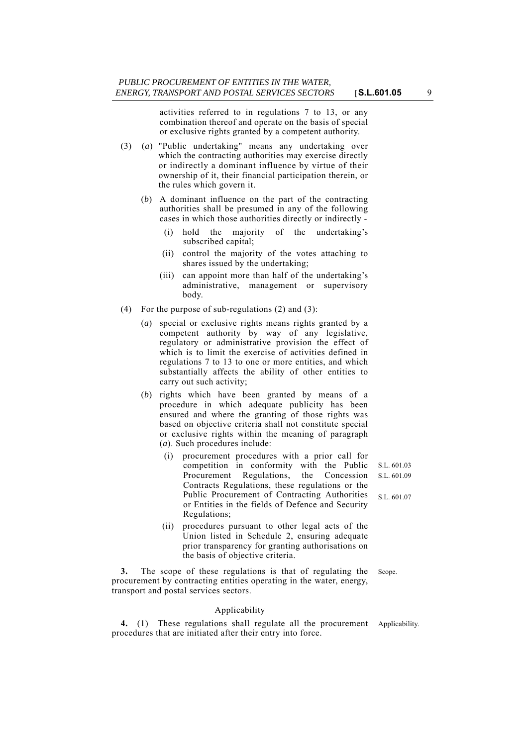activities referred to in regulations 7 to 13, or any combination thereof and operate on the basis of special or exclusive rights granted by a competent authority.

- (3) (*a*) "Public undertaking" means any undertaking over which the contracting authorities may exercise directly or indirectly a dominant influence by virtue of their ownership of it, their financial participation therein, or the rules which govern it.
	- (*b*) A dominant influence on the part of the contracting authorities shall be presumed in any of the following cases in which those authorities directly or indirectly -
		- (i) hold the majority of the undertaking's subscribed capital;
		- (ii) control the majority of the votes attaching to shares issued by the undertaking;
		- (iii) can appoint more than half of the undertaking's administrative, management or supervisory body.
- (4) For the purpose of sub-regulations (2) and (3):
	- (*a*) special or exclusive rights means rights granted by a competent authority by way of any legislative, regulatory or administrative provision the effect of which is to limit the exercise of activities defined in regulations 7 to 13 to one or more entities, and which substantially affects the ability of other entities to carry out such activity;
	- (*b*) rights which have been granted by means of a procedure in which adequate publicity has been ensured and where the granting of those rights was based on objective criteria shall not constitute special or exclusive rights within the meaning of paragraph (*a*). Such procedures include:
		- (i) procurement procedures with a prior call for competition in conformity with the Public Procurement Regulations, the Concession Contracts Regulations, these regulations or the Public Procurement of Contracting Authorities or Entities in the fields of Defence and Security Regulations;
		- (ii) procedures pursuant to other legal acts of the Union listed in Schedule 2, ensuring adequate prior transparency for granting authorisations on the basis of objective criteria.

**3.** The scope of these regulations is that of regulating the Scope. procurement by contracting entities operating in the water, energy, transport and postal services sectors.

#### Applicability

**4.** (1) These regulations shall regulate all the procurement Applicability. procedures that are initiated after their entry into force.

S.L. 601.03 S.L. 601.09

S.L. 601.07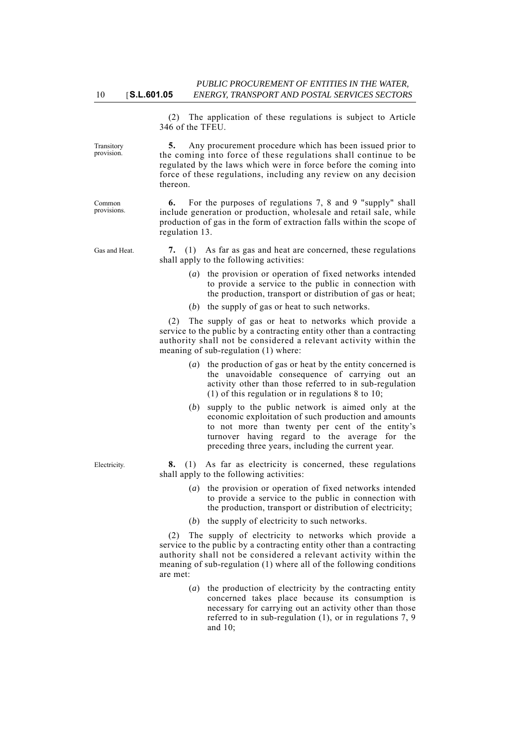(2) The application of these regulations is subject to Article 346 of the TFEU.

**5.** Any procurement procedure which has been issued prior to the coming into force of these regulations shall continue to be regulated by the laws which were in force before the coming into force of these regulations, including any review on any decision thereon.

**6.** For the purposes of regulations 7, 8 and 9 "supply" shall include generation or production, wholesale and retail sale, while production of gas in the form of extraction falls within the scope of regulation 13.

Gas and Heat. **7.** (1) As far as gas and heat are concerned, these regulations shall apply to the following activities:

- (*a*) the provision or operation of fixed networks intended to provide a service to the public in connection with the production, transport or distribution of gas or heat;
- (*b*) the supply of gas or heat to such networks.

(2) The supply of gas or heat to networks which provide a service to the public by a contracting entity other than a contracting authority shall not be considered a relevant activity within the meaning of sub-regulation (1) where:

- (*a*) the production of gas or heat by the entity concerned is the unavoidable consequence of carrying out an activity other than those referred to in sub-regulation (1) of this regulation or in regulations 8 to 10;
- (*b*) supply to the public network is aimed only at the economic exploitation of such production and amounts to not more than twenty per cent of the entity's turnover having regard to the average for the preceding three years, including the current year.

Electricity. **8.** (1) As far as electricity is concerned, these regulations shall apply to the following activities:

- (*a*) the provision or operation of fixed networks intended to provide a service to the public in connection with the production, transport or distribution of electricity;
- (*b*) the supply of electricity to such networks.

(2) The supply of electricity to networks which provide a service to the public by a contracting entity other than a contracting authority shall not be considered a relevant activity within the meaning of sub-regulation (1) where all of the following conditions are met:

> (*a*) the production of electricity by the contracting entity concerned takes place because its consumption is necessary for carrying out an activity other than those referred to in sub-regulation (1), or in regulations 7, 9 and 10;

10 [**S.L.601.05**

Transitory provision.

Common provisions.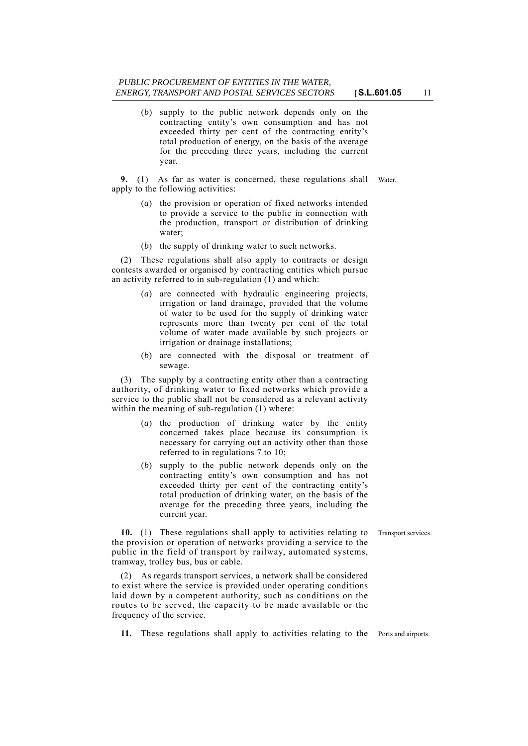(*b*) supply to the public network depends only on the contracting entity's own consumption and has not exceeded thirty per cent of the contracting entity's total production of energy, on the basis of the average for the preceding three years, including the current year.

**9.** (1) As far as water is concerned, these regulations shall Water. apply to the following activities:

- (*a*) the provision or operation of fixed networks intended to provide a service to the public in connection with the production, transport or distribution of drinking water;
- (*b*) the supply of drinking water to such networks.

(2) These regulations shall also apply to contracts or design contests awarded or organised by contracting entities which pursue an activity referred to in sub-regulation (1) and which:

- (*a*) are connected with hydraulic engineering projects, irrigation or land drainage, provided that the volume of water to be used for the supply of drinking water represents more than twenty per cent of the total volume of water made available by such projects or irrigation or drainage installations;
- (*b*) are connected with the disposal or treatment of sewage.

(3) The supply by a contracting entity other than a contracting authority, of drinking water to fixed networks which provide a service to the public shall not be considered as a relevant activity within the meaning of sub-regulation (1) where:

- (*a*) the production of drinking water by the entity concerned takes place because its consumption is necessary for carrying out an activity other than those referred to in regulations 7 to 10;
- (*b*) supply to the public network depends only on the contracting entity's own consumption and has not exceeded thirty per cent of the contracting entity's total production of drinking water, on the basis of the average for the preceding three years, including the current year.

**10.** (1) These regulations shall apply to activities relating to Transport services. the provision or operation of networks providing a service to the public in the field of transport by railway, automated systems, tramway, trolley bus, bus or cable.

(2) As regards transport services, a network shall be considered to exist where the service is provided under operating conditions laid down by a competent authority, such as conditions on the routes to be served, the capacity to be made available or the frequency of the service.

**11.** These regulations shall apply to activities relating to the Ports and airports.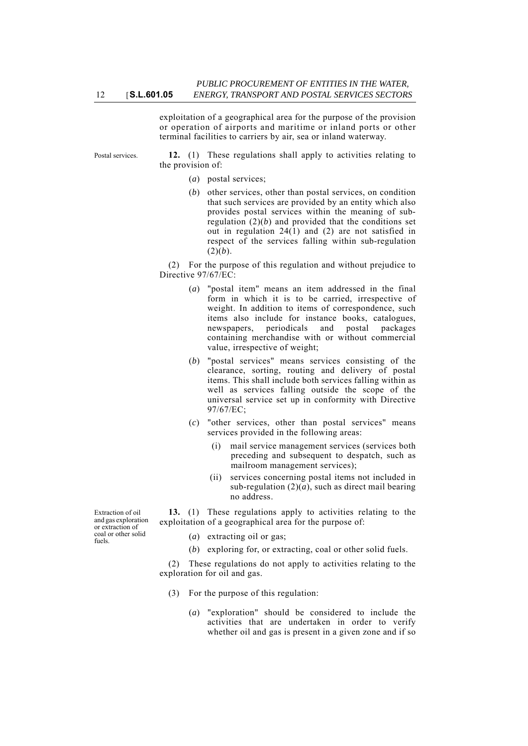exploitation of a geographical area for the purpose of the provision or operation of airports and maritime or inland ports or other terminal facilities to carriers by air, sea or inland waterway.

Postal services. **12.** (1) These regulations shall apply to activities relating to the provision of:

- (*a*) postal services;
- (*b*) other services, other than postal services, on condition that such services are provided by an entity which also provides postal services within the meaning of subregulation  $(2)(b)$  and provided that the conditions set out in regulation 24(1) and (2) are not satisfied in respect of the services falling within sub-regulation  $(2)(b)$ .

(2) For the purpose of this regulation and without prejudice to Directive 97/67/EC:

- (*a*) "postal item" means an item addressed in the final form in which it is to be carried, irrespective of weight. In addition to items of correspondence, such items also include for instance books, catalogues, newspapers, periodicals and postal packages containing merchandise with or without commercial value, irrespective of weight;
- (*b*) "postal services" means services consisting of the clearance, sorting, routing and delivery of postal items. This shall include both services falling within as well as services falling outside the scope of the universal service set up in conformity with Directive 97/67/EC;
- (*c*) "other services, other than postal services" means services provided in the following areas:
	- (i) mail service management services (services both preceding and subsequent to despatch, such as mailroom management services);
	- (ii) services concerning postal items not included in sub-regulation  $(2)(a)$ , such as direct mail bearing no address.

**13.** (1) These regulations apply to activities relating to the exploitation of a geographical area for the purpose of:

- (*a*) extracting oil or gas;
- (*b*) exploring for, or extracting, coal or other solid fuels.

(2) These regulations do not apply to activities relating to the exploration for oil and gas.

- (3) For the purpose of this regulation:
	- (*a*) "exploration" should be considered to include the activities that are undertaken in order to verify whether oil and gas is present in a given zone and if so

Extraction of oil and gas exploration or extraction of coal or other solid fuels.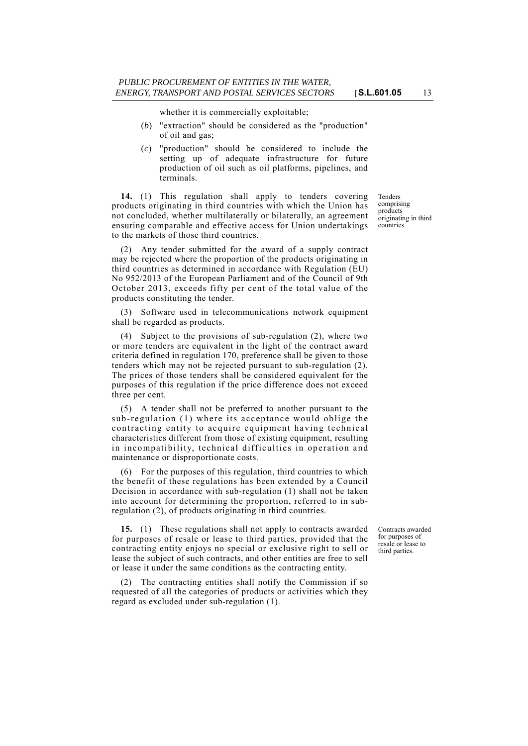whether it is commercially exploitable;

- (*b*) "extraction" should be considered as the "production" of oil and gas;
- (*c*) "production" should be considered to include the setting up of adequate infrastructure for future production of oil such as oil platforms, pipelines, and terminals.

**14.** (1) This regulation shall apply to tenders covering products originating in third countries with which the Union has not concluded, whether multilaterally or bilaterally, an agreement ensuring comparable and effective access for Union undertakings to the markets of those third countries.

(2) Any tender submitted for the award of a supply contract may be rejected where the proportion of the products originating in third countries as determined in accordance with Regulation (EU) No 952/2013 of the European Parliament and of the Council of 9th October 2013, exceeds fifty per cent of the total value of the products constituting the tender.

(3) Software used in telecommunications network equipment shall be regarded as products.

(4) Subject to the provisions of sub-regulation (2), where two or more tenders are equivalent in the light of the contract award criteria defined in regulation 170, preference shall be given to those tenders which may not be rejected pursuant to sub-regulation (2). The prices of those tenders shall be considered equivalent for the purposes of this regulation if the price difference does not exceed three per cent.

(5) A tender shall not be preferred to another pursuant to the sub-regulation (1) where its acceptance would oblige the contracting entity to acquire equipment having technical characteristics different from those of existing equipment, resulting in incompatibility, technical difficulties in operation and maintenance or disproportionate costs.

(6) For the purposes of this regulation, third countries to which the benefit of these regulations has been extended by a Council Decision in accordance with sub-regulation (1) shall not be taken into account for determining the proportion, referred to in subregulation (2), of products originating in third countries.

**15.** (1) These regulations shall not apply to contracts awarded for purposes of resale or lease to third parties, provided that the contracting entity enjoys no special or exclusive right to sell or lease the subject of such contracts, and other entities are free to sell or lease it under the same conditions as the contracting entity.

(2) The contracting entities shall notify the Commission if so requested of all the categories of products or activities which they regard as excluded under sub-regulation (1).

Tenders comprising products originating in third countries.

Contracts awarded for purposes of resale or lease to third parties.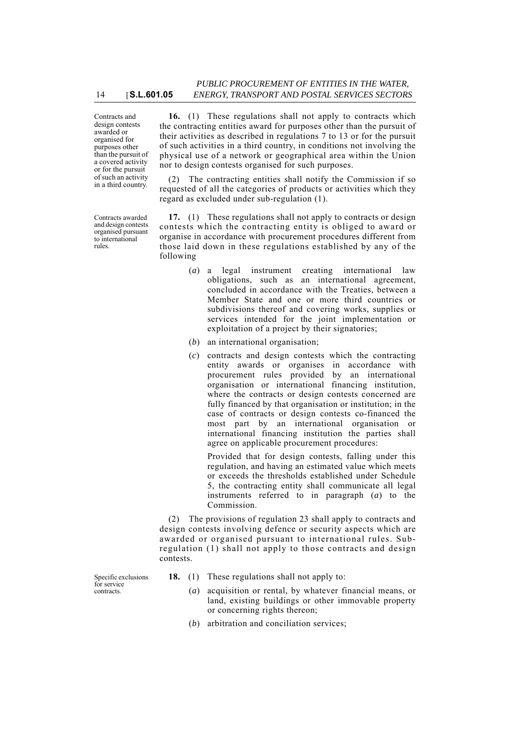Contracts and design contests awarded or organised for purposes other than the pursuit of a covered activity or for the pursuit of such an activity in a third country.

Contracts awarded and design contests organised pursuant to international rules.

**16.** (1) These regulations shall not apply to contracts which the contracting entities award for purposes other than the pursuit of their activities as described in regulations 7 to 13 or for the pursuit of such activities in a third country, in conditions not involving the physical use of a network or geographical area within the Union nor to design contests organised for such purposes.

(2) The contracting entities shall notify the Commission if so requested of all the categories of products or activities which they regard as excluded under sub-regulation (1).

**17.** (1) These regulations shall not apply to contracts or design contests which the contracting entity is obliged to award or organise in accordance with procurement procedures different from those laid down in these regulations established by any of the following

- (*a*) a legal instrument creating international law obligations, such as an international agreement, concluded in accordance with the Treaties, between a Member State and one or more third countries or subdivisions thereof and covering works, supplies or services intended for the joint implementation or exploitation of a project by their signatories;
- (*b*) an international organisation;
- (*c*) contracts and design contests which the contracting entity awards or organises in accordance with procurement rules provided by an international organisation or international financing institution, where the contracts or design contests concerned are fully financed by that organisation or institution; in the case of contracts or design contests co-financed the most part by an international organisation or international financing institution the parties shall agree on applicable procurement procedures:

Provided that for design contests, falling under this regulation, and having an estimated value which meets or exceeds the thresholds established under Schedule 5, the contracting entity shall communicate all legal instruments referred to in paragraph (*a*) to the Commission.

(2) The provisions of regulation 23 shall apply to contracts and design contests involving defence or security aspects which are awarded or organised pursuant to international rules. Subregulation (1) shall not apply to those contracts and design contests.

- Specific exclusions for service contracts.
- **18.** (1) These regulations shall not apply to:
	- (*a*) acquisition or rental, by whatever financial means, or land, existing buildings or other immovable property or concerning rights thereon;
	- (*b*) arbitration and conciliation services;

14 [**S.L.601.05**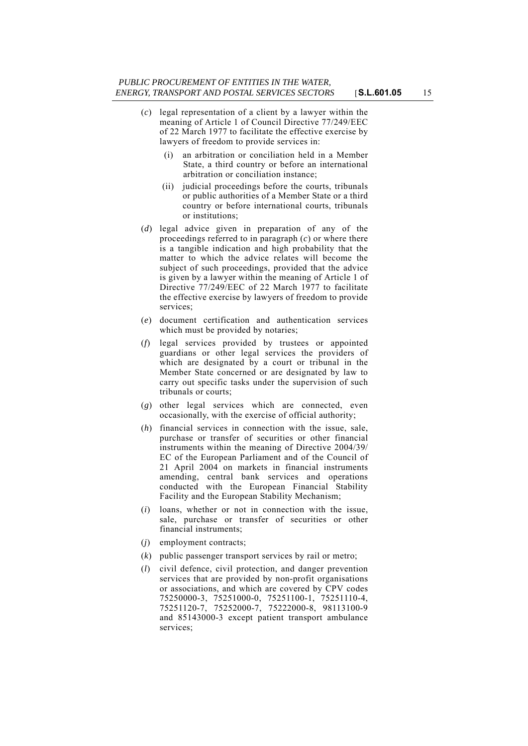- (*c*) legal representation of a client by a lawyer within the meaning of Article 1 of Council Directive 77/249/EEC of 22 March 1977 to facilitate the effective exercise by lawyers of freedom to provide services in:
	- (i) an arbitration or conciliation held in a Member State, a third country or before an international arbitration or conciliation instance;
	- (ii) judicial proceedings before the courts, tribunals or public authorities of a Member State or a third country or before international courts, tribunals or institutions;
- (*d*) legal advice given in preparation of any of the proceedings referred to in paragraph (*c*) or where there is a tangible indication and high probability that the matter to which the advice relates will become the subject of such proceedings, provided that the advice is given by a lawyer within the meaning of Article 1 of Directive 77/249/EEC of 22 March 1977 to facilitate the effective exercise by lawyers of freedom to provide services;
- (*e*) document certification and authentication services which must be provided by notaries;
- (*f*) legal services provided by trustees or appointed guardians or other legal services the providers of which are designated by a court or tribunal in the Member State concerned or are designated by law to carry out specific tasks under the supervision of such tribunals or courts;
- (*g*) other legal services which are connected, even occasionally, with the exercise of official authority;
- (*h*) financial services in connection with the issue, sale, purchase or transfer of securities or other financial instruments within the meaning of Directive 2004/39/ EC of the European Parliament and of the Council of 21 April 2004 on markets in financial instruments amending, central bank services and operations conducted with the European Financial Stability Facility and the European Stability Mechanism;
- (*i*) loans, whether or not in connection with the issue, sale, purchase or transfer of securities or other financial instruments;
- (*j*) employment contracts;
- (*k*) public passenger transport services by rail or metro;
- (*l*) civil defence, civil protection, and danger prevention services that are provided by non-profit organisations or associations, and which are covered by CPV codes 75250000-3, 75251000-0, 75251100-1, 75251110-4, 75251120-7, 75252000-7, 75222000-8, 98113100-9 and 85143000-3 except patient transport ambulance services;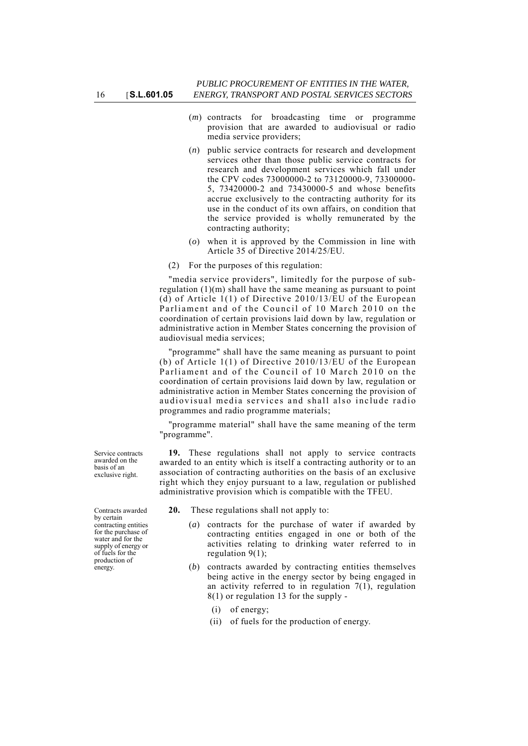- (*m*) contracts for broadcasting time or programme provision that are awarded to audiovisual or radio media service providers;
- (*n*) public service contracts for research and development services other than those public service contracts for research and development services which fall under the CPV codes 73000000-2 to 73120000-9, 73300000- 5, 73420000-2 and 73430000-5 and whose benefits accrue exclusively to the contracting authority for its use in the conduct of its own affairs, on condition that the service provided is wholly remunerated by the contracting authority;
- (*o*) when it is approved by the Commission in line with Article 35 of Directive 2014/25/EU.
- (2) For the purposes of this regulation:

"media service providers", limitedly for the purpose of subregulation (1)(m) shall have the same meaning as pursuant to point (d) of Article 1(1) of Directive 2010/13/EU of the European Parliament and of the Council of 10 March 2010 on the coordination of certain provisions laid down by law, regulation or administrative action in Member States concerning the provision of audiovisual media services;

"programme" shall have the same meaning as pursuant to point (b) of Article 1(1) of Directive 2010/13/EU of the European Parliament and of the Council of 10 March 2010 on the coordination of certain provisions laid down by law, regulation or administrative action in Member States concerning the provision of audiovisual media services and shall also include radio programmes and radio programme materials;

"programme material" shall have the same meaning of the term "programme".

**19.** These regulations shall not apply to service contracts awarded to an entity which is itself a contracting authority or to an association of contracting authorities on the basis of an exclusive right which they enjoy pursuant to a law, regulation or published administrative provision which is compatible with the TFEU.

**20.** These regulations shall not apply to:

- (*a*) contracts for the purchase of water if awarded by contracting entities engaged in one or both of the activities relating to drinking water referred to in regulation  $9(1)$ ;
- (*b*) contracts awarded by contracting entities themselves being active in the energy sector by being engaged in an activity referred to in regulation 7(1), regulation 8(1) or regulation 13 for the supply -
	- (i) of energy;
	- (ii) of fuels for the production of energy.

Service contracts awarded on the basis of an exclusive right.

Contracts awarded by certain contracting entities for the purchase of water and for the supply of energy or of fuels for the production of energy.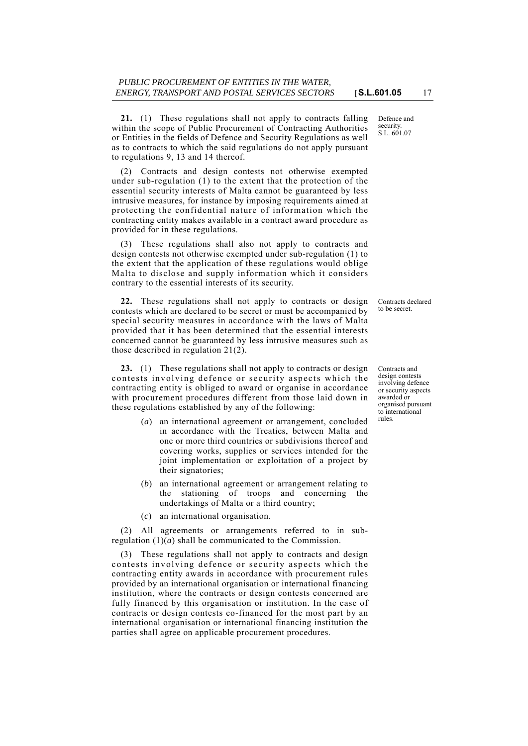**21.** (1) These regulations shall not apply to contracts falling within the scope of Public Procurement of Contracting Authorities or Entities in the fields of Defence and Security Regulations as well as to contracts to which the said regulations do not apply pursuant to regulations 9, 13 and 14 thereof.

(2) Contracts and design contests not otherwise exempted under sub-regulation (1) to the extent that the protection of the essential security interests of Malta cannot be guaranteed by less intrusive measures, for instance by imposing requirements aimed at protecting the confidential nature of information which the contracting entity makes available in a contract award procedure as provided for in these regulations.

(3) These regulations shall also not apply to contracts and design contests not otherwise exempted under sub-regulation (1) to the extent that the application of these regulations would oblige Malta to disclose and supply information which it considers contrary to the essential interests of its security.

**22.** These regulations shall not apply to contracts or design contests which are declared to be secret or must be accompanied by special security measures in accordance with the laws of Malta provided that it has been determined that the essential interests concerned cannot be guaranteed by less intrusive measures such as those described in regulation 21(2).

**23.** (1) These regulations shall not apply to contracts or design contests involving defence or security aspects which the contracting entity is obliged to award or organise in accordance with procurement procedures different from those laid down in these regulations established by any of the following:

- (*a*) an international agreement or arrangement, concluded in accordance with the Treaties, between Malta and one or more third countries or subdivisions thereof and covering works, supplies or services intended for the joint implementation or exploitation of a project by their signatories;
- (*b*) an international agreement or arrangement relating to the stationing of troops and concerning the undertakings of Malta or a third country;
- (*c*) an international organisation.

(2) All agreements or arrangements referred to in subregulation  $(1)(a)$  shall be communicated to the Commission.

(3) These regulations shall not apply to contracts and design contests involving defence or security aspects which the contracting entity awards in accordance with procurement rules provided by an international organisation or international financing institution, where the contracts or design contests concerned are fully financed by this organisation or institution. In the case of contracts or design contests co-financed for the most part by an international organisation or international financing institution the parties shall agree on applicable procurement procedures.

Defence and security. S.L. 601.07

Contracts declared to be secret.

Contracts and design contests involving defence or security aspects awarded or organised pursuant to international rules.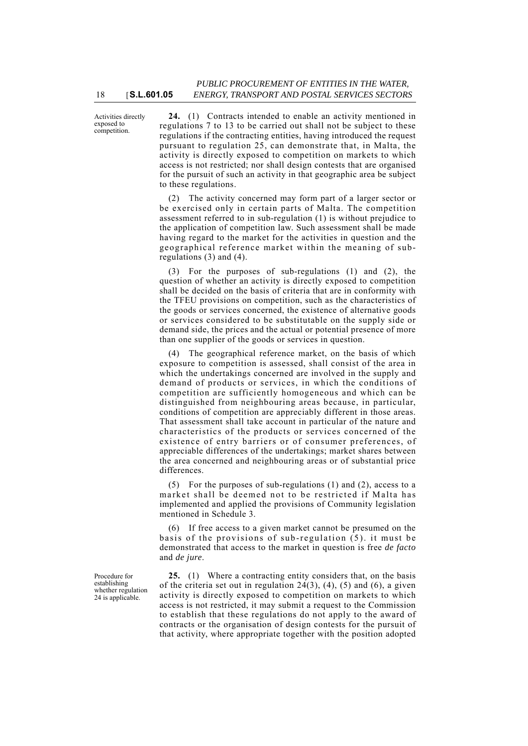Activities directly exposed to competition.

**24.** (1) Contracts intended to enable an activity mentioned in regulations 7 to 13 to be carried out shall not be subject to these regulations if the contracting entities, having introduced the request pursuant to regulation 25, can demonstrate that, in Malta, the activity is directly exposed to competition on markets to which access is not restricted; nor shall design contests that are organised for the pursuit of such an activity in that geographic area be subject to these regulations.

(2) The activity concerned may form part of a larger sector or be exercised only in certain parts of Malta. The competition assessment referred to in sub-regulation (1) is without prejudice to the application of competition law. Such assessment shall be made having regard to the market for the activities in question and the geographical reference market within the meaning of subregulations (3) and (4).

(3) For the purposes of sub-regulations (1) and (2), the question of whether an activity is directly exposed to competition shall be decided on the basis of criteria that are in conformity with the TFEU provisions on competition, such as the characteristics of the goods or services concerned, the existence of alternative goods or services considered to be substitutable on the supply side or demand side, the prices and the actual or potential presence of more than one supplier of the goods or services in question.

(4) The geographical reference market, on the basis of which exposure to competition is assessed, shall consist of the area in which the undertakings concerned are involved in the supply and demand of products or services, in which the conditions of competition are sufficiently homogeneous and which can be distinguished from neighbouring areas because, in particular, conditions of competition are appreciably different in those areas. That assessment shall take account in particular of the nature and characteristics of the products or services concerned of the existence of entry barriers or of consumer preferences, of appreciable differences of the undertakings; market shares between the area concerned and neighbouring areas or of substantial price differences.

(5) For the purposes of sub-regulations (1) and (2), access to a market shall be deemed not to be restricted if Malta has implemented and applied the provisions of Community legislation mentioned in Schedule 3.

(6) If free access to a given market cannot be presumed on the basis of the provisions of sub-regulation  $(5)$ . it must be demonstrated that access to the market in question is free *de facto* and *de jure*.

**25.** (1) Where a contracting entity considers that, on the basis of the criteria set out in regulation  $24(3)$ ,  $(4)$ ,  $(5)$  and  $(6)$ , a given activity is directly exposed to competition on markets to which access is not restricted, it may submit a request to the Commission to establish that these regulations do not apply to the award of contracts or the organisation of design contests for the pursuit of that activity, where appropriate together with the position adopted

Procedure for establishing whether regulation 24 is applicable.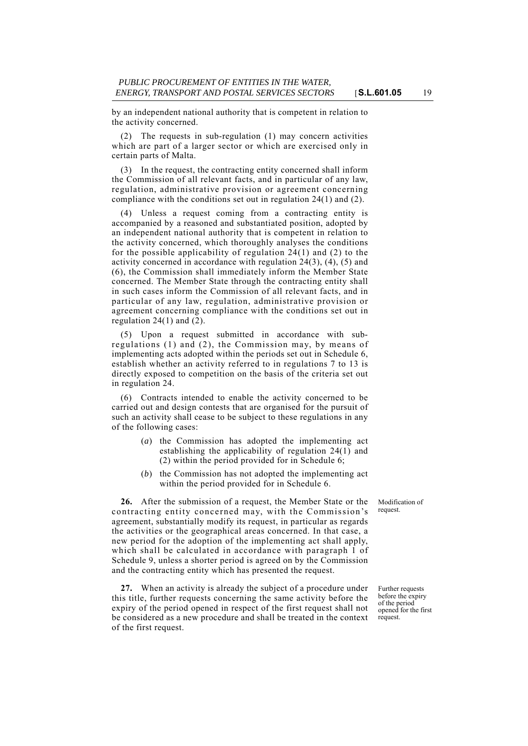by an independent national authority that is competent in relation to the activity concerned.

The requests in sub-regulation (1) may concern activities which are part of a larger sector or which are exercised only in certain parts of Malta.

(3) In the request, the contracting entity concerned shall inform the Commission of all relevant facts, and in particular of any law, regulation, administrative provision or agreement concerning compliance with the conditions set out in regulation 24(1) and (2).

(4) Unless a request coming from a contracting entity is accompanied by a reasoned and substantiated position, adopted by an independent national authority that is competent in relation to the activity concerned, which thoroughly analyses the conditions for the possible applicability of regulation 24(1) and (2) to the activity concerned in accordance with regulation 24(3), (4), (5) and (6), the Commission shall immediately inform the Member State concerned. The Member State through the contracting entity shall in such cases inform the Commission of all relevant facts, and in particular of any law, regulation, administrative provision or agreement concerning compliance with the conditions set out in regulation  $24(1)$  and  $(2)$ .

(5) Upon a request submitted in accordance with subregulations (1) and (2), the Commission may, by means of implementing acts adopted within the periods set out in Schedule 6, establish whether an activity referred to in regulations 7 to 13 is directly exposed to competition on the basis of the criteria set out in regulation 24.

(6) Contracts intended to enable the activity concerned to be carried out and design contests that are organised for the pursuit of such an activity shall cease to be subject to these regulations in any of the following cases:

- (*a*) the Commission has adopted the implementing act establishing the applicability of regulation 24(1) and (2) within the period provided for in Schedule 6;
- (*b*) the Commission has not adopted the implementing act within the period provided for in Schedule 6.

**26.** After the submission of a request, the Member State or the contracting entity concerned may, with the Commission's agreement, substantially modify its request, in particular as regards the activities or the geographical areas concerned. In that case, a new period for the adoption of the implementing act shall apply, which shall be calculated in accordance with paragraph 1 of Schedule 9, unless a shorter period is agreed on by the Commission and the contracting entity which has presented the request.

**27.** When an activity is already the subject of a procedure under this title, further requests concerning the same activity before the expiry of the period opened in respect of the first request shall not be considered as a new procedure and shall be treated in the context of the first request.

Modification of request.

Further requests before the expiry of the period opened for the first request.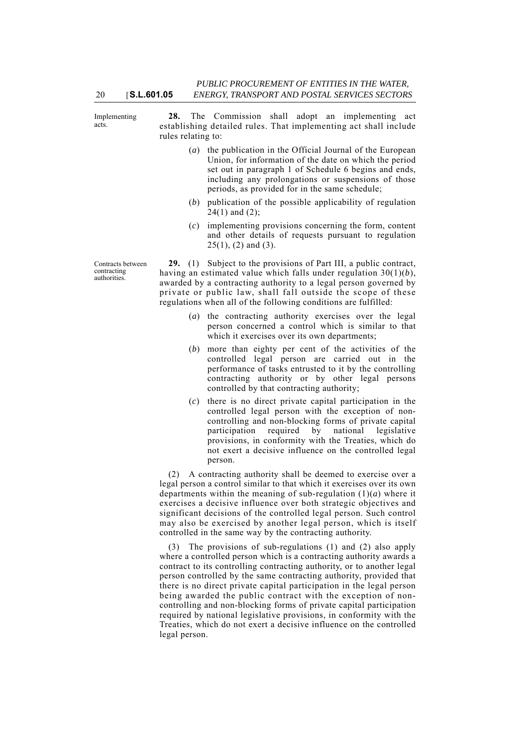Implementing acts.

20 [**S.L.601.05**

**28.** The Commission shall adopt an implementing act establishing detailed rules. That implementing act shall include rules relating to:

- (*a*) the publication in the Official Journal of the European Union, for information of the date on which the period set out in paragraph 1 of Schedule 6 begins and ends, including any prolongations or suspensions of those periods, as provided for in the same schedule;
- (*b*) publication of the possible applicability of regulation  $24(1)$  and  $(2)$ ;
- (*c*) implementing provisions concerning the form, content and other details of requests pursuant to regulation  $25(1)$ ,  $(2)$  and  $(3)$ .

Contracts between contracting authorities.

**29.** (1) Subject to the provisions of Part III, a public contract, having an estimated value which falls under regulation 30(1)(*b*), awarded by a contracting authority to a legal person governed by private or public law, shall fall outside the scope of these regulations when all of the following conditions are fulfilled:

- (*a*) the contracting authority exercises over the legal person concerned a control which is similar to that which it exercises over its own departments;
- (*b*) more than eighty per cent of the activities of the controlled legal person are carried out in the performance of tasks entrusted to it by the controlling contracting authority or by other legal persons controlled by that contracting authority;
- (*c*) there is no direct private capital participation in the controlled legal person with the exception of noncontrolling and non-blocking forms of private capital participation required by national legislative provisions, in conformity with the Treaties, which do not exert a decisive influence on the controlled legal person.

(2) A contracting authority shall be deemed to exercise over a legal person a control similar to that which it exercises over its own departments within the meaning of sub-regulation (1)(*a*) where it exercises a decisive influence over both strategic objectives and significant decisions of the controlled legal person. Such control may also be exercised by another legal person, which is itself controlled in the same way by the contracting authority.

(3) The provisions of sub-regulations (1) and (2) also apply where a controlled person which is a contracting authority awards a contract to its controlling contracting authority, or to another legal person controlled by the same contracting authority, provided that there is no direct private capital participation in the legal person being awarded the public contract with the exception of noncontrolling and non-blocking forms of private capital participation required by national legislative provisions, in conformity with the Treaties, which do not exert a decisive influence on the controlled legal person.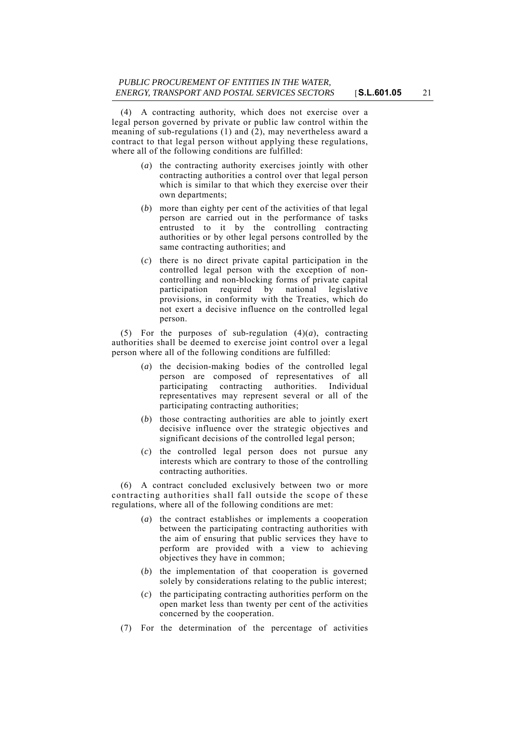(4) A contracting authority, which does not exercise over a legal person governed by private or public law control within the meaning of sub-regulations (1) and (2), may nevertheless award a contract to that legal person without applying these regulations, where all of the following conditions are fulfilled:

- (*a*) the contracting authority exercises jointly with other contracting authorities a control over that legal person which is similar to that which they exercise over their own departments;
- (*b*) more than eighty per cent of the activities of that legal person are carried out in the performance of tasks entrusted to it by the controlling contracting authorities or by other legal persons controlled by the same contracting authorities; and
- (*c*) there is no direct private capital participation in the controlled legal person with the exception of noncontrolling and non-blocking forms of private capital participation required by national legislative provisions, in conformity with the Treaties, which do not exert a decisive influence on the controlled legal person.

(5) For the purposes of sub-regulation  $(4)(a)$ , contracting authorities shall be deemed to exercise joint control over a legal person where all of the following conditions are fulfilled:

- (*a*) the decision-making bodies of the controlled legal person are composed of representatives of all participating contracting authorities. Individual representatives may represent several or all of the participating contracting authorities;
- (*b*) those contracting authorities are able to jointly exert decisive influence over the strategic objectives and significant decisions of the controlled legal person;
- (*c*) the controlled legal person does not pursue any interests which are contrary to those of the controlling contracting authorities.

(6) A contract concluded exclusively between two or more contracting authorities shall fall outside the scope of these regulations, where all of the following conditions are met:

- (*a*) the contract establishes or implements a cooperation between the participating contracting authorities with the aim of ensuring that public services they have to perform are provided with a view to achieving objectives they have in common;
- (*b*) the implementation of that cooperation is governed solely by considerations relating to the public interest;
- (*c*) the participating contracting authorities perform on the open market less than twenty per cent of the activities concerned by the cooperation.
- (7) For the determination of the percentage of activities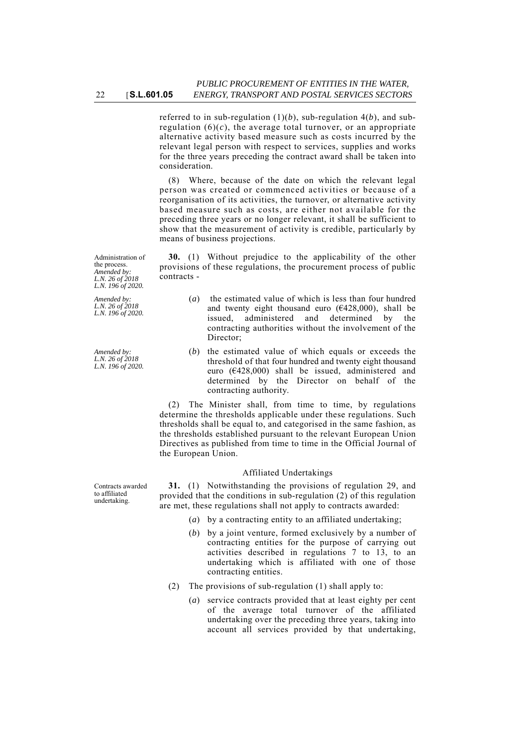referred to in sub-regulation (1)(*b*), sub-regulation 4(*b*), and subregulation  $(6)(c)$ , the average total turnover, or an appropriate alternative activity based measure such as costs incurred by the relevant legal person with respect to services, supplies and works for the three years preceding the contract award shall be taken into consideration.

(8) Where, because of the date on which the relevant legal person was created or commenced activities or because of a reorganisation of its activities, the turnover, or alternative activity based measure such as costs, are either not available for the preceding three years or no longer relevant, it shall be sufficient to show that the measurement of activity is credible, particularly by means of business projections.

**30.** (1) Without prejudice to the applicability of the other provisions of these regulations, the procurement process of public contracts -

- (*a*) the estimated value of which is less than four hundred and twenty eight thousand euro  $(6428,000)$ , shall be issued, administered and determined by the contracting authorities without the involvement of the Director;
- (*b*) the estimated value of which equals or exceeds the threshold of that four hundred and twenty eight thousand euro (€428,000) shall be issued, administered and determined by the Director on behalf of the contracting authority.

(2) The Minister shall, from time to time, by regulations determine the thresholds applicable under these regulations. Such thresholds shall be equal to, and categorised in the same fashion, as the thresholds established pursuant to the relevant European Union Directives as published from time to time in the Official Journal of the European Union.

## Affiliated Undertakings

**31.** (1) Notwithstanding the provisions of regulation 29, and provided that the conditions in sub-regulation (2) of this regulation are met, these regulations shall not apply to contracts awarded:

- (*a*) by a contracting entity to an affiliated undertaking;
- (*b*) by a joint venture, formed exclusively by a number of contracting entities for the purpose of carrying out activities described in regulations 7 to 13, to an undertaking which is affiliated with one of those contracting entities.
- (2) The provisions of sub-regulation (1) shall apply to:
	- (*a*) service contracts provided that at least eighty per cent of the average total turnover of the affiliated undertaking over the preceding three years, taking into account all services provided by that undertaking,

Administration of the process. *Amended by: L.N. 26 of 2018 L.N. 196 of 2020.*

*Amended by: L.N. 26 of 2018 L.N. 196 of 2020.*

*Amended by: L.N. 26 of 2018 L.N. 196 of 2020.*

Contracts awarded to affiliated undertaking.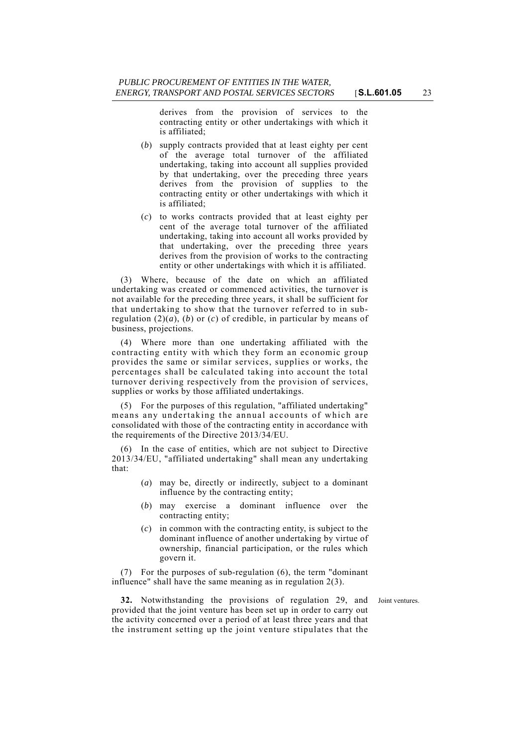derives from the provision of services to the contracting entity or other undertakings with which it is affiliated;

- (*b*) supply contracts provided that at least eighty per cent of the average total turnover of the affiliated undertaking, taking into account all supplies provided by that undertaking, over the preceding three years derives from the provision of supplies to the contracting entity or other undertakings with which it is affiliated;
- (*c*) to works contracts provided that at least eighty per cent of the average total turnover of the affiliated undertaking, taking into account all works provided by that undertaking, over the preceding three years derives from the provision of works to the contracting entity or other undertakings with which it is affiliated.

(3) Where, because of the date on which an affiliated undertaking was created or commenced activities, the turnover is not available for the preceding three years, it shall be sufficient for that undertaking to show that the turnover referred to in subregulation  $(2)(a)$ ,  $(b)$  or  $(c)$  of credible, in particular by means of business, projections.

(4) Where more than one undertaking affiliated with the contracting entity with which they form an economic group provides the same or similar services, supplies or works, the percentages shall be calculated taking into account the total turnover deriving respectively from the provision of services, supplies or works by those affiliated undertakings.

(5) For the purposes of this regulation, "affiliated undertaking" means any undertaking the annual accounts of which are consolidated with those of the contracting entity in accordance with the requirements of the Directive 2013/34/EU.

(6) In the case of entities, which are not subject to Directive 2013/34/EU, "affiliated undertaking" shall mean any undertaking that:

- (*a*) may be, directly or indirectly, subject to a dominant influence by the contracting entity;
- (*b*) may exercise a dominant influence over the contracting entity;
- (*c*) in common with the contracting entity, is subject to the dominant influence of another undertaking by virtue of ownership, financial participation, or the rules which govern it.

(7) For the purposes of sub-regulation (6), the term "dominant influence" shall have the same meaning as in regulation 2(3).

**32.** Notwithstanding the provisions of regulation 29, and Joint ventures. provided that the joint venture has been set up in order to carry out the activity concerned over a period of at least three years and that the instrument setting up the joint venture stipulates that the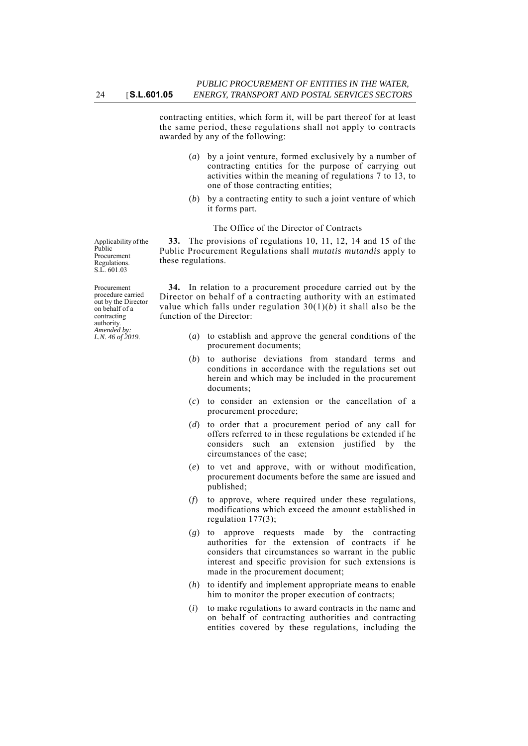contracting entities, which form it, will be part thereof for at least the same period, these regulations shall not apply to contracts awarded by any of the following:

- (*a*) by a joint venture, formed exclusively by a number of contracting entities for the purpose of carrying out activities within the meaning of regulations 7 to 13, to one of those contracting entities;
- (*b*) by a contracting entity to such a joint venture of which it forms part.

## The Office of the Director of Contracts

**33.** The provisions of regulations 10, 11, 12, 14 and 15 of the Public Procurement Regulations shall *mutatis mutandis* apply to these regulations.

**34.** In relation to a procurement procedure carried out by the Director on behalf of a contracting authority with an estimated value which falls under regulation 30(1)(*b*) it shall also be the function of the Director:

- (*a*) to establish and approve the general conditions of the procurement documents;
- (*b*) to authorise deviations from standard terms and conditions in accordance with the regulations set out herein and which may be included in the procurement documents;
- (*c*) to consider an extension or the cancellation of a procurement procedure;
- (*d*) to order that a procurement period of any call for offers referred to in these regulations be extended if he considers such an extension justified by the circumstances of the case;
- (*e*) to vet and approve, with or without modification, procurement documents before the same are issued and published;
- (*f*) to approve, where required under these regulations, modifications which exceed the amount established in regulation 177(3);
- (*g*) to approve requests made by the contracting authorities for the extension of contracts if he considers that circumstances so warrant in the public interest and specific provision for such extensions is made in the procurement document;
- (*h*) to identify and implement appropriate means to enable him to monitor the proper execution of contracts;
- (*i*) to make regulations to award contracts in the name and on behalf of contracting authorities and contracting entities covered by these regulations, including the

Applicability of the Public Procurement Regulations. S.L. 601.03

Procurement procedure carried out by the Director on behalf of a contracting authority. *Amended by: L.N. 46 of 2019*.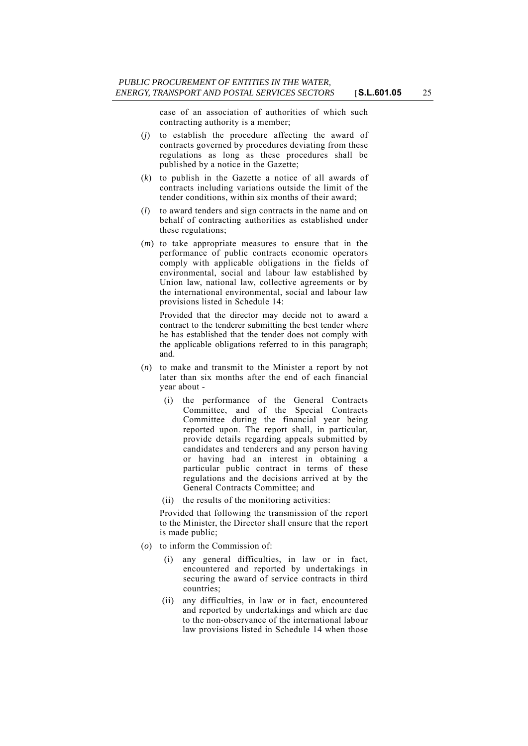case of an association of authorities of which such contracting authority is a member;

- (*j*) to establish the procedure affecting the award of contracts governed by procedures deviating from these regulations as long as these procedures shall be published by a notice in the Gazette;
- (*k*) to publish in the Gazette a notice of all awards of contracts including variations outside the limit of the tender conditions, within six months of their award;
- (*l*) to award tenders and sign contracts in the name and on behalf of contracting authorities as established under these regulations;
- (*m*) to take appropriate measures to ensure that in the performance of public contracts economic operators comply with applicable obligations in the fields of environmental, social and labour law established by Union law, national law, collective agreements or by the international environmental, social and labour law provisions listed in Schedule 14:

Provided that the director may decide not to award a contract to the tenderer submitting the best tender where he has established that the tender does not comply with the applicable obligations referred to in this paragraph; and.

- (*n*) to make and transmit to the Minister a report by not later than six months after the end of each financial year about -
	- (i) the performance of the General Contracts Committee, and of the Special Contracts Committee during the financial year being reported upon. The report shall, in particular, provide details regarding appeals submitted by candidates and tenderers and any person having or having had an interest in obtaining a particular public contract in terms of these regulations and the decisions arrived at by the General Contracts Committee; and
	- (ii) the results of the monitoring activities:

Provided that following the transmission of the report to the Minister, the Director shall ensure that the report is made public;

- (*o*) to inform the Commission of:
	- (i) any general difficulties, in law or in fact, encountered and reported by undertakings in securing the award of service contracts in third countries;
	- (ii) any difficulties, in law or in fact, encountered and reported by undertakings and which are due to the non-observance of the international labour law provisions listed in Schedule 14 when those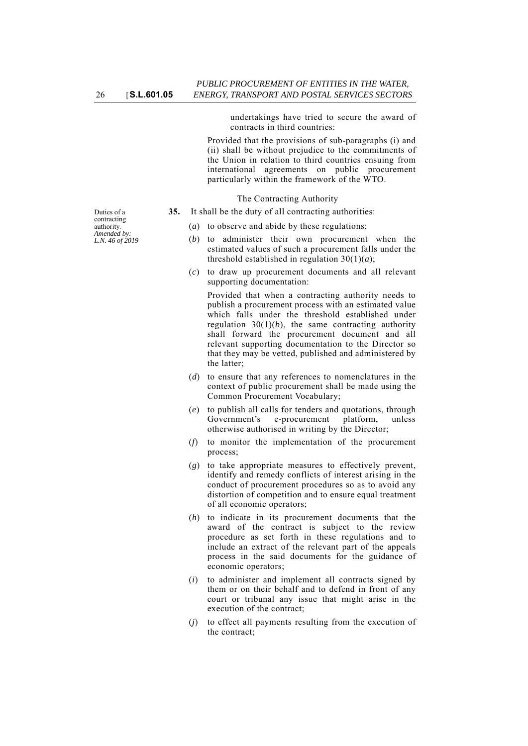undertakings have tried to secure the award of contracts in third countries:

Provided that the provisions of sub-paragraphs (i) and (ii) shall be without prejudice to the commitments of the Union in relation to third countries ensuing from international agreements on public procurement particularly within the framework of the WTO.

The Contracting Authority

- **35.** It shall be the duty of all contracting authorities:
	- (*a*) to observe and abide by these regulations;
	- (*b*) to administer their own procurement when the estimated values of such a procurement falls under the threshold established in regulation  $30(1)(a)$ ;
	- (*c*) to draw up procurement documents and all relevant supporting documentation:

Provided that when a contracting authority needs to publish a procurement process with an estimated value which falls under the threshold established under regulation  $30(1)(b)$ , the same contracting authority shall forward the procurement document and all relevant supporting documentation to the Director so that they may be vetted, published and administered by the latter;

- (*d*) to ensure that any references to nomenclatures in the context of public procurement shall be made using the Common Procurement Vocabulary;
- (*e*) to publish all calls for tenders and quotations, through Government's e-procurement platform, unless otherwise authorised in writing by the Director;
- (*f*) to monitor the implementation of the procurement process;
- (*g*) to take appropriate measures to effectively prevent, identify and remedy conflicts of interest arising in the conduct of procurement procedures so as to avoid any distortion of competition and to ensure equal treatment of all economic operators;
- (*h*) to indicate in its procurement documents that the award of the contract is subject to the review procedure as set forth in these regulations and to include an extract of the relevant part of the appeals process in the said documents for the guidance of economic operators;
- (*i*) to administer and implement all contracts signed by them or on their behalf and to defend in front of any court or tribunal any issue that might arise in the execution of the contract;
- (*j*) to effect all payments resulting from the execution of the contract;

Duties of a contracting authority. *Amended by: L.N. 46 of 2019*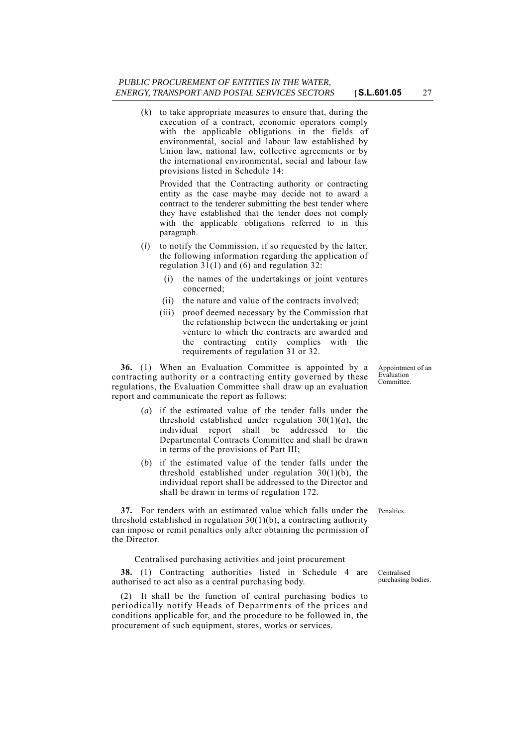(*k*) to take appropriate measures to ensure that, during the execution of a contract, economic operators comply with the applicable obligations in the fields of environmental, social and labour law established by Union law, national law, collective agreements or by the international environmental, social and labour law provisions listed in Schedule 14:

Provided that the Contracting authority or contracting entity as the case maybe may decide not to award a contract to the tenderer submitting the best tender where they have established that the tender does not comply with the applicable obligations referred to in this paragraph.

- (*l*) to notify the Commission, if so requested by the latter, the following information regarding the application of regulation 31(1) and (6) and regulation 32:
	- (i) the names of the undertakings or joint ventures concerned;
	- (ii) the nature and value of the contracts involved;
	- (iii) proof deemed necessary by the Commission that the relationship between the undertaking or joint venture to which the contracts are awarded and the contracting entity complies with the requirements of regulation 31 or 32.

**36.** (1) When an Evaluation Committee is appointed by a contracting authority or a contracting entity governed by these regulations, the Evaluation Committee shall draw up an evaluation report and communicate the report as follows:

- (*a*) if the estimated value of the tender falls under the threshold established under regulation  $30(1)(a)$ , the individual report shall be addressed to the Departmental Contracts Committee and shall be drawn in terms of the provisions of Part III;
- (*b*) if the estimated value of the tender falls under the threshold established under regulation 30(1)(b), the individual report shall be addressed to the Director and shall be drawn in terms of regulation 172.

**37.** For tenders with an estimated value which falls under the Penalties. threshold established in regulation 30(1)(b), a contracting authority can impose or remit penalties only after obtaining the permission of the Director.

Centralised purchasing activities and joint procurement

**38.** (1) Contracting authorities listed in Schedule 4 are authorised to act also as a central purchasing body.

(2) It shall be the function of central purchasing bodies to periodically notify Heads of Departments of the prices and conditions applicable for, and the procedure to be followed in, the procurement of such equipment, stores, works or services.

Appointment of an Evaluation Committee.

Centralised purchasing bodies.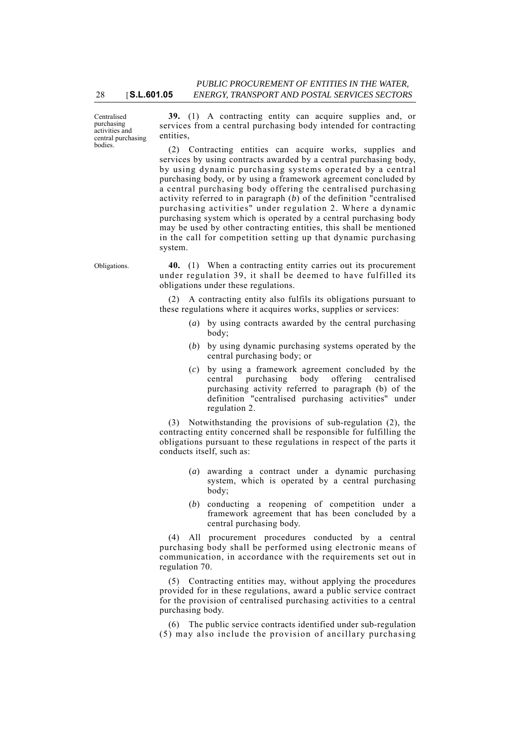Centralised purchasing activities and central purchasing bodies.

**39.** (1) A contracting entity can acquire supplies and, or services from a central purchasing body intended for contracting entities,

(2) Contracting entities can acquire works, supplies and services by using contracts awarded by a central purchasing body, by using dynamic purchasing systems operated by a central purchasing body, or by using a framework agreement concluded by a central purchasing body offering the centralised purchasing activity referred to in paragraph (*b*) of the definition "centralised purchasing activities" under regulation 2. Where a dynamic purchasing system which is operated by a central purchasing body may be used by other contracting entities, this shall be mentioned in the call for competition setting up that dynamic purchasing system.

Obligations. **40.** (1) When a contracting entity carries out its procurement under regulation 39, it shall be deemed to have fulfilled its obligations under these regulations.

> (2) A contracting entity also fulfils its obligations pursuant to these regulations where it acquires works, supplies or services:

- (*a*) by using contracts awarded by the central purchasing body;
- (*b*) by using dynamic purchasing systems operated by the central purchasing body; or
- (*c*) by using a framework agreement concluded by the central purchasing body offering centralised purchasing activity referred to paragraph (b) of the definition "centralised purchasing activities" under regulation 2.

(3) Notwithstanding the provisions of sub-regulation (2), the contracting entity concerned shall be responsible for fulfilling the obligations pursuant to these regulations in respect of the parts it conducts itself, such as:

- (*a*) awarding a contract under a dynamic purchasing system, which is operated by a central purchasing body;
- (*b*) conducting a reopening of competition under a framework agreement that has been concluded by a central purchasing body.

(4) All procurement procedures conducted by a central purchasing body shall be performed using electronic means of communication, in accordance with the requirements set out in regulation 70.

(5) Contracting entities may, without applying the procedures provided for in these regulations, award a public service contract for the provision of centralised purchasing activities to a central purchasing body.

(6) The public service contracts identified under sub-regulation (5) may also include the provision of ancillary purchasing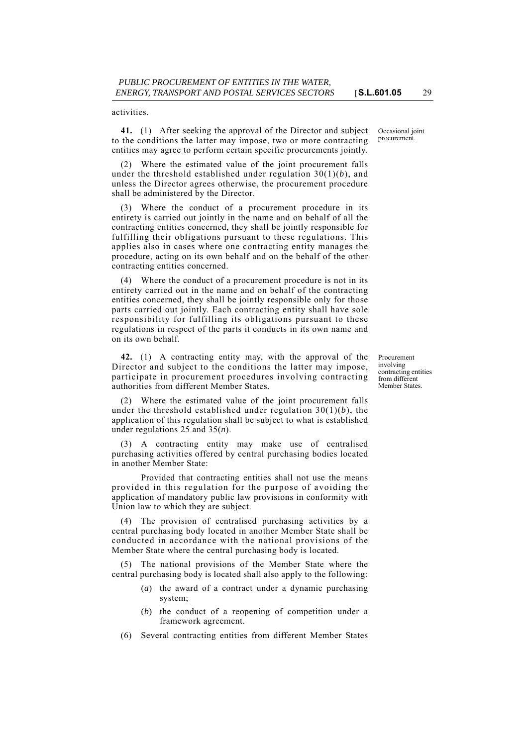activities.

**41.** (1) After seeking the approval of the Director and subject to the conditions the latter may impose, two or more contracting entities may agree to perform certain specific procurements jointly.

(2) Where the estimated value of the joint procurement falls under the threshold established under regulation 30(1)(*b*), and unless the Director agrees otherwise, the procurement procedure shall be administered by the Director.

(3) Where the conduct of a procurement procedure in its entirety is carried out jointly in the name and on behalf of all the contracting entities concerned, they shall be jointly responsible for fulfilling their obligations pursuant to these regulations. This applies also in cases where one contracting entity manages the procedure, acting on its own behalf and on the behalf of the other contracting entities concerned.

(4) Where the conduct of a procurement procedure is not in its entirety carried out in the name and on behalf of the contracting entities concerned, they shall be jointly responsible only for those parts carried out jointly. Each contracting entity shall have sole responsibility for fulfilling its obligations pursuant to these regulations in respect of the parts it conducts in its own name and on its own behalf.

**42.** (1) A contracting entity may, with the approval of the Director and subject to the conditions the latter may impose, participate in procurement procedures involving contracting authorities from different Member States.

(2) Where the estimated value of the joint procurement falls under the threshold established under regulation 30(1)(*b*), the application of this regulation shall be subject to what is established under regulations 25 and 35(*n*).

(3) A contracting entity may make use of centralised purchasing activities offered by central purchasing bodies located in another Member State:

Provided that contracting entities shall not use the means provided in this regulation for the purpose of avoiding the application of mandatory public law provisions in conformity with Union law to which they are subject.

(4) The provision of centralised purchasing activities by a central purchasing body located in another Member State shall be conducted in accordance with the national provisions of the Member State where the central purchasing body is located.

(5) The national provisions of the Member State where the central purchasing body is located shall also apply to the following:

- (*a*) the award of a contract under a dynamic purchasing system;
- (*b*) the conduct of a reopening of competition under a framework agreement.
- (6) Several contracting entities from different Member States

Occasional joint procurement.

Procurement involving contracting entities from different Member States.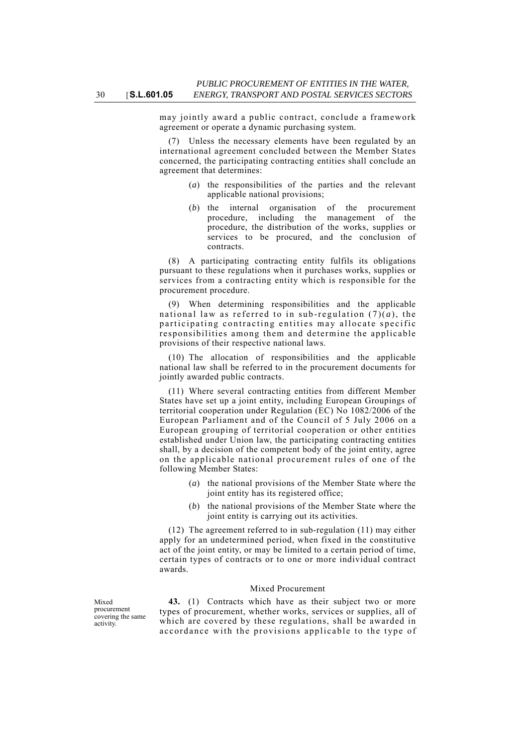may jointly award a public contract, conclude a framework agreement or operate a dynamic purchasing system.

(7) Unless the necessary elements have been regulated by an international agreement concluded between the Member States concerned, the participating contracting entities shall conclude an agreement that determines:

- (*a*) the responsibilities of the parties and the relevant applicable national provisions;
- (*b*) the internal organisation of the procurement procedure, including the management of the procedure, the distribution of the works, supplies or services to be procured, and the conclusion of contracts.

(8) A participating contracting entity fulfils its obligations pursuant to these regulations when it purchases works, supplies or services from a contracting entity which is responsible for the procurement procedure.

(9) When determining responsibilities and the applicable national law as referred to in sub-regulation  $(7)(a)$ , the participating contracting en tities may allocate specific responsibilities among them and determine the applicable provisions of their respective national laws.

(10) The allocation of responsibilities and the applicable national law shall be referred to in the procurement documents for jointly awarded public contracts.

(11) Where several contracting entities from different Member States have set up a joint entity, including European Groupings of territorial cooperation under Regulation (EC) No 1082/2006 of the European Parliament and of the Council of 5 July 2006 on a European grouping of territorial cooperation or other entities established under Union law, the participating contracting entities shall, by a decision of the competent body of the joint entity, agree on the applicable national procurement rules of one of the following Member States:

- (*a*) the national provisions of the Member State where the joint entity has its registered office;
- (*b*) the national provisions of the Member State where the joint entity is carrying out its activities.

(12) The agreement referred to in sub-regulation (11) may either apply for an undetermined period, when fixed in the constitutive act of the joint entity, or may be limited to a certain period of time, certain types of contracts or to one or more individual contract awards.

#### Mixed Procurement

**43.** (1) Contracts which have as their subject two or more types of procurement, whether works, services or supplies, all of which are covered by these regulations, shall be awarded in accordance with the provisions applicable to the type of

Mixed procurement covering the same activity.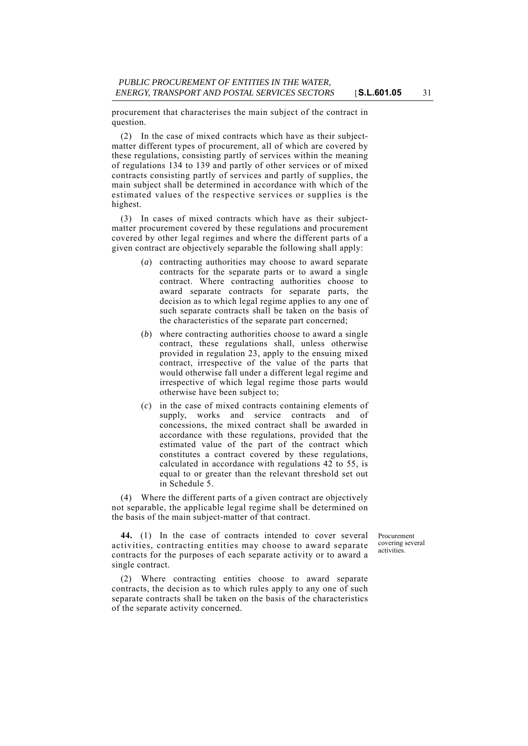procurement that characterises the main subject of the contract in question.

(2) In the case of mixed contracts which have as their subjectmatter different types of procurement, all of which are covered by these regulations, consisting partly of services within the meaning of regulations 134 to 139 and partly of other services or of mixed contracts consisting partly of services and partly of supplies, the main subject shall be determined in accordance with which of the estimated values of the respective services or supplies is the highest.

(3) In cases of mixed contracts which have as their subjectmatter procurement covered by these regulations and procurement covered by other legal regimes and where the different parts of a given contract are objectively separable the following shall apply:

- (*a*) contracting authorities may choose to award separate contracts for the separate parts or to award a single contract. Where contracting authorities choose to award separate contracts for separate parts, the decision as to which legal regime applies to any one of such separate contracts shall be taken on the basis of the characteristics of the separate part concerned;
- (*b*) where contracting authorities choose to award a single contract, these regulations shall, unless otherwise provided in regulation 23, apply to the ensuing mixed contract, irrespective of the value of the parts that would otherwise fall under a different legal regime and irrespective of which legal regime those parts would otherwise have been subject to;
- (*c*) in the case of mixed contracts containing elements of supply, works and service contracts and of concessions, the mixed contract shall be awarded in accordance with these regulations, provided that the estimated value of the part of the contract which constitutes a contract covered by these regulations, calculated in accordance with regulations 42 to 55, is equal to or greater than the relevant threshold set out in Schedule 5.

(4) Where the different parts of a given contract are objectively not separable, the applicable legal regime shall be determined on the basis of the main subject-matter of that contract.

**44.** (1) In the case of contracts intended to cover several activities, contracting entities may choose to award separate contracts for the purposes of each separate activity or to award a single contract.

Procurement covering several activities.

(2) Where contracting entities choose to award separate contracts, the decision as to which rules apply to any one of such separate contracts shall be taken on the basis of the characteristics of the separate activity concerned.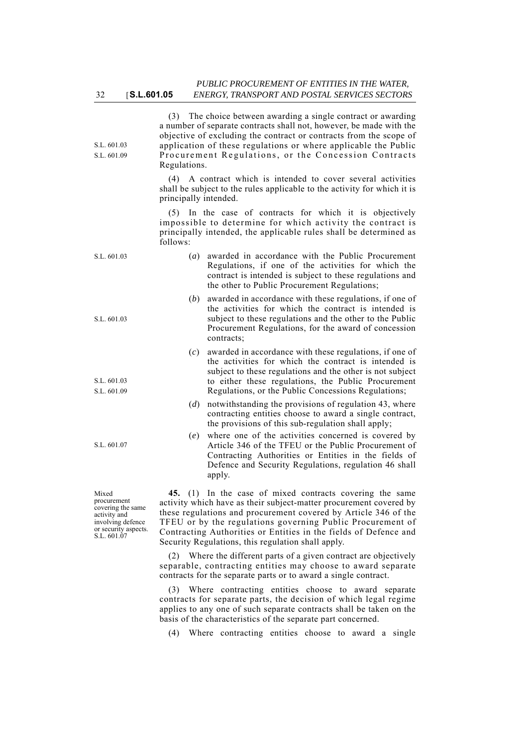| S.L. 601.03<br>S.L. 601.09                                | Regulations.          | (3) The choice between awarding a single contract or awarding<br>a number of separate contracts shall not, however, be made with the<br>objective of excluding the contract or contracts from the scope of<br>application of these regulations or where applicable the Public<br>Procurement Regulations, or the Concession Contracts |
|-----------------------------------------------------------|-----------------------|---------------------------------------------------------------------------------------------------------------------------------------------------------------------------------------------------------------------------------------------------------------------------------------------------------------------------------------|
|                                                           | principally intended. | (4) A contract which is intended to cover several activities<br>shall be subject to the rules applicable to the activity for which it is                                                                                                                                                                                              |
|                                                           | follows:              | (5) In the case of contracts for which it is objectively<br>impossible to determine for which activity the contract is<br>principally intended, the applicable rules shall be determined as                                                                                                                                           |
| S.L. 601.03                                               | (a)                   | awarded in accordance with the Public Procurement<br>Regulations, if one of the activities for which the<br>contract is intended is subject to these regulations and<br>the other to Public Procurement Regulations;                                                                                                                  |
| S.L. 601.03                                               | (b)                   | awarded in accordance with these regulations, if one of<br>the activities for which the contract is intended is<br>subject to these regulations and the other to the Public<br>Procurement Regulations, for the award of concession<br>contracts;                                                                                     |
| S.L. 601.03<br>S.L. 601.09                                | (c)                   | awarded in accordance with these regulations, if one of<br>the activities for which the contract is intended is<br>subject to these regulations and the other is not subject<br>to either these regulations, the Public Procurement<br>Regulations, or the Public Concessions Regulations;                                            |
|                                                           | (d)                   | notwithstanding the provisions of regulation 43, where<br>contracting entities choose to award a single contract,<br>the provisions of this sub-regulation shall apply;                                                                                                                                                               |
| S.L. 601.07                                               | (e)                   | where one of the activities concerned is covered by<br>Article 346 of the TFEU or the Public Procurement of<br>Contracting Authorities or Entities in the fields of<br>Defence and Security Regulations, regulation 46 shall<br>apply.                                                                                                |
| Mixed<br>procurement<br>covering the same<br>activity and |                       | 45. (1) In the case of mixed contracts covering the same<br>activity which have as their subject-matter procurement covered by<br>these regulations and procurement covered by Article 346 of the                                                                                                                                     |

these regulations and procurement covered by Article 346 of the TFEU or by the regulations governing Public Procurement of Contracting Authorities or Entities in the fields of Defence and Security Regulations, this regulation shall apply.

involving defence or security aspects. S.L. 601.07

> (2) Where the different parts of a given contract are objectively separable, contracting entities may choose to award separate contracts for the separate parts or to award a single contract.

> (3) Where contracting entities choose to award separate contracts for separate parts, the decision of which legal regime applies to any one of such separate contracts shall be taken on the basis of the characteristics of the separate part concerned.

(4) Where contracting entities choose to award a single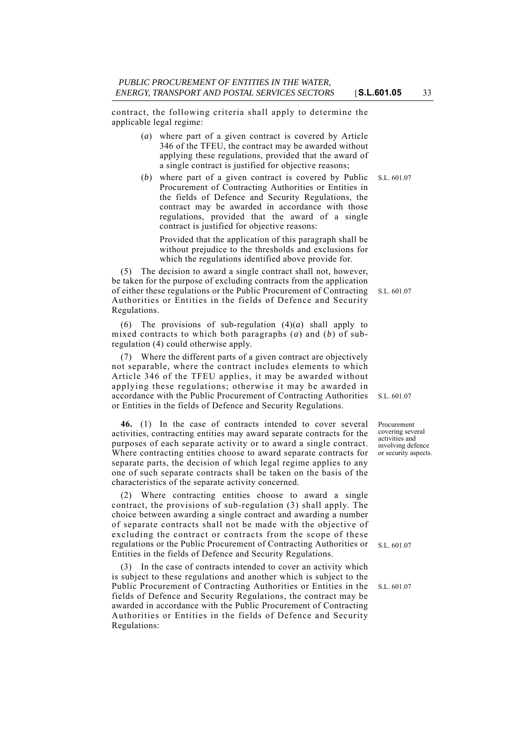contract, the following criteria shall apply to determine the applicable legal regime:

- (*a*) where part of a given contract is covered by Article 346 of the TFEU, the contract may be awarded without applying these regulations, provided that the award of a single contract is justified for objective reasons;
- (*b*) where part of a given contract is covered by Public S.L. 601.07 Procurement of Contracting Authorities or Entities in the fields of Defence and Security Regulations, the contract may be awarded in accordance with those regulations, provided that the award of a single contract is justified for objective reasons:

Provided that the application of this paragraph shall be without prejudice to the thresholds and exclusions for which the regulations identified above provide for.

of either these regulations or the Public Procurement of Contracting S.L. 601.07 (5) The decision to award a single contract shall not, however, be taken for the purpose of excluding contracts from the application Authorities or Entities in the fields of Defence and Security Regulations.

(6) The provisions of sub-regulation  $(4)(a)$  shall apply to mixed contracts to which both paragraphs (*a*) and (*b*) of subregulation (4) could otherwise apply.

(7) Where the different parts of a given contract are objectively not separable, where the contract includes elements to which Article 346 of the TFEU applies, it may be awarded without applying these regulations; otherwise it may be awarded in accordance with the Public Procurement of Contracting Authorities or Entities in the fields of Defence and Security Regulations.

**46.** (1) In the case of contracts intended to cover several activities, contracting entities may award separate contracts for the purposes of each separate activity or to award a single contract. Where contracting entities choose to award separate contracts for separate parts, the decision of which legal regime applies to any one of such separate contracts shall be taken on the basis of the characteristics of the separate activity concerned.

(2) Where contracting entities choose to award a single contract, the provisions of sub-regulation (3) shall apply. The choice between awarding a single contract and awarding a number of separate contracts shall not be made with the objective of excluding the contract or contracts from the scope of these regulations or the Public Procurement of Contracting Authorities or Entities in the fields of Defence and Security Regulations.

(3) In the case of contracts intended to cover an activity which is subject to these regulations and another which is subject to the Public Procurement of Contracting Authorities or Entities in the fields of Defence and Security Regulations, the contract may be awarded in accordance with the Public Procurement of Contracting Authorities or Entities in the fields of Defence and Security Regulations:

S.L. 601.07

Procurement covering several activities and involving defence or security aspects.

S.L. 601.07

S.L. 601.07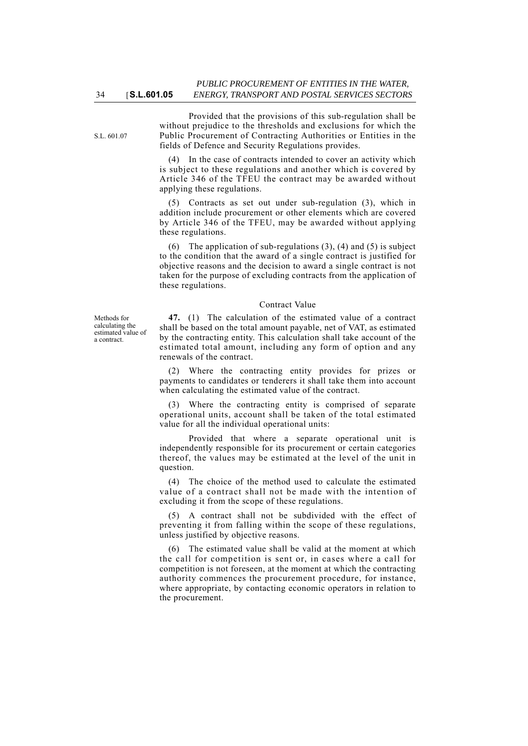S.L. 601.07

34 [**S.L.601.05**

Provided that the provisions of this sub-regulation shall be without prejudice to the thresholds and exclusions for which the Public Procurement of Contracting Authorities or Entities in the fields of Defence and Security Regulations provides.

(4) In the case of contracts intended to cover an activity which is subject to these regulations and another which is covered by Article 346 of the TFEU the contract may be awarded without applying these regulations.

(5) Contracts as set out under sub-regulation (3), which in addition include procurement or other elements which are covered by Article 346 of the TFEU, may be awarded without applying these regulations.

(6) The application of sub-regulations  $(3)$ ,  $(4)$  and  $(5)$  is subject to the condition that the award of a single contract is justified for objective reasons and the decision to award a single contract is not taken for the purpose of excluding contracts from the application of these regulations.

## Contract Value

**47.** (1) The calculation of the estimated value of a contract shall be based on the total amount payable, net of VAT, as estimated by the contracting entity. This calculation shall take account of the estimated total amount, including any form of option and any renewals of the contract.

(2) Where the contracting entity provides for prizes or payments to candidates or tenderers it shall take them into account when calculating the estimated value of the contract.

Where the contracting entity is comprised of separate operational units, account shall be taken of the total estimated value for all the individual operational units:

Provided that where a separate operational unit is independently responsible for its procurement or certain categories thereof, the values may be estimated at the level of the unit in question.

(4) The choice of the method used to calculate the estimated value of a contract shall not be made with the intention of excluding it from the scope of these regulations.

(5) A contract shall not be subdivided with the effect of preventing it from falling within the scope of these regulations, unless justified by objective reasons.

(6) The estimated value shall be valid at the moment at which the call for competition is sent or, in cases where a call for competition is not foreseen, at the moment at which the contracting authority commences the procurement procedure, for instance, where appropriate, by contacting economic operators in relation to the procurement.

Methods for calculating the estimated value of a contract.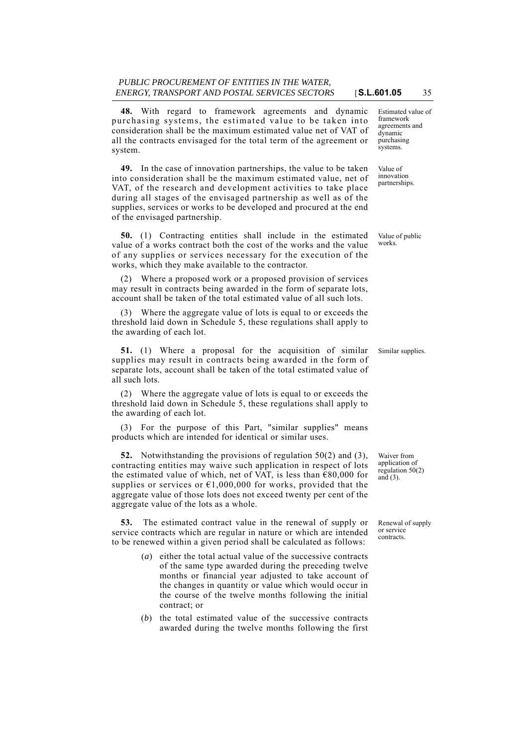**48.** With regard to framework agreements and dynamic purchasing systems, the estimated value to be taken into consideration shall be the maximum estimated value net of VAT of all the contracts envisaged for the total term of the agreement or system.

**49.** In the case of innovation partnerships, the value to be taken into consideration shall be the maximum estimated value, net of VAT, of the research and development activities to take place during all stages of the envisaged partnership as well as of the supplies, services or works to be developed and procured at the end of the envisaged partnership.

**50.** (1) Contracting entities shall include in the estimated value of a works contract both the cost of the works and the value of any supplies or services necessary for the execution of the works, which they make available to the contractor.

(2) Where a proposed work or a proposed provision of services may result in contracts being awarded in the form of separate lots, account shall be taken of the total estimated value of all such lots.

(3) Where the aggregate value of lots is equal to or exceeds the threshold laid down in Schedule 5, these regulations shall apply to the awarding of each lot.

**51.** (1) Where a proposal for the acquisition of similar Similar supplies. supplies may result in contracts being awarded in the form of separate lots, account shall be taken of the total estimated value of all such lots.

(2) Where the aggregate value of lots is equal to or exceeds the threshold laid down in Schedule 5, these regulations shall apply to the awarding of each lot.

(3) For the purpose of this Part, "similar supplies" means products which are intended for identical or similar uses.

**52.** Notwithstanding the provisions of regulation 50(2) and (3), contracting entities may waive such application in respect of lots the estimated value of which, net of VAT, is less than  $\epsilon$ 80,000 for supplies or services or  $\epsilon$ 1,000,000 for works, provided that the aggregate value of those lots does not exceed twenty per cent of the aggregate value of the lots as a whole.

**53.** The estimated contract value in the renewal of supply or service contracts which are regular in nature or which are intended to be renewed within a given period shall be calculated as follows:

- (*a*) either the total actual value of the successive contracts of the same type awarded during the preceding twelve months or financial year adjusted to take account of the changes in quantity or value which would occur in the course of the twelve months following the initial contract; or
- (*b*) the total estimated value of the successive contracts awarded during the twelve months following the first

Estimated value of framework agreements and dynamic purchasing systems.

Value of innovation partnerships.

Value of public works.

Waiver from application of regulation  $50(2)$ and (3).

Renewal of supply or service contracts.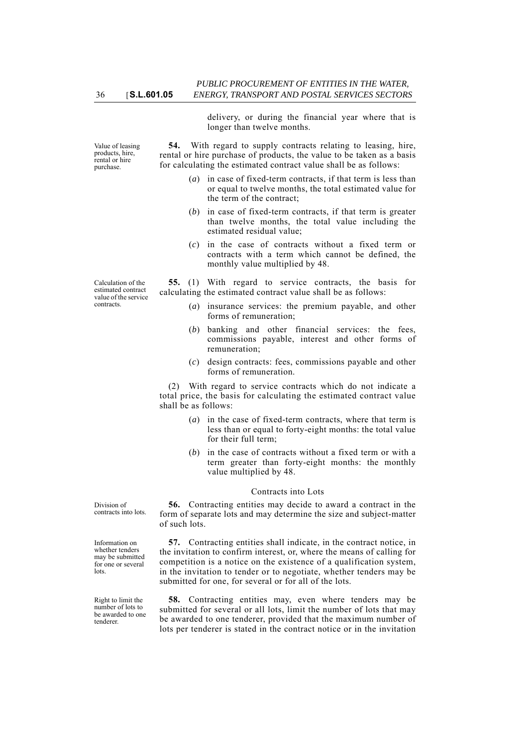delivery, or during the financial year where that is longer than twelve months.

**54.** With regard to supply contracts relating to leasing, hire, rental or hire purchase of products, the value to be taken as a basis for calculating the estimated contract value shall be as follows:

- (*a*) in case of fixed-term contracts, if that term is less than or equal to twelve months, the total estimated value for the term of the contract;
- (*b*) in case of fixed-term contracts, if that term is greater than twelve months, the total value including the estimated residual value;
- (*c*) in the case of contracts without a fixed term or contracts with a term which cannot be defined, the monthly value multiplied by 48.

**55.** (1) With regard to service contracts, the basis for calculating the estimated contract value shall be as follows:

- (*a*) insurance services: the premium payable, and other forms of remuneration;
- (*b*) banking and other financial services: the fees, commissions payable, interest and other forms of remuneration;
- (*c*) design contracts: fees, commissions payable and other forms of remuneration.

(2) With regard to service contracts which do not indicate a total price, the basis for calculating the estimated contract value shall be as follows:

- (*a*) in the case of fixed-term contracts, where that term is less than or equal to forty-eight months: the total value for their full term;
- (*b*) in the case of contracts without a fixed term or with a term greater than forty-eight months: the monthly value multiplied by 48.

### Contracts into Lots

**56.** Contracting entities may decide to award a contract in the form of separate lots and may determine the size and subject-matter of such lots.

**57.** Contracting entities shall indicate, in the contract notice, in the invitation to confirm interest, or, where the means of calling for competition is a notice on the existence of a qualification system, in the invitation to tender or to negotiate, whether tenders may be submitted for one, for several or for all of the lots.

**58.** Contracting entities may, even where tenders may be submitted for several or all lots, limit the number of lots that may be awarded to one tenderer, provided that the maximum number of lots per tenderer is stated in the contract notice or in the invitation

Division of contracts into lots.

Information on whether tenders may be submitted for one or several lots.

Right to limit the number of lots to be awarded to one tenderer.

Calculation of the estimated contract value of the service contracts.

Value of leasing products, hire, rental or hire purchase.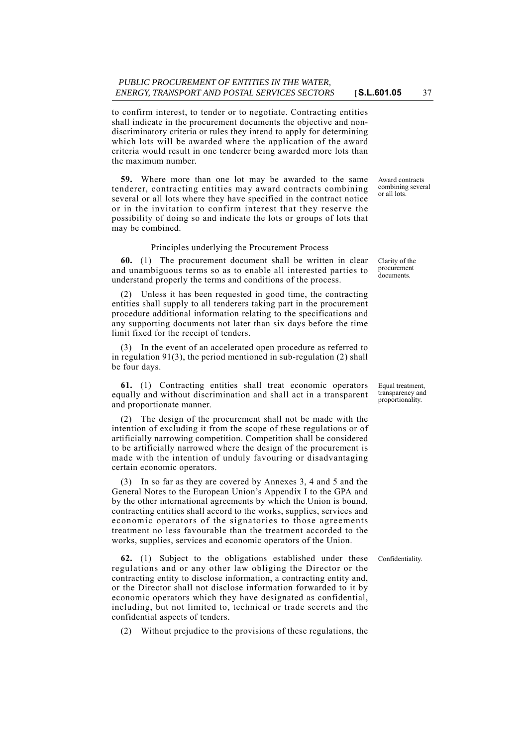to confirm interest, to tender or to negotiate. Contracting entities shall indicate in the procurement documents the objective and nondiscriminatory criteria or rules they intend to apply for determining which lots will be awarded where the application of the award criteria would result in one tenderer being awarded more lots than the maximum number.

**59.** Where more than one lot may be awarded to the same tenderer, contracting entities may award contracts combining several or all lots where they have specified in the contract notice or in the invitation to confirm interest that they reserve the possibility of doing so and indicate the lots or groups of lots that may be combined.

## Principles underlying the Procurement Process

**60.** (1) The procurement document shall be written in clear and unambiguous terms so as to enable all interested parties to understand properly the terms and conditions of the process.

(2) Unless it has been requested in good time, the contracting entities shall supply to all tenderers taking part in the procurement procedure additional information relating to the specifications and any supporting documents not later than six days before the time limit fixed for the receipt of tenders.

(3) In the event of an accelerated open procedure as referred to in regulation 91(3), the period mentioned in sub-regulation (2) shall be four days.

**61.** (1) Contracting entities shall treat economic operators equally and without discrimination and shall act in a transparent and proportionate manner.

(2) The design of the procurement shall not be made with the intention of excluding it from the scope of these regulations or of artificially narrowing competition. Competition shall be considered to be artificially narrowed where the design of the procurement is made with the intention of unduly favouring or disadvantaging certain economic operators.

(3) In so far as they are covered by Annexes 3, 4 and 5 and the General Notes to the European Union's Appendix I to the GPA and by the other international agreements by which the Union is bound, contracting entities shall accord to the works, supplies, services and economic operators of the signatories to those agreements treatment no less favourable than the treatment accorded to the works, supplies, services and economic operators of the Union.

**62.** (1) Subject to the obligations established under these Confidentiality. regulations and or any other law obliging the Director or the contracting entity to disclose information, a contracting entity and, or the Director shall not disclose information forwarded to it by economic operators which they have designated as confidential, including, but not limited to, technical or trade secrets and the confidential aspects of tenders.

(2) Without prejudice to the provisions of these regulations, the

Award contracts combining several or all lots.

Clarity of the procurement documents.

Equal treatment, transparency and proportionality.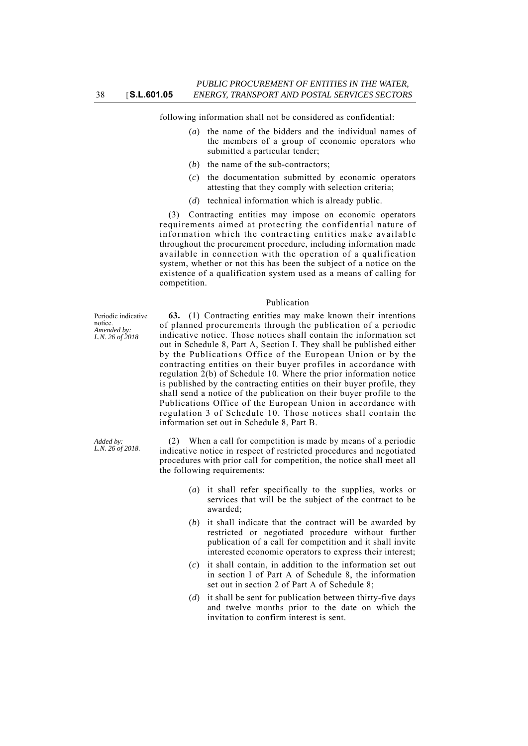following information shall not be considered as confidential:

- (*a*) the name of the bidders and the individual names of the members of a group of economic operators who submitted a particular tender;
- (*b*) the name of the sub-contractors;
- (*c*) the documentation submitted by economic operators attesting that they comply with selection criteria;
- (*d*) technical information which is already public.

(3) Contracting entities may impose on economic operators requirements aimed at protecting the confidential nature of information which the contracting entities make available throughout the procurement procedure, including information made available in connection with the operation of a qualification system, whether or not this has been the subject of a notice on the existence of a qualification system used as a means of calling for competition.

### Publication

Periodic indicative notice. *Amended by: L.N. 26 of 2018*

**63.** (1) Contracting entities may make known their intentions of planned procurements through the publication of a periodic indicative notice. Those notices shall contain the information set out in Schedule 8, Part A, Section I. They shall be published either by the Publications Office of the European Union or by the contracting entities on their buyer profiles in accordance with regulation 2(b) of Schedule 10. Where the prior information notice is published by the contracting entities on their buyer profile, they shall send a notice of the publication on their buyer profile to the Publications Office of the European Union in accordance with regulation 3 of Schedule 10. Those notices shall contain the information set out in Schedule 8, Part B.

(2) When a call for competition is made by means of a periodic indicative notice in respect of restricted procedures and negotiated procedures with prior call for competition, the notice shall meet all the following requirements:

- (*a*) it shall refer specifically to the supplies, works or services that will be the subject of the contract to be awarded;
- (*b*) it shall indicate that the contract will be awarded by restricted or negotiated procedure without further publication of a call for competition and it shall invite interested economic operators to express their interest;
- (*c*) it shall contain, in addition to the information set out in section I of Part A of Schedule 8, the information set out in section 2 of Part A of Schedule 8;
- (*d*) it shall be sent for publication between thirty-five days and twelve months prior to the date on which the invitation to confirm interest is sent.

*Added by: L.N. 26 of 2018.*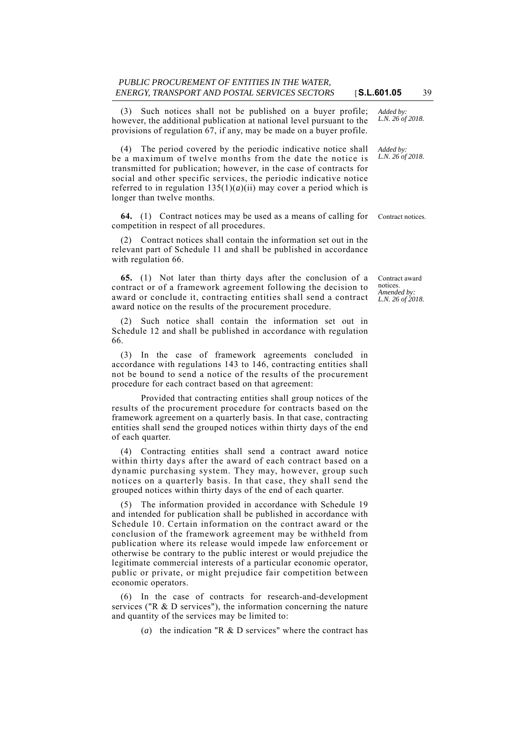(3) Such notices shall not be published on a buyer profile; however, the additional publication at national level pursuant to the provisions of regulation 67, if any, may be made on a buyer profile.

(4) The period covered by the periodic indicative notice shall be a maximum of twelve months from the date the notice is transmitted for publication; however, in the case of contracts for social and other specific services, the periodic indicative notice referred to in regulation  $135(1)(a)(ii)$  may cover a period which is longer than twelve months.

**64.** (1) Contract notices may be used as a means of calling for Contract notices. competition in respect of all procedures.

(2) Contract notices shall contain the information set out in the relevant part of Schedule 11 and shall be published in accordance with regulation 66.

**65.** (1) Not later than thirty days after the conclusion of a contract or of a framework agreement following the decision to award or conclude it, contracting entities shall send a contract award notice on the results of the procurement procedure.

(2) Such notice shall contain the information set out in Schedule 12 and shall be published in accordance with regulation 66.

(3) In the case of framework agreements concluded in accordance with regulations 143 to 146, contracting entities shall not be bound to send a notice of the results of the procurement procedure for each contract based on that agreement:

Provided that contracting entities shall group notices of the results of the procurement procedure for contracts based on the framework agreement on a quarterly basis. In that case, contracting entities shall send the grouped notices within thirty days of the end of each quarter.

(4) Contracting entities shall send a contract award notice within thirty days after the award of each contract based on a dynamic purchasing system. They may, however, group such notices on a quarterly basis. In that case, they shall send the grouped notices within thirty days of the end of each quarter.

(5) The information provided in accordance with Schedule 19 and intended for publication shall be published in accordance with Schedule 10. Certain information on the contract award or the conclusion of the framework agreement may be withheld from publication where its release would impede law enforcement or otherwise be contrary to the public interest or would prejudice the legitimate commercial interests of a particular economic operator, public or private, or might prejudice fair competition between economic operators.

(6) In the case of contracts for research-and-development services ("R & D services"), the information concerning the nature and quantity of the services may be limited to:

(*a*) the indication "R & D services" where the contract has

*Added by: L.N. 26 of 2018.*

*Added by: L.N. 26 of 2018.*

Contract award notices. *Amended by: L.N. 26 of 2018.*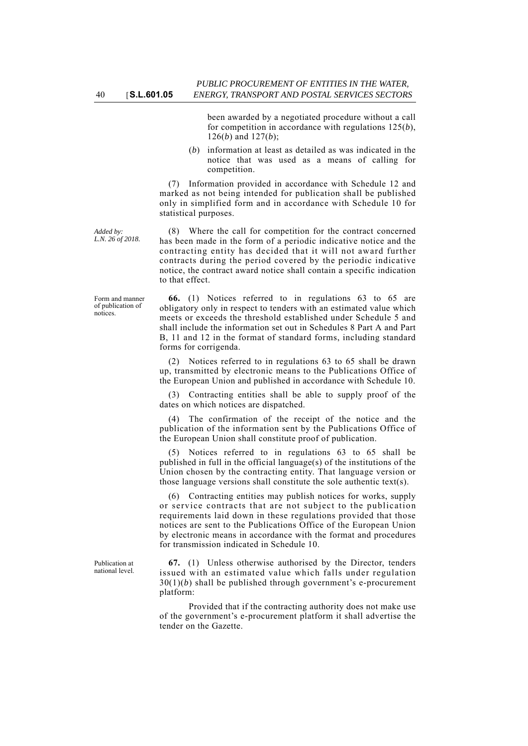been awarded by a negotiated procedure without a call for competition in accordance with regulations 125(*b*), 126(*b*) and 127(*b*);

(*b*) information at least as detailed as was indicated in the notice that was used as a means of calling for competition.

(7) Information provided in accordance with Schedule 12 and marked as not being intended for publication shall be published only in simplified form and in accordance with Schedule 10 for statistical purposes.

(8) Where the call for competition for the contract concerned has been made in the form of a periodic indicative notice and the contracting entity has decided that it will not award further contracts during the period covered by the periodic indicative notice, the contract award notice shall contain a specific indication to that effect.

**66.** (1) Notices referred to in regulations 63 to 65 are obligatory only in respect to tenders with an estimated value which meets or exceeds the threshold established under Schedule 5 and shall include the information set out in Schedules 8 Part A and Part B, 11 and 12 in the format of standard forms, including standard forms for corrigenda.

(2) Notices referred to in regulations 63 to 65 shall be drawn up, transmitted by electronic means to the Publications Office of the European Union and published in accordance with Schedule 10.

(3) Contracting entities shall be able to supply proof of the dates on which notices are dispatched.

(4) The confirmation of the receipt of the notice and the publication of the information sent by the Publications Office of the European Union shall constitute proof of publication.

(5) Notices referred to in regulations 63 to 65 shall be published in full in the official language(s) of the institutions of the Union chosen by the contracting entity. That language version or those language versions shall constitute the sole authentic text(s).

(6) Contracting entities may publish notices for works, supply or service contracts that are not subject to the publication requirements laid down in these regulations provided that those notices are sent to the Publications Office of the European Union by electronic means in accordance with the format and procedures for transmission indicated in Schedule 10.

**67.** (1) Unless otherwise authorised by the Director, tenders issued with an estimated value which falls under regulation 30(1)(*b*) shall be published through government's e-procurement platform:

Provided that if the contracting authority does not make use of the government's e-procurement platform it shall advertise the tender on the Gazette.

*Added by: L.N. 26 of 2018.*

Form and manner of publication of notices.

Publication at national level.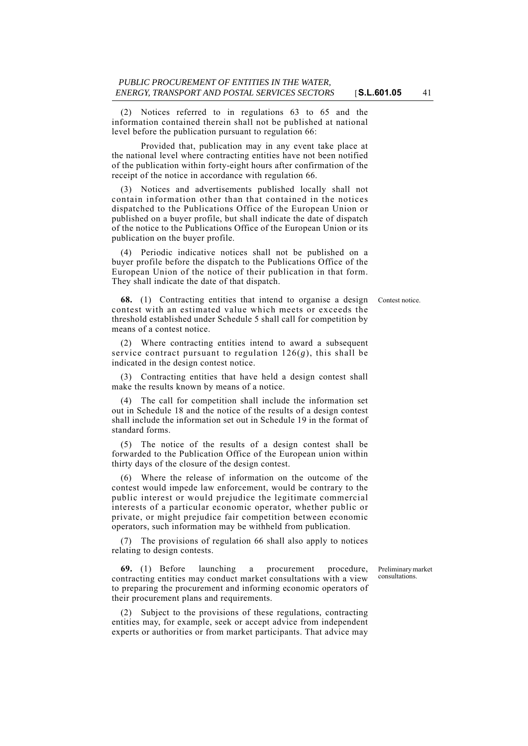(2) Notices referred to in regulations 63 to 65 and the information contained therein shall not be published at national level before the publication pursuant to regulation 66:

Provided that, publication may in any event take place at the national level where contracting entities have not been notified of the publication within forty-eight hours after confirmation of the receipt of the notice in accordance with regulation 66.

(3) Notices and advertisements published locally shall not contain information other than that contained in the notices dispatched to the Publications Office of the European Union or published on a buyer profile, but shall indicate the date of dispatch of the notice to the Publications Office of the European Union or its publication on the buyer profile.

(4) Periodic indicative notices shall not be published on a buyer profile before the dispatch to the Publications Office of the European Union of the notice of their publication in that form. They shall indicate the date of that dispatch.

**68.** (1) Contracting entities that intend to organise a design Contest notice. contest with an estimated value which meets or exceeds the threshold established under Schedule 5 shall call for competition by means of a contest notice.

(2) Where contracting entities intend to award a subsequent service contract pursuant to regulation 126(*g*), this shall be indicated in the design contest notice.

(3) Contracting entities that have held a design contest shall make the results known by means of a notice.

(4) The call for competition shall include the information set out in Schedule 18 and the notice of the results of a design contest shall include the information set out in Schedule 19 in the format of standard forms.

(5) The notice of the results of a design contest shall be forwarded to the Publication Office of the European union within thirty days of the closure of the design contest.

(6) Where the release of information on the outcome of the contest would impede law enforcement, would be contrary to the public interest or would prejudice the legitimate commercial interests of a particular economic operator, whether public or private, or might prejudice fair competition between economic operators, such information may be withheld from publication.

(7) The provisions of regulation 66 shall also apply to notices relating to design contests.

**69.** (1) Before launching a procurement procedure, contracting entities may conduct market consultations with a view to preparing the procurement and informing economic operators of their procurement plans and requirements.

(2) Subject to the provisions of these regulations, contracting entities may, for example, seek or accept advice from independent experts or authorities or from market participants. That advice may

Preliminary market consultations.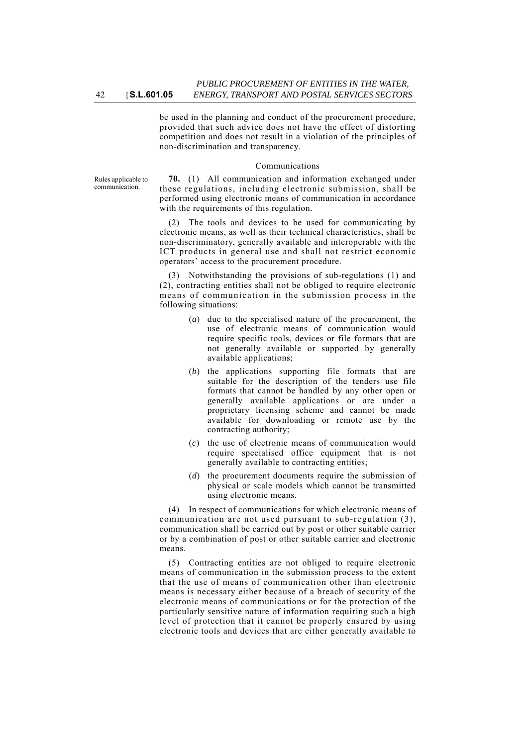be used in the planning and conduct of the procurement procedure, provided that such advice does not have the effect of distorting competition and does not result in a violation of the principles of non-discrimination and transparency.

#### Communications

Rules applicable to communication.

**70.** (1) All communication and information exchanged under these regulations, including electronic submission, shall be performed using electronic means of communication in accordance with the requirements of this regulation.

(2) The tools and devices to be used for communicating by electronic means, as well as their technical characteristics, shall be non-discriminatory, generally available and interoperable with the ICT products in general use and shall not restrict economic operators' access to the procurement procedure.

(3) Notwithstanding the provisions of sub-regulations (1) and (2), contracting entities shall not be obliged to require electronic means of communication in the submission process in the following situations:

- (*a*) due to the specialised nature of the procurement, the use of electronic means of communication would require specific tools, devices or file formats that are not generally available or supported by generally available applications;
- (*b*) the applications supporting file formats that are suitable for the description of the tenders use file formats that cannot be handled by any other open or generally available applications or are under a proprietary licensing scheme and cannot be made available for downloading or remote use by the contracting authority;
- (*c*) the use of electronic means of communication would require specialised office equipment that is not generally available to contracting entities;
- (*d*) the procurement documents require the submission of physical or scale models which cannot be transmitted using electronic means.

(4) In respect of communications for which electronic means of communication are not used pursuant to sub-regulation (3), communication shall be carried out by post or other suitable carrier or by a combination of post or other suitable carrier and electronic means.

(5) Contracting entities are not obliged to require electronic means of communication in the submission process to the extent that the use of means of communication other than electronic means is necessary either because of a breach of security of the electronic means of communications or for the protection of the particularly sensitive nature of information requiring such a high level of protection that it cannot be properly ensured by using electronic tools and devices that are either generally available to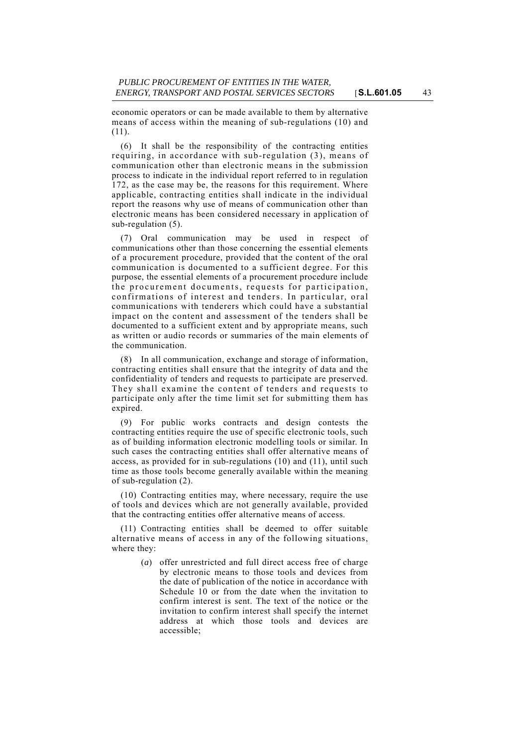economic operators or can be made available to them by alternative means of access within the meaning of sub-regulations (10) and (11).

(6) It shall be the responsibility of the contracting entities requiring, in accordance with sub-regulation (3), means of communication other than electronic means in the submission process to indicate in the individual report referred to in regulation 172, as the case may be, the reasons for this requirement. Where applicable, contracting entities shall indicate in the individual report the reasons why use of means of communication other than electronic means has been considered necessary in application of sub-regulation (5).

(7) Oral communication may be used in respect of communications other than those concerning the essential elements of a procurement procedure, provided that the content of the oral communication is documented to a sufficient degree. For this purpose, the essential elements of a procurement procedure include the procurement documents, requests for participation, confirmations of interest and tenders. In particular, oral communications with tenderers which could have a substantial impact on the content and assessment of the tenders shall be documented to a sufficient extent and by appropriate means, such as written or audio records or summaries of the main elements of the communication.

(8) In all communication, exchange and storage of information, contracting entities shall ensure that the integrity of data and the confidentiality of tenders and requests to participate are preserved. They shall examine the content of tenders and requests to participate only after the time limit set for submitting them has expired.

(9) For public works contracts and design contests the contracting entities require the use of specific electronic tools, such as of building information electronic modelling tools or similar. In such cases the contracting entities shall offer alternative means of access, as provided for in sub-regulations (10) and (11), until such time as those tools become generally available within the meaning of sub-regulation (2).

(10) Contracting entities may, where necessary, require the use of tools and devices which are not generally available, provided that the contracting entities offer alternative means of access.

(11) Contracting entities shall be deemed to offer suitable alternative means of access in any of the following situations, where they:

> (*a*) offer unrestricted and full direct access free of charge by electronic means to those tools and devices from the date of publication of the notice in accordance with Schedule 10 or from the date when the invitation to confirm interest is sent. The text of the notice or the invitation to confirm interest shall specify the internet address at which those tools and devices are accessible;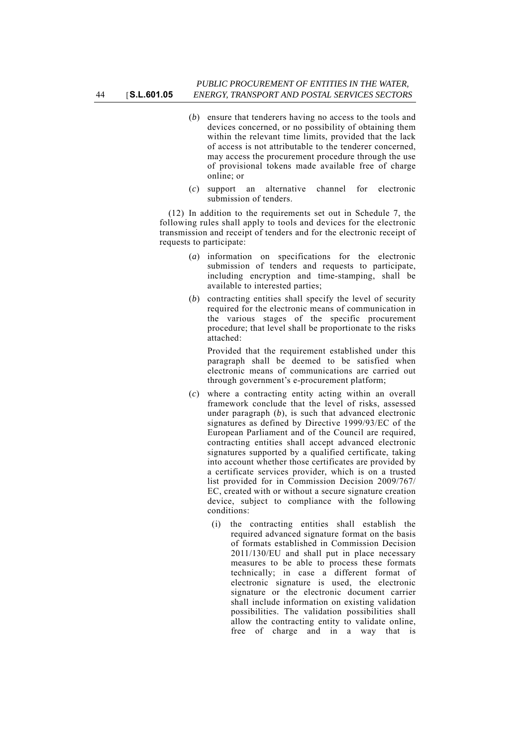- (*b*) ensure that tenderers having no access to the tools and devices concerned, or no possibility of obtaining them within the relevant time limits, provided that the lack of access is not attributable to the tenderer concerned, may access the procurement procedure through the use of provisional tokens made available free of charge online; or
- (*c*) support an alternative channel for electronic submission of tenders.

(12) In addition to the requirements set out in Schedule 7, the following rules shall apply to tools and devices for the electronic transmission and receipt of tenders and for the electronic receipt of requests to participate:

- (*a*) information on specifications for the electronic submission of tenders and requests to participate, including encryption and time-stamping, shall be available to interested parties;
- (*b*) contracting entities shall specify the level of security required for the electronic means of communication in the various stages of the specific procurement procedure; that level shall be proportionate to the risks attached:

Provided that the requirement established under this paragraph shall be deemed to be satisfied when electronic means of communications are carried out through government's e-procurement platform;

- (*c*) where a contracting entity acting within an overall framework conclude that the level of risks, assessed under paragraph (*b*), is such that advanced electronic signatures as defined by Directive 1999/93/EC of the European Parliament and of the Council are required, contracting entities shall accept advanced electronic signatures supported by a qualified certificate, taking into account whether those certificates are provided by a certificate services provider, which is on a trusted list provided for in Commission Decision 2009/767/ EC, created with or without a secure signature creation device, subject to compliance with the following conditions:
	- (i) the contracting entities shall establish the required advanced signature format on the basis of formats established in Commission Decision 2011/130/EU and shall put in place necessary measures to be able to process these formats technically; in case a different format of electronic signature is used, the electronic signature or the electronic document carrier shall include information on existing validation possibilities. The validation possibilities shall allow the contracting entity to validate online, free of charge and in a way that is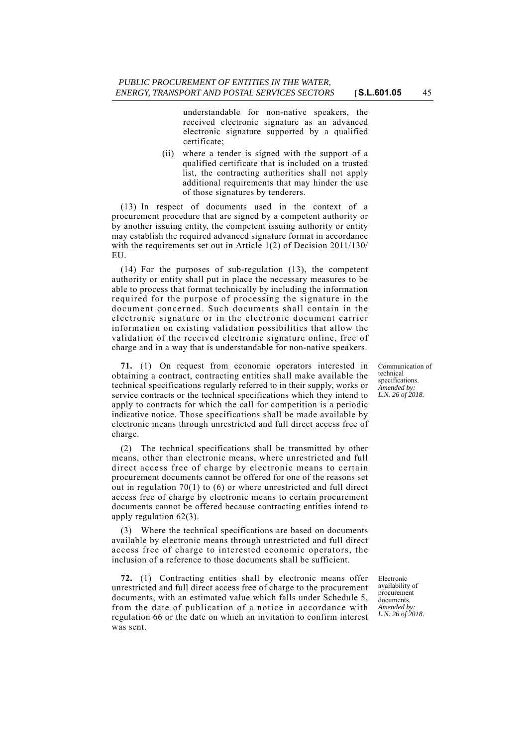understandable for non-native speakers, the received electronic signature as an advanced electronic signature supported by a qualified certificate;

(ii) where a tender is signed with the support of a qualified certificate that is included on a trusted list, the contracting authorities shall not apply additional requirements that may hinder the use of those signatures by tenderers.

(13) In respect of documents used in the context of a procurement procedure that are signed by a competent authority or by another issuing entity, the competent issuing authority or entity may establish the required advanced signature format in accordance with the requirements set out in Article 1(2) of Decision 2011/130/ EU.

(14) For the purposes of sub-regulation (13), the competent authority or entity shall put in place the necessary measures to be able to process that format technically by including the information required for the purpose of processing the signature in the document concerned. Such documents shall contain in the electronic signature or in the electronic document carrier information on existing validation possibilities that allow the validation of the received electronic signature online, free of charge and in a way that is understandable for non-native speakers.

**71.** (1) On request from economic operators interested in obtaining a contract, contracting entities shall make available the technical specifications regularly referred to in their supply, works or service contracts or the technical specifications which they intend to apply to contracts for which the call for competition is a periodic indicative notice. Those specifications shall be made available by electronic means through unrestricted and full direct access free of charge.

(2) The technical specifications shall be transmitted by other means, other than electronic means, where unrestricted and full direct access free of charge by electronic means to certain procurement documents cannot be offered for one of the reasons set out in regulation 70(1) to (6) or where unrestricted and full direct access free of charge by electronic means to certain procurement documents cannot be offered because contracting entities intend to apply regulation 62(3).

(3) Where the technical specifications are based on documents available by electronic means through unrestricted and full direct access free of charge to interested economic operators, the inclusion of a reference to those documents shall be sufficient.

**72.** (1) Contracting entities shall by electronic means offer unrestricted and full direct access free of charge to the procurement documents, with an estimated value which falls under Schedule 5, from the date of publication of a notice in accordance with regulation 66 or the date on which an invitation to confirm interest was sent.

Communication of technical specifications. *Amended by: L.N. 26 of 2018.*

Electronic availability of procurement documents. *Amended by: L.N. 26 of 2018.*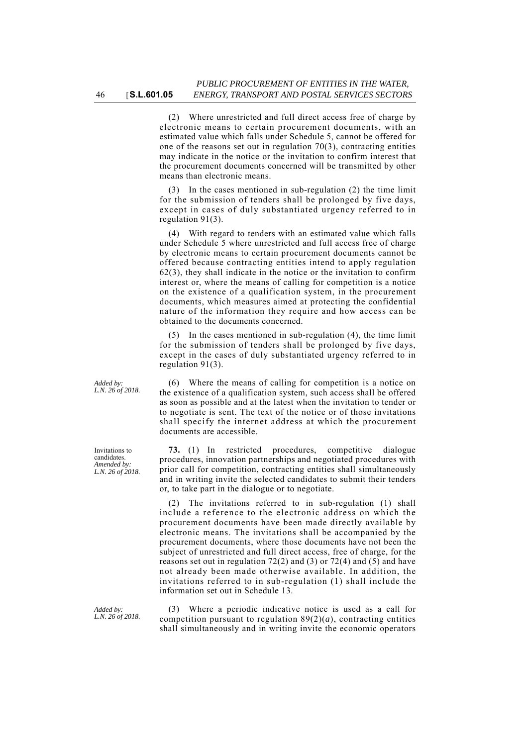(2) Where unrestricted and full direct access free of charge by electronic means to certain procurement documents, with an estimated value which falls under Schedule 5, cannot be offered for one of the reasons set out in regulation 70(3), contracting entities may indicate in the notice or the invitation to confirm interest that the procurement documents concerned will be transmitted by other means than electronic means.

(3) In the cases mentioned in sub-regulation (2) the time limit for the submission of tenders shall be prolonged by five days, except in cases of duly substantiated urgency referred to in regulation 91(3).

(4) With regard to tenders with an estimated value which falls under Schedule 5 where unrestricted and full access free of charge by electronic means to certain procurement documents cannot be offered because contracting entities intend to apply regulation 62(3), they shall indicate in the notice or the invitation to confirm interest or, where the means of calling for competition is a notice on the existence of a qualification system, in the procurement documents, which measures aimed at protecting the confidential nature of the information they require and how access can be obtained to the documents concerned.

In the cases mentioned in sub-regulation (4), the time limit for the submission of tenders shall be prolonged by five days, except in the cases of duly substantiated urgency referred to in regulation 91(3).

(6) Where the means of calling for competition is a notice on the existence of a qualification system, such access shall be offered as soon as possible and at the latest when the invitation to tender or to negotiate is sent. The text of the notice or of those invitations shall specify the internet address at which the procurement documents are accessible.

**73.** (1) In restricted procedures, competitive dialogue procedures, innovation partnerships and negotiated procedures with prior call for competition, contracting entities shall simultaneously and in writing invite the selected candidates to submit their tenders or, to take part in the dialogue or to negotiate.

(2) The invitations referred to in sub-regulation (1) shall include a reference to the electronic address on which the procurement documents have been made directly available by electronic means. The invitations shall be accompanied by the procurement documents, where those documents have not been the subject of unrestricted and full direct access, free of charge, for the reasons set out in regulation 72(2) and (3) or 72(4) and (5) and have not already been made otherwise available. In addition, the invitations referred to in sub-regulation (1) shall include the information set out in Schedule 13.

(3) Where a periodic indicative notice is used as a call for competition pursuant to regulation 89(2)(*a*), contracting entities shall simultaneously and in writing invite the economic operators

*Added by: L.N. 26 of 2018.*

Invitations to candidates. *Amended by: L.N. 26 of 2018.*

*Added by: L.N. 26 of 2018.*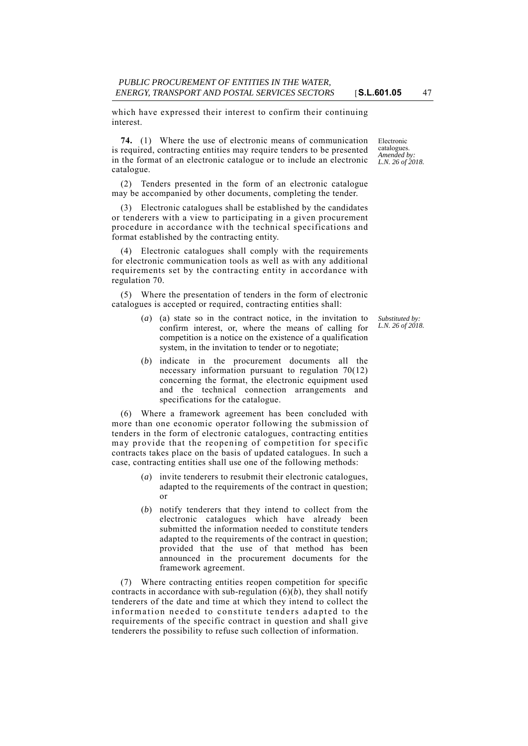which have expressed their interest to confirm their continuing interest.

**74.** (1) Where the use of electronic means of communication is required, contracting entities may require tenders to be presented in the format of an electronic catalogue or to include an electronic catalogue.

(2) Tenders presented in the form of an electronic catalogue may be accompanied by other documents, completing the tender.

(3) Electronic catalogues shall be established by the candidates or tenderers with a view to participating in a given procurement procedure in accordance with the technical specifications and format established by the contracting entity.

(4) Electronic catalogues shall comply with the requirements for electronic communication tools as well as with any additional requirements set by the contracting entity in accordance with regulation 70.

(5) Where the presentation of tenders in the form of electronic catalogues is accepted or required, contracting entities shall:

- (*a*) (a) state so in the contract notice, in the invitation to confirm interest, or, where the means of calling for competition is a notice on the existence of a qualification system, in the invitation to tender or to negotiate;
- (*b*) indicate in the procurement documents all the necessary information pursuant to regulation 70(12) concerning the format, the electronic equipment used and the technical connection arrangements and specifications for the catalogue.

(6) Where a framework agreement has been concluded with more than one economic operator following the submission of tenders in the form of electronic catalogues, contracting entities may provide that the reopening of competition for specific contracts takes place on the basis of updated catalogues. In such a case, contracting entities shall use one of the following methods:

- (*a*) invite tenderers to resubmit their electronic catalogues, adapted to the requirements of the contract in question; or
- (*b*) notify tenderers that they intend to collect from the electronic catalogues which have already been submitted the information needed to constitute tenders adapted to the requirements of the contract in question; provided that the use of that method has been announced in the procurement documents for the framework agreement.

(7) Where contracting entities reopen competition for specific contracts in accordance with sub-regulation  $(6)(b)$ , they shall notify tenderers of the date and time at which they intend to collect the information needed to constitute tenders adapted to the requirements of the specific contract in question and shall give tenderers the possibility to refuse such collection of information.

Electronic catalogues. *Amended by: L.N. 26 of 2018.*

*Substituted by: L.N. 26 of 2018.*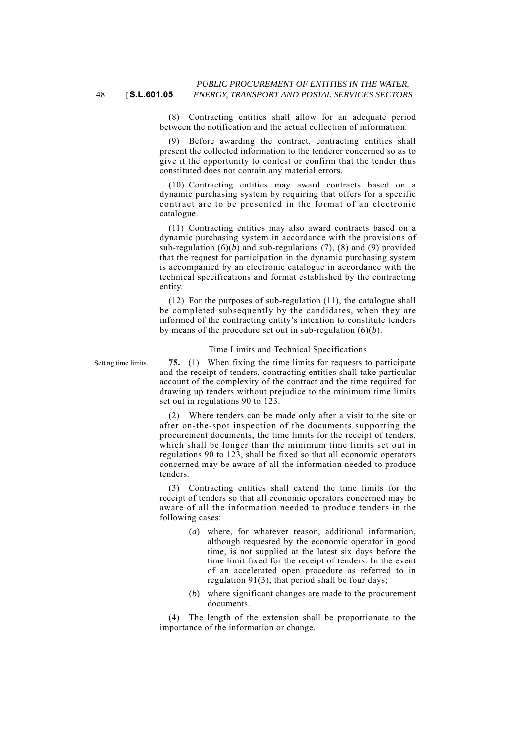(8) Contracting entities shall allow for an adequate period between the notification and the actual collection of information.

(9) Before awarding the contract, contracting entities shall present the collected information to the tenderer concerned so as to give it the opportunity to contest or confirm that the tender thus constituted does not contain any material errors.

(10) Contracting entities may award contracts based on a dynamic purchasing system by requiring that offers for a specific contract are to be presented in the format of an electronic catalogue.

(11) Contracting entities may also award contracts based on a dynamic purchasing system in accordance with the provisions of sub-regulation  $(6)(b)$  and sub-regulations  $(7)$ ,  $(8)$  and  $(9)$  provided that the request for participation in the dynamic purchasing system is accompanied by an electronic catalogue in accordance with the technical specifications and format established by the contracting entity.

(12) For the purposes of sub-regulation (11), the catalogue shall be completed subsequently by the candidates, when they are informed of the contracting entity's intention to constitute tenders by means of the procedure set out in sub-regulation (6)(*b*).

### Time Limits and Technical Specifications

Setting time limits. **75.** (1) When fixing the time limits for requests to participate and the receipt of tenders, contracting entities shall take particular account of the complexity of the contract and the time required for drawing up tenders without prejudice to the minimum time limits set out in regulations 90 to 123.

> (2) Where tenders can be made only after a visit to the site or after on-the-spot inspection of the documents supporting the procurement documents, the time limits for the receipt of tenders, which shall be longer than the minimum time limits set out in regulations 90 to 123, shall be fixed so that all economic operators concerned may be aware of all the information needed to produce tenders.

> (3) Contracting entities shall extend the time limits for the receipt of tenders so that all economic operators concerned may be aware of all the information needed to produce tenders in the following cases:

- (*a*) where, for whatever reason, additional information, although requested by the economic operator in good time, is not supplied at the latest six days before the time limit fixed for the receipt of tenders. In the event of an accelerated open procedure as referred to in regulation 91(3), that period shall be four days;
- (*b*) where significant changes are made to the procurement documents.

(4) The length of the extension shall be proportionate to the importance of the information or change.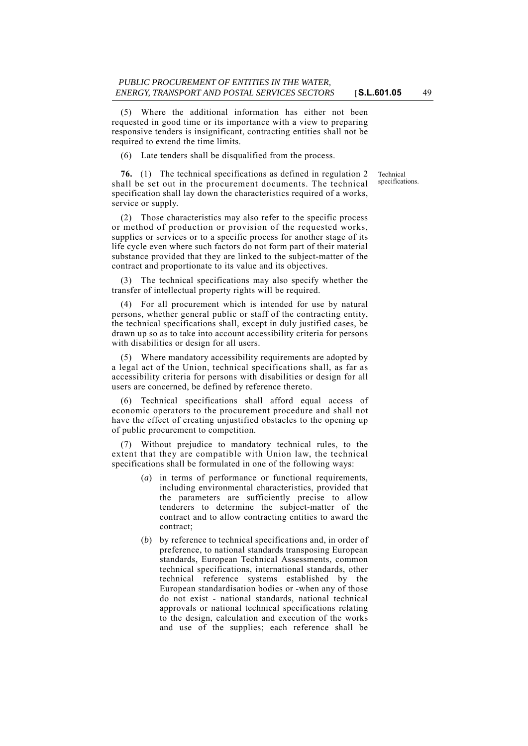(5) Where the additional information has either not been requested in good time or its importance with a view to preparing responsive tenders is insignificant, contracting entities shall not be required to extend the time limits.

(6) Late tenders shall be disqualified from the process.

**76.** (1) The technical specifications as defined in regulation 2 shall be set out in the procurement documents. The technical specification shall lay down the characteristics required of a works, service or supply.

(2) Those characteristics may also refer to the specific process or method of production or provision of the requested works, supplies or services or to a specific process for another stage of its life cycle even where such factors do not form part of their material substance provided that they are linked to the subject-matter of the contract and proportionate to its value and its objectives.

(3) The technical specifications may also specify whether the transfer of intellectual property rights will be required.

(4) For all procurement which is intended for use by natural persons, whether general public or staff of the contracting entity, the technical specifications shall, except in duly justified cases, be drawn up so as to take into account accessibility criteria for persons with disabilities or design for all users.

Where mandatory accessibility requirements are adopted by a legal act of the Union, technical specifications shall, as far as accessibility criteria for persons with disabilities or design for all users are concerned, be defined by reference thereto.

(6) Technical specifications shall afford equal access of economic operators to the procurement procedure and shall not have the effect of creating unjustified obstacles to the opening up of public procurement to competition.

(7) Without prejudice to mandatory technical rules, to the extent that they are compatible with Union law, the technical specifications shall be formulated in one of the following ways:

- (*a*) in terms of performance or functional requirements, including environmental characteristics, provided that the parameters are sufficiently precise to allow tenderers to determine the subject-matter of the contract and to allow contracting entities to award the contract;
- (*b*) by reference to technical specifications and, in order of preference, to national standards transposing European standards, European Technical Assessments, common technical specifications, international standards, other technical reference systems established by the European standardisation bodies or -when any of those do not exist - national standards, national technical approvals or national technical specifications relating to the design, calculation and execution of the works and use of the supplies; each reference shall be

Technical specifications.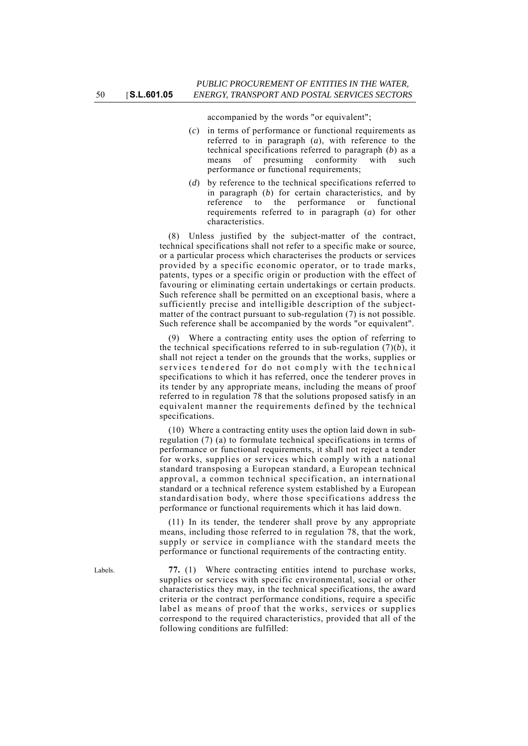accompanied by the words "or equivalent";

- (*c*) in terms of performance or functional requirements as referred to in paragraph (*a*), with reference to the technical specifications referred to paragraph (*b*) as a means of presuming conformity with such performance or functional requirements;
- (*d*) by reference to the technical specifications referred to in paragraph (*b*) for certain characteristics, and by reference to the performance or functional requirements referred to in paragraph (*a*) for other characteristics.

(8) Unless justified by the subject-matter of the contract, technical specifications shall not refer to a specific make or source, or a particular process which characterises the products or services provided by a specific economic operator, or to trade marks, patents, types or a specific origin or production with the effect of favouring or eliminating certain undertakings or certain products. Such reference shall be permitted on an exceptional basis, where a sufficiently precise and intelligible description of the subjectmatter of the contract pursuant to sub-regulation (7) is not possible. Such reference shall be accompanied by the words "or equivalent".

Where a contracting entity uses the option of referring to the technical specifications referred to in sub-regulation (7)(*b*), it shall not reject a tender on the grounds that the works, supplies or services tendered for do not comply with the technical specifications to which it has referred, once the tenderer proves in its tender by any appropriate means, including the means of proof referred to in regulation 78 that the solutions proposed satisfy in an equivalent manner the requirements defined by the technical specifications.

(10) Where a contracting entity uses the option laid down in subregulation (7) (a) to formulate technical specifications in terms of performance or functional requirements, it shall not reject a tender for works, supplies or services which comply with a national standard transposing a European standard, a European technical approval, a common technical specification, an international standard or a technical reference system established by a European standardisation body, where those specifications address the performance or functional requirements which it has laid down.

(11) In its tender, the tenderer shall prove by any appropriate means, including those referred to in regulation 78, that the work, supply or service in compliance with the standard meets the performance or functional requirements of the contracting entity.

Labels. **77.** (1) Where contracting entities intend to purchase works, supplies or services with specific environmental, social or other characteristics they may, in the technical specifications, the award criteria or the contract performance conditions, require a specific label as means of proof that the works, services or supplies correspond to the required characteristics, provided that all of the following conditions are fulfilled: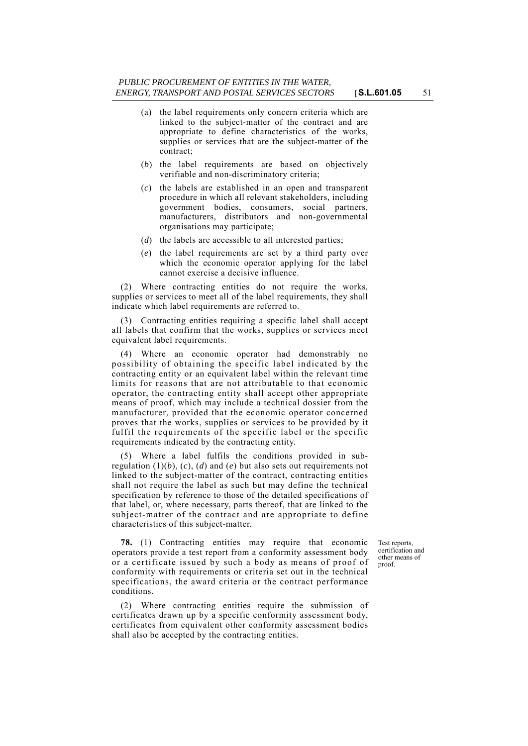- (a) the label requirements only concern criteria which are linked to the subject-matter of the contract and are appropriate to define characteristics of the works, supplies or services that are the subject-matter of the contract;
- (*b*) the label requirements are based on objectively verifiable and non-discriminatory criteria;
- (*c*) the labels are established in an open and transparent procedure in which all relevant stakeholders, including government bodies, consumers, social partners, manufacturers, distributors and non-governmental organisations may participate;
- (*d*) the labels are accessible to all interested parties;
- (*e*) the label requirements are set by a third party over which the economic operator applying for the label cannot exercise a decisive influence.

(2) Where contracting entities do not require the works, supplies or services to meet all of the label requirements, they shall indicate which label requirements are referred to.

(3) Contracting entities requiring a specific label shall accept all labels that confirm that the works, supplies or services meet equivalent label requirements.

(4) Where an economic operator had demonstrably no possibility of obtaining the specific label indicated by the contracting entity or an equivalent label within the relevant time limits for reasons that are not attributable to that economic operator, the contracting entity shall accept other appropriate means of proof, which may include a technical dossier from the manufacturer, provided that the economic operator concerned proves that the works, supplies or services to be provided by it fulfil the requirements of the specific label or the specific requirements indicated by the contracting entity.

(5) Where a label fulfils the conditions provided in subregulation  $(1)(b)$ ,  $(c)$ ,  $(d)$  and  $(e)$  but also sets out requirements not linked to the subject-matter of the contract, contracting entities shall not require the label as such but may define the technical specification by reference to those of the detailed specifications of that label, or, where necessary, parts thereof, that are linked to the subject-matter of the contract and are appropriate to define characteristics of this subject-matter.

**78.** (1) Contracting entities may require that economic operators provide a test report from a conformity assessment body or a certificate issued by such a body as means of proof of conformity with requirements or criteria set out in the technical specifications, the award criteria or the contract performance conditions.

(2) Where contracting entities require the submission of certificates drawn up by a specific conformity assessment body, certificates from equivalent other conformity assessment bodies shall also be accepted by the contracting entities.

Test reports, certification and other means of proof.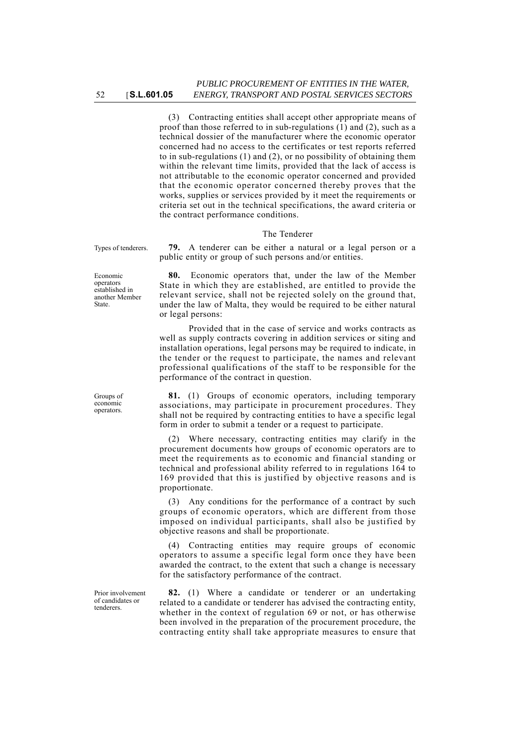(3) Contracting entities shall accept other appropriate means of proof than those referred to in sub-regulations (1) and (2), such as a technical dossier of the manufacturer where the economic operator concerned had no access to the certificates or test reports referred to in sub-regulations (1) and (2), or no possibility of obtaining them within the relevant time limits, provided that the lack of access is not attributable to the economic operator concerned and provided that the economic operator concerned thereby proves that the works, supplies or services provided by it meet the requirements or criteria set out in the technical specifications, the award criteria or the contract performance conditions.

#### The Tenderer

public entity or group of such persons and/or entities.

Types of tenderers. **79.** A tenderer can be either a natural or a legal person or a

Economic operators established in another Member State.

relevant service, shall not be rejected solely on the ground that, under the law of Malta, they would be required to be either natural or legal persons: Provided that in the case of service and works contracts as

**80.** Economic operators that, under the law of the Member State in which they are established, are entitled to provide the

well as supply contracts covering in addition services or siting and installation operations, legal persons may be required to indicate, in the tender or the request to participate, the names and relevant professional qualifications of the staff to be responsible for the performance of the contract in question.

**81.** (1) Groups of economic operators, including temporary associations, may participate in procurement procedures. They shall not be required by contracting entities to have a specific legal form in order to submit a tender or a request to participate.

(2) Where necessary, contracting entities may clarify in the procurement documents how groups of economic operators are to meet the requirements as to economic and financial standing or technical and professional ability referred to in regulations 164 to 169 provided that this is justified by objective reasons and is proportionate.

(3) Any conditions for the performance of a contract by such groups of economic operators, which are different from those imposed on individual participants, shall also be justified by objective reasons and shall be proportionate.

(4) Contracting entities may require groups of economic operators to assume a specific legal form once they have been awarded the contract, to the extent that such a change is necessary for the satisfactory performance of the contract.

**82.** (1) Where a candidate or tenderer or an undertaking related to a candidate or tenderer has advised the contracting entity, whether in the context of regulation 69 or not, or has otherwise been involved in the preparation of the procurement procedure, the contracting entity shall take appropriate measures to ensure that

Groups of economic operators.

Prior involvement of candidates or tenderers.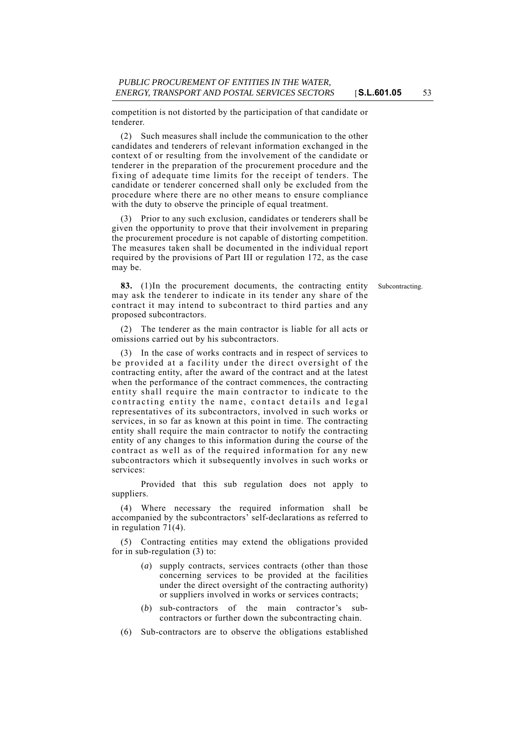competition is not distorted by the participation of that candidate or tenderer.

(2) Such measures shall include the communication to the other candidates and tenderers of relevant information exchanged in the context of or resulting from the involvement of the candidate or tenderer in the preparation of the procurement procedure and the fixing of adequate time limits for the receipt of tenders. The candidate or tenderer concerned shall only be excluded from the procedure where there are no other means to ensure compliance with the duty to observe the principle of equal treatment.

(3) Prior to any such exclusion, candidates or tenderers shall be given the opportunity to prove that their involvement in preparing the procurement procedure is not capable of distorting competition. The measures taken shall be documented in the individual report required by the provisions of Part III or regulation 172, as the case may be.

**83.** (1)In the procurement documents, the contracting entity Subcontracting. may ask the tenderer to indicate in its tender any share of the contract it may intend to subcontract to third parties and any proposed subcontractors.

(2) The tenderer as the main contractor is liable for all acts or omissions carried out by his subcontractors.

(3) In the case of works contracts and in respect of services to be provided at a facility under the direct oversight of the contracting entity, after the award of the contract and at the latest when the performance of the contract commences, the contracting entity shall require the main contractor to indicate to the contracting entity the name, contact details and legal representatives of its subcontractors, involved in such works or services, in so far as known at this point in time. The contracting entity shall require the main contractor to notify the contracting entity of any changes to this information during the course of the contract as well as of the required information for any new subcontractors which it subsequently involves in such works or services:

Provided that this sub regulation does not apply to suppliers.

(4) Where necessary the required information shall be accompanied by the subcontractors' self-declarations as referred to in regulation  $71(4)$ .

(5) Contracting entities may extend the obligations provided for in sub-regulation (3) to:

- (*a*) supply contracts, services contracts (other than those concerning services to be provided at the facilities under the direct oversight of the contracting authority) or suppliers involved in works or services contracts;
- (*b*) sub-contractors of the main contractor's subcontractors or further down the subcontracting chain.
- (6) Sub-contractors are to observe the obligations established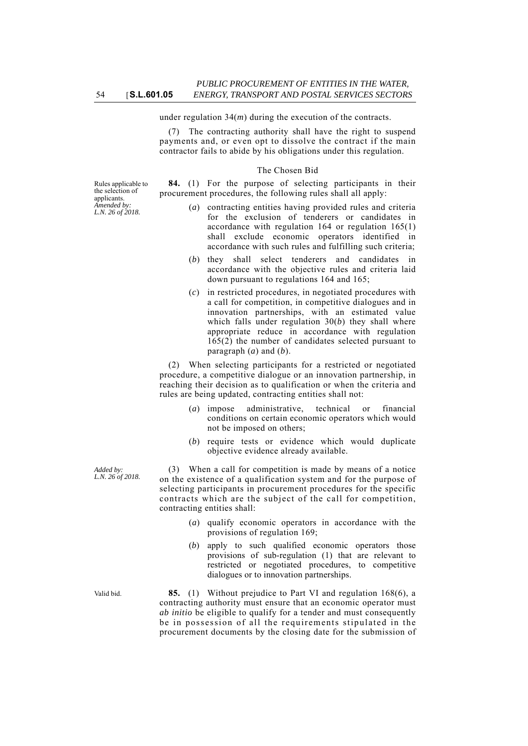under regulation 34(*m*) during the execution of the contracts.

(7) The contracting authority shall have the right to suspend payments and, or even opt to dissolve the contract if the main contractor fails to abide by his obligations under this regulation.

#### The Chosen Bid

**84.** (1) For the purpose of selecting participants in their procurement procedures, the following rules shall all apply:

- (*a*) contracting entities having provided rules and criteria for the exclusion of tenderers or candidates in accordance with regulation 164 or regulation 165(1) shall exclude economic operators identified in accordance with such rules and fulfilling such criteria;
- (*b*) they shall select tenderers and candidates in accordance with the objective rules and criteria laid down pursuant to regulations 164 and 165;
- (*c*) in restricted procedures, in negotiated procedures with a call for competition, in competitive dialogues and in innovation partnerships, with an estimated value which falls under regulation 30(*b*) they shall where appropriate reduce in accordance with regulation 165(2) the number of candidates selected pursuant to paragraph (*a*) and (*b*).

(2) When selecting participants for a restricted or negotiated procedure, a competitive dialogue or an innovation partnership, in reaching their decision as to qualification or when the criteria and rules are being updated, contracting entities shall not:

- (*a*) impose administrative, technical or financial conditions on certain economic operators which would not be imposed on others;
- (*b*) require tests or evidence which would duplicate objective evidence already available.

(3) When a call for competition is made by means of a notice on the existence of a qualification system and for the purpose of selecting participants in procurement procedures for the specific contracts which are the subject of the call for competition, contracting entities shall:

- (*a*) qualify economic operators in accordance with the provisions of regulation 169;
- (*b*) apply to such qualified economic operators those provisions of sub-regulation (1) that are relevant to restricted or negotiated procedures, to competitive dialogues or to innovation partnerships.

Valid bid. **85.** (1) Without prejudice to Part VI and regulation 168(6), a contracting authority must ensure that an economic operator must *ab initio* be eligible to qualify for a tender and must consequently be in possession of all the requirements stipulated in the procurement documents by the closing date for the submission of

Rules applicable to the selection of applicants. *Amended by: L.N. 26 of 2018.*

*Added by: L.N. 26 of 2018.*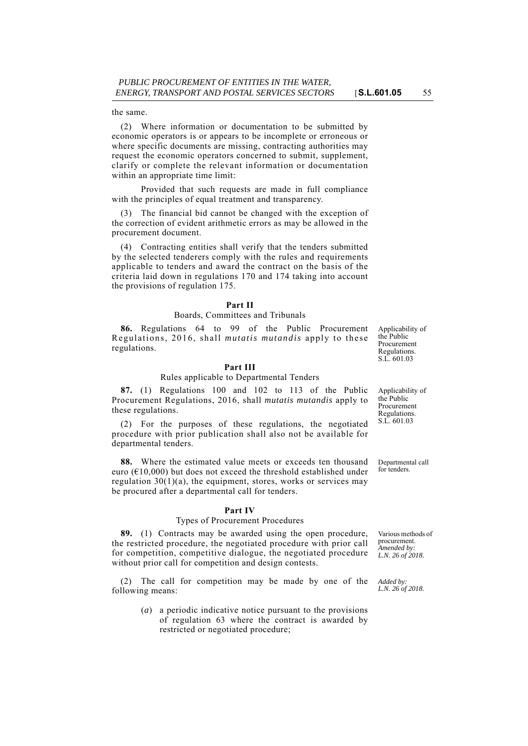the same.

(2) Where information or documentation to be submitted by economic operators is or appears to be incomplete or erroneous or where specific documents are missing, contracting authorities may request the economic operators concerned to submit, supplement, clarify or complete the relevant information or documentation within an appropriate time limit:

Provided that such requests are made in full compliance with the principles of equal treatment and transparency.

(3) The financial bid cannot be changed with the exception of the correction of evident arithmetic errors as may be allowed in the procurement document.

(4) Contracting entities shall verify that the tenders submitted by the selected tenderers comply with the rules and requirements applicable to tenders and award the contract on the basis of the criteria laid down in regulations 170 and 174 taking into account the provisions of regulation 175.

### **Part II**

### Boards, Committees and Tribunals

**86.** Regulations 64 to 99 of the Public Procurement Regulations, 2016, shall *mutatis mutandis* apply to these regulations.

### **Part III**

### Rules applicable to Departmental Tenders

**87.** (1) Regulations 100 and 102 to 113 of the Public Procurement Regulations, 2016, shall *mutatis mutandis* apply to these regulations.

(2) For the purposes of these regulations, the negotiated procedure with prior publication shall also not be available for departmental tenders.

**88.** Where the estimated value meets or exceeds ten thousand euro ( $\epsilon$ 10,000) but does not exceed the threshold established under regulation  $30(1)(a)$ , the equipment, stores, works or services may be procured after a departmental call for tenders.

#### **Part IV**

#### Types of Procurement Procedures

**89.** (1) Contracts may be awarded using the open procedure, the restricted procedure, the negotiated procedure with prior call for competition, competitive dialogue, the negotiated procedure without prior call for competition and design contests.

(2) The call for competition may be made by one of the following means:

> (*a*) a periodic indicative notice pursuant to the provisions of regulation 63 where the contract is awarded by restricted or negotiated procedure;

Applicability of the Public Procurement Regulations. S.L. 601.03

Applicability of the Public Procurement Regulations. S.L. 601.03

Departmental call for tenders.

Various methods of procurement. *Amended by: L.N. 26 of 2018.*

*Added by: L.N. 26 of 2018.*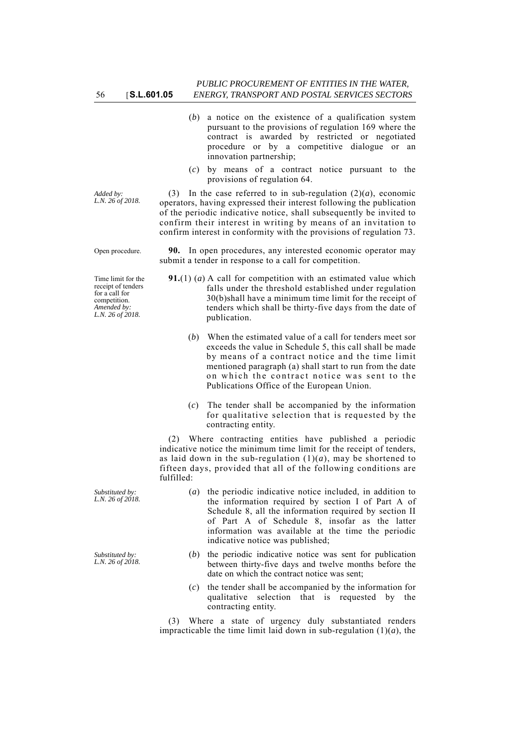- (*b*) a notice on the existence of a qualification system pursuant to the provisions of regulation 169 where the contract is awarded by restricted or negotiated procedure or by a competitive dialogue or an innovation partnership;
- (*c*) by means of a contract notice pursuant to the provisions of regulation 64.

(3) In the case referred to in sub-regulation  $(2)(a)$ , economic operators, having expressed their interest following the publication of the periodic indicative notice, shall subsequently be invited to confirm their interest in writing by means of an invitation to confirm interest in conformity with the provisions of regulation 73.

Open procedure. **90.** In open procedures, any interested economic operator may submit a tender in response to a call for competition.

- **91.**(1) (*a*) A call for competition with an estimated value which falls under the threshold established under regulation 30(b)shall have a minimum time limit for the receipt of tenders which shall be thirty-five days from the date of publication.
	- (*b*) When the estimated value of a call for tenders meet sor exceeds the value in Schedule 5, this call shall be made by means of a contract notice and the time limit mentioned paragraph (a) shall start to run from the date on which the contract notice was sent to the Publications Office of the European Union.
	- (*c*) The tender shall be accompanied by the information for qualitative selection that is requested by the contracting entity.

(2) Where contracting entities have published a periodic indicative notice the minimum time limit for the receipt of tenders, as laid down in the sub-regulation  $(1)(a)$ , may be shortened to fifteen days, provided that all of the following conditions are fulfilled:

- (*a*) the periodic indicative notice included, in addition to the information required by section I of Part A of Schedule 8, all the information required by section II of Part A of Schedule 8, insofar as the latter information was available at the time the periodic indicative notice was published;
	- (*b*) the periodic indicative notice was sent for publication between thirty-five days and twelve months before the date on which the contract notice was sent;
	- (*c*) the tender shall be accompanied by the information for qualitative selection that is requested by the contracting entity.

(3) Where a state of urgency duly substantiated renders impracticable the time limit laid down in sub-regulation  $(1)(a)$ , the

*Added by: L.N. 26 of 2018.*

Time limit for the receipt of tenders for a call for competition. *Amended by: L.N. 26 of 2018.*

*Substituted by: L.N. 26 of 2018.*

*Substituted by: L.N. 26 of 2018.*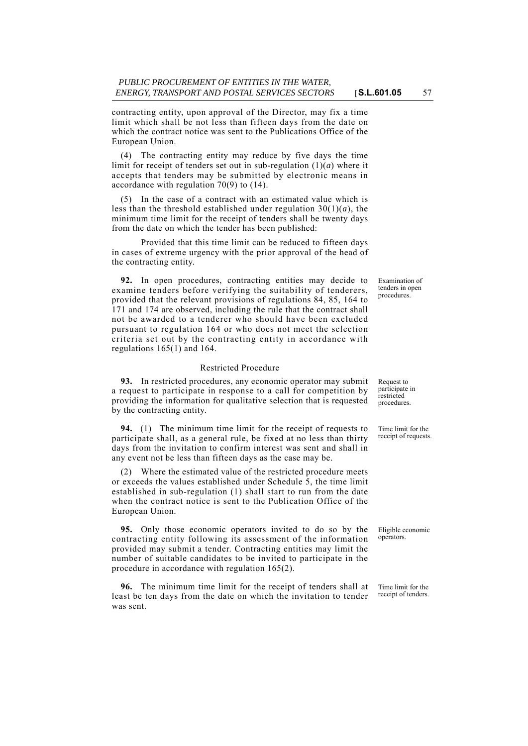contracting entity, upon approval of the Director, may fix a time limit which shall be not less than fifteen days from the date on which the contract notice was sent to the Publications Office of the European Union.

(4) The contracting entity may reduce by five days the time limit for receipt of tenders set out in sub-regulation (1)(*a*) where it accepts that tenders may be submitted by electronic means in accordance with regulation 70(9) to (14).

(5) In the case of a contract with an estimated value which is less than the threshold established under regulation  $30(1)(a)$ , the minimum time limit for the receipt of tenders shall be twenty days from the date on which the tender has been published:

Provided that this time limit can be reduced to fifteen days in cases of extreme urgency with the prior approval of the head of the contracting entity.

**92.** In open procedures, contracting entities may decide to examine tenders before verifying the suitability of tenderers, provided that the relevant provisions of regulations 84, 85, 164 to 171 and 174 are observed, including the rule that the contract shall not be awarded to a tenderer who should have been excluded pursuant to regulation 164 or who does not meet the selection criteria set out by the contracting entity in accordance with regulations 165(1) and 164.

### Restricted Procedure

**93.** In restricted procedures, any economic operator may submit a request to participate in response to a call for competition by providing the information for qualitative selection that is requested by the contracting entity.

**94.** (1) The minimum time limit for the receipt of requests to participate shall, as a general rule, be fixed at no less than thirty days from the invitation to confirm interest was sent and shall in any event not be less than fifteen days as the case may be.

(2) Where the estimated value of the restricted procedure meets or exceeds the values established under Schedule 5, the time limit established in sub-regulation (1) shall start to run from the date when the contract notice is sent to the Publication Office of the European Union.

**95.** Only those economic operators invited to do so by the contracting entity following its assessment of the information provided may submit a tender. Contracting entities may limit the number of suitable candidates to be invited to participate in the procedure in accordance with regulation 165(2).

**96.** The minimum time limit for the receipt of tenders shall at least be ten days from the date on which the invitation to tender was sent.

Examination of tenders in open procedures.

Request to participate in restricted procedures.

Time limit for the receipt of requests.

Eligible economic operators.

Time limit for the receipt of tenders.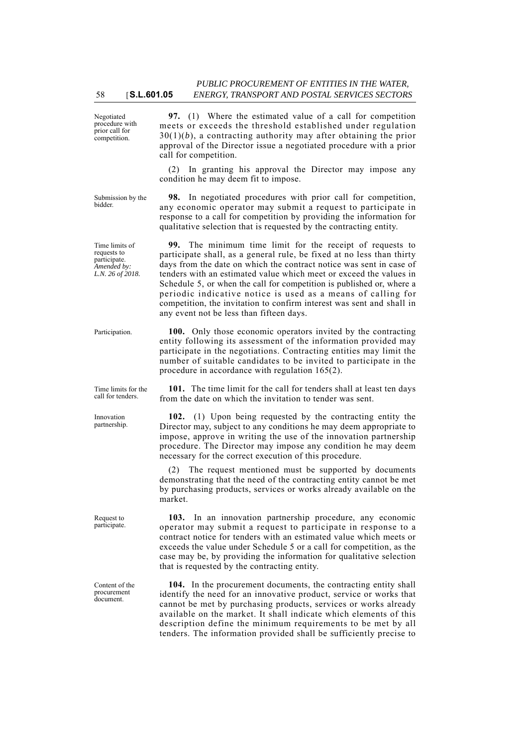Negotiated procedure with prior call for competition.

**97.** (1) Where the estimated value of a call for competition meets or exceeds the threshold established under regulation  $30(1)(b)$ , a contracting authority may after obtaining the prior approval of the Director issue a negotiated procedure with a prior call for competition.

(2) In granting his approval the Director may impose any condition he may deem fit to impose.

Submission by the bidder.

Time limits of requests to participate *Amended by: L.N. 26 of 2018.*

**98.** In negotiated procedures with prior call for competition, any economic operator may submit a request to participate in response to a call for competition by providing the information for qualitative selection that is requested by the contracting entity.

**99.** The minimum time limit for the receipt of requests to participate shall, as a general rule, be fixed at no less than thirty days from the date on which the contract notice was sent in case of tenders with an estimated value which meet or exceed the values in Schedule 5, or when the call for competition is published or, where a periodic indicative notice is used as a means of calling for competition, the invitation to confirm interest was sent and shall in any event not be less than fifteen days.

Participation. **100.** Only those economic operators invited by the contracting entity following its assessment of the information provided may participate in the negotiations. Contracting entities may limit the number of suitable candidates to be invited to participate in the procedure in accordance with regulation 165(2).

> **101.** The time limit for the call for tenders shall at least ten days from the date on which the invitation to tender was sent.

> **102.** (1) Upon being requested by the contracting entity the Director may, subject to any conditions he may deem appropriate to impose, approve in writing the use of the innovation partnership procedure. The Director may impose any condition he may deem necessary for the correct execution of this procedure.

> (2) The request mentioned must be supported by documents demonstrating that the need of the contracting entity cannot be met by purchasing products, services or works already available on the market.

> **103.** In an innovation partnership procedure, any economic operator may submit a request to participate in response to a contract notice for tenders with an estimated value which meets or exceeds the value under Schedule 5 or a call for competition, as the case may be, by providing the information for qualitative selection that is requested by the contracting entity.

> **104.** In the procurement documents, the contracting entity shall identify the need for an innovative product, service or works that cannot be met by purchasing products, services or works already available on the market. It shall indicate which elements of this description define the minimum requirements to be met by all tenders. The information provided shall be sufficiently precise to

Time limits for the call for tenders.

Innovation partnership.

Request to participate.

Content of the procurement document.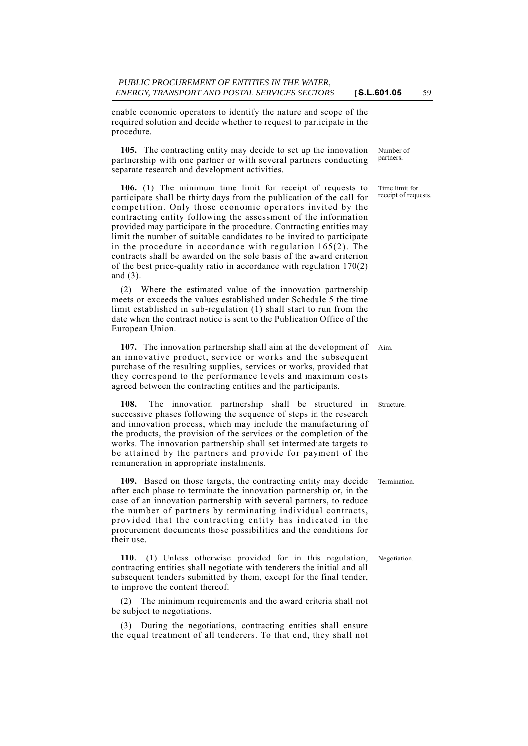enable economic operators to identify the nature and scope of the required solution and decide whether to request to participate in the procedure.

**105.** The contracting entity may decide to set up the innovation partnership with one partner or with several partners conducting separate research and development activities.

**106.** (1) The minimum time limit for receipt of requests to participate shall be thirty days from the publication of the call for competition. Only those economic operators invited by the contracting entity following the assessment of the information provided may participate in the procedure. Contracting entities may limit the number of suitable candidates to be invited to participate in the procedure in accordance with regulation 165(2). The contracts shall be awarded on the sole basis of the award criterion of the best price-quality ratio in accordance with regulation 170(2) and (3).

(2) Where the estimated value of the innovation partnership meets or exceeds the values established under Schedule 5 the time limit established in sub-regulation (1) shall start to run from the date when the contract notice is sent to the Publication Office of the European Union.

107. The innovation partnership shall aim at the development of Aim. an innovative product, service or works and the subsequent purchase of the resulting supplies, services or works, provided that they correspond to the performance levels and maximum costs agreed between the contracting entities and the participants.

**108.** The innovation partnership shall be structured in Structure. successive phases following the sequence of steps in the research and innovation process, which may include the manufacturing of the products, the provision of the services or the completion of the works. The innovation partnership shall set intermediate targets to be attained by the partners and provide for payment of the remuneration in appropriate instalments.

**109.** Based on those targets, the contracting entity may decide Termination. after each phase to terminate the innovation partnership or, in the case of an innovation partnership with several partners, to reduce the number of partners by terminating individual contracts, provided that the contracting entity has indicated in the procurement documents those possibilities and the conditions for their use.

**110.** (1) Unless otherwise provided for in this regulation, Negotiation. contracting entities shall negotiate with tenderers the initial and all subsequent tenders submitted by them, except for the final tender, to improve the content thereof.

(2) The minimum requirements and the award criteria shall not be subject to negotiations.

(3) During the negotiations, contracting entities shall ensure the equal treatment of all tenderers. To that end, they shall not Number of partners.

Time limit for receipt of requests.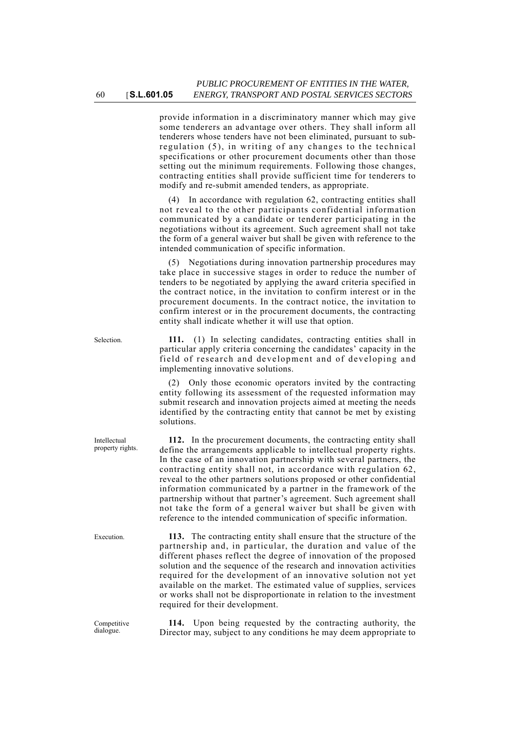provide information in a discriminatory manner which may give some tenderers an advantage over others. They shall inform all tenderers whose tenders have not been eliminated, pursuant to subregulation (5), in writing of any changes to the technical specifications or other procurement documents other than those setting out the minimum requirements. Following those changes, contracting entities shall provide sufficient time for tenderers to modify and re-submit amended tenders, as appropriate.

(4) In accordance with regulation 62, contracting entities shall not reveal to the other participants confidential information communicated by a candidate or tenderer participating in the negotiations without its agreement. Such agreement shall not take the form of a general waiver but shall be given with reference to the intended communication of specific information.

(5) Negotiations during innovation partnership procedures may take place in successive stages in order to reduce the number of tenders to be negotiated by applying the award criteria specified in the contract notice, in the invitation to confirm interest or in the procurement documents. In the contract notice, the invitation to confirm interest or in the procurement documents, the contracting entity shall indicate whether it will use that option.

Selection. **111.** (1) In selecting candidates, contracting entities shall in particular apply criteria concerning the candidates' capacity in the field of research and development and of developing and implementing innovative solutions.

> (2) Only those economic operators invited by the contracting entity following its assessment of the requested information may submit research and innovation projects aimed at meeting the needs identified by the contracting entity that cannot be met by existing solutions.

> **112.** In the procurement documents, the contracting entity shall define the arrangements applicable to intellectual property rights. In the case of an innovation partnership with several partners, the contracting entity shall not, in accordance with regulation 62, reveal to the other partners solutions proposed or other confidential information communicated by a partner in the framework of the partnership without that partner's agreement. Such agreement shall not take the form of a general waiver but shall be given with reference to the intended communication of specific information.

Execution. **113.** The contracting entity shall ensure that the structure of the partnership and, in particular, the duration and value of the different phases reflect the degree of innovation of the proposed solution and the sequence of the research and innovation activities required for the development of an innovative solution not yet available on the market. The estimated value of supplies, services or works shall not be disproportionate in relation to the investment required for their development.

> **114.** Upon being requested by the contracting authority, the Director may, subject to any conditions he may deem appropriate to

Intellectual property rights.

Competitive dialogue.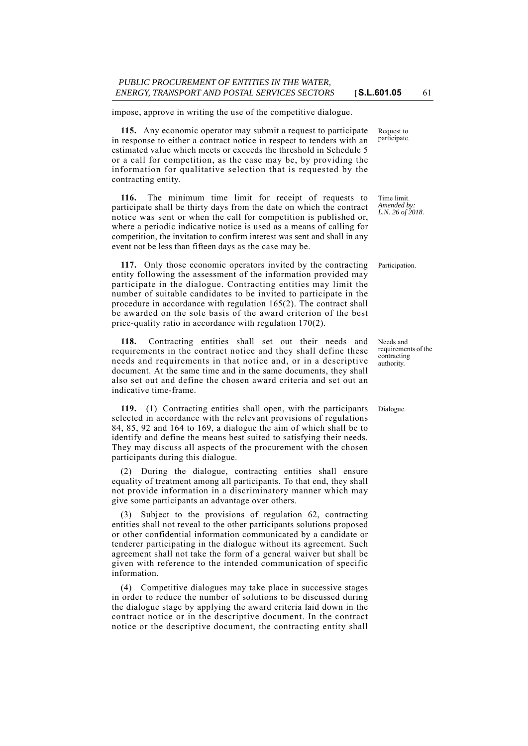impose, approve in writing the use of the competitive dialogue.

**115.** Any economic operator may submit a request to participate in response to either a contract notice in respect to tenders with an estimated value which meets or exceeds the threshold in Schedule 5 or a call for competition, as the case may be, by providing the information for qualitative selection that is requested by the contracting entity.

**116.** The minimum time limit for receipt of requests to participate shall be thirty days from the date on which the contract notice was sent or when the call for competition is published or, where a periodic indicative notice is used as a means of calling for competition, the invitation to confirm interest was sent and shall in any event not be less than fifteen days as the case may be.

**117.** Only those economic operators invited by the contracting Participation. entity following the assessment of the information provided may participate in the dialogue. Contracting entities may limit the number of suitable candidates to be invited to participate in the procedure in accordance with regulation 165(2). The contract shall be awarded on the sole basis of the award criterion of the best price-quality ratio in accordance with regulation 170(2).

**118.** Contracting entities shall set out their needs and requirements in the contract notice and they shall define these needs and requirements in that notice and, or in a descriptive document. At the same time and in the same documents, they shall also set out and define the chosen award criteria and set out an indicative time-frame.

**119.** (1) Contracting entities shall open, with the participants Dialogue. selected in accordance with the relevant provisions of regulations 84, 85, 92 and 164 to 169, a dialogue the aim of which shall be to identify and define the means best suited to satisfying their needs. They may discuss all aspects of the procurement with the chosen participants during this dialogue.

(2) During the dialogue, contracting entities shall ensure equality of treatment among all participants. To that end, they shall not provide information in a discriminatory manner which may give some participants an advantage over others.

(3) Subject to the provisions of regulation 62, contracting entities shall not reveal to the other participants solutions proposed or other confidential information communicated by a candidate or tenderer participating in the dialogue without its agreement. Such agreement shall not take the form of a general waiver but shall be given with reference to the intended communication of specific information.

(4) Competitive dialogues may take place in successive stages in order to reduce the number of solutions to be discussed during the dialogue stage by applying the award criteria laid down in the contract notice or in the descriptive document. In the contract notice or the descriptive document, the contracting entity shall

Request to participate.

Time limit. *Amended by: L.N. 26 of 2018.*

Needs and requirements of the contracting authority.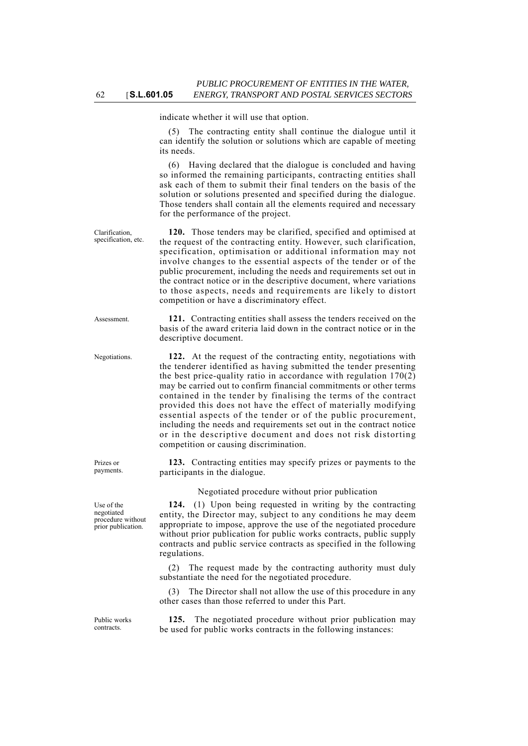indicate whether it will use that option.

(5) The contracting entity shall continue the dialogue until it can identify the solution or solutions which are capable of meeting its needs.

(6) Having declared that the dialogue is concluded and having so informed the remaining participants, contracting entities shall ask each of them to submit their final tenders on the basis of the solution or solutions presented and specified during the dialogue. Those tenders shall contain all the elements required and necessary for the performance of the project.

**120.** Those tenders may be clarified, specified and optimised at the request of the contracting entity. However, such clarification, specification, optimisation or additional information may not involve changes to the essential aspects of the tender or of the public procurement, including the needs and requirements set out in the contract notice or in the descriptive document, where variations to those aspects, needs and requirements are likely to distort competition or have a discriminatory effect.

Assessment. **121.** Contracting entities shall assess the tenders received on the basis of the award criteria laid down in the contract notice or in the descriptive document.

Negotiations. **122.** At the request of the contracting entity, negotiations with the tenderer identified as having submitted the tender presenting the best price-quality ratio in accordance with regulation  $170(2)$ may be carried out to confirm financial commitments or other terms contained in the tender by finalising the terms of the contract provided this does not have the effect of materially modifying essential aspects of the tender or of the public procurement, including the needs and requirements set out in the contract notice or in the descriptive document and does not risk distorting competition or causing discrimination.

> **123.** Contracting entities may specify prizes or payments to the participants in the dialogue.

> > Negotiated procedure without prior publication

**124.** (1) Upon being requested in writing by the contracting entity, the Director may, subject to any conditions he may deem appropriate to impose, approve the use of the negotiated procedure without prior publication for public works contracts, public supply contracts and public service contracts as specified in the following regulations.

(2) The request made by the contracting authority must duly substantiate the need for the negotiated procedure.

(3) The Director shall not allow the use of this procedure in any other cases than those referred to under this Part.

**125.** The negotiated procedure without prior publication may be used for public works contracts in the following instances:

Use of the

Prizes or payments.

negotiated procedure without prior publication.

Public works contracts.

Clarification, specification, etc.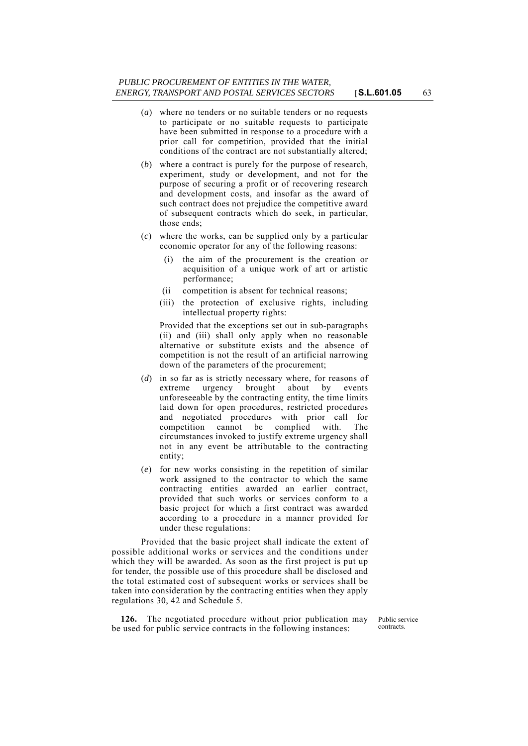- (*a*) where no tenders or no suitable tenders or no requests to participate or no suitable requests to participate have been submitted in response to a procedure with a prior call for competition, provided that the initial conditions of the contract are not substantially altered;
- (*b*) where a contract is purely for the purpose of research, experiment, study or development, and not for the purpose of securing a profit or of recovering research and development costs, and insofar as the award of such contract does not prejudice the competitive award of subsequent contracts which do seek, in particular, those ends;
- (*c*) where the works, can be supplied only by a particular economic operator for any of the following reasons:
	- (i) the aim of the procurement is the creation or acquisition of a unique work of art or artistic performance;
	- (ii competition is absent for technical reasons;
	- (iii) the protection of exclusive rights, including intellectual property rights:

Provided that the exceptions set out in sub-paragraphs (ii) and (iii) shall only apply when no reasonable alternative or substitute exists and the absence of competition is not the result of an artificial narrowing down of the parameters of the procurement;

- (*d*) in so far as is strictly necessary where, for reasons of extreme urgency brought about by events unforeseeable by the contracting entity, the time limits laid down for open procedures, restricted procedures and negotiated procedures with prior call for competition cannot be complied with. The circumstances invoked to justify extreme urgency shall not in any event be attributable to the contracting entity;
- (*e*) for new works consisting in the repetition of similar work assigned to the contractor to which the same contracting entities awarded an earlier contract, provided that such works or services conform to a basic project for which a first contract was awarded according to a procedure in a manner provided for under these regulations:

Provided that the basic project shall indicate the extent of possible additional works or services and the conditions under which they will be awarded. As soon as the first project is put up for tender, the possible use of this procedure shall be disclosed and the total estimated cost of subsequent works or services shall be taken into consideration by the contracting entities when they apply regulations 30, 42 and Schedule 5.

**126.** The negotiated procedure without prior publication may be used for public service contracts in the following instances:

Public service contracts.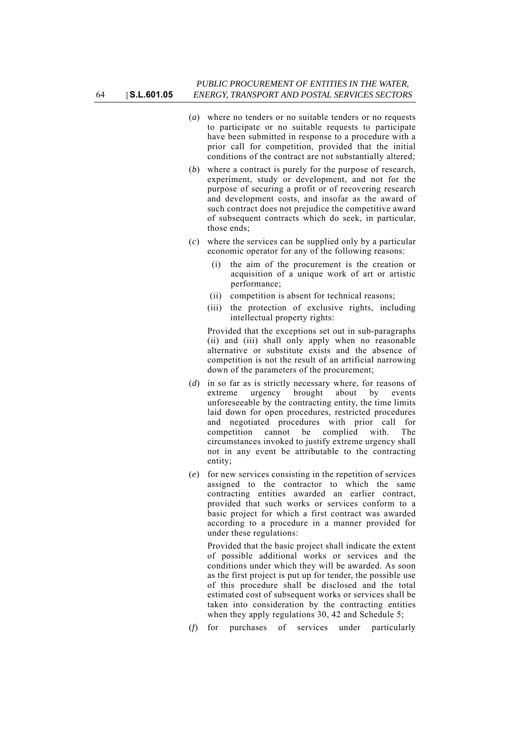- (*a*) where no tenders or no suitable tenders or no requests to participate or no suitable requests to participate have been submitted in response to a procedure with a prior call for competition, provided that the initial conditions of the contract are not substantially altered;
- (*b*) where a contract is purely for the purpose of research, experiment, study or development, and not for the purpose of securing a profit or of recovering research and development costs, and insofar as the award of such contract does not prejudice the competitive award of subsequent contracts which do seek, in particular, those ends;
- (*c*) where the services can be supplied only by a particular economic operator for any of the following reasons:
	- the aim of the procurement is the creation or acquisition of a unique work of art or artistic performance;
	- (ii) competition is absent for technical reasons;
	- (iii) the protection of exclusive rights, including intellectual property rights:

Provided that the exceptions set out in sub-paragraphs (ii) and (iii) shall only apply when no reasonable alternative or substitute exists and the absence of competition is not the result of an artificial narrowing down of the parameters of the procurement;

- (*d*) in so far as is strictly necessary where, for reasons of extreme urgency brought about by events unforeseeable by the contracting entity, the time limits laid down for open procedures, restricted procedures and negotiated procedures with prior call for competition cannot be complied with. The circumstances invoked to justify extreme urgency shall not in any event be attributable to the contracting entity;
- (*e*) for new services consisting in the repetition of services assigned to the contractor to which the same contracting entities awarded an earlier contract, provided that such works or services conform to a basic project for which a first contract was awarded according to a procedure in a manner provided for under these regulations:

Provided that the basic project shall indicate the extent of possible additional works or services and the conditions under which they will be awarded. As soon as the first project is put up for tender, the possible use of this procedure shall be disclosed and the total estimated cost of subsequent works or services shall be taken into consideration by the contracting entities when they apply regulations 30, 42 and Schedule 5;

(*f*) for purchases of services under particularly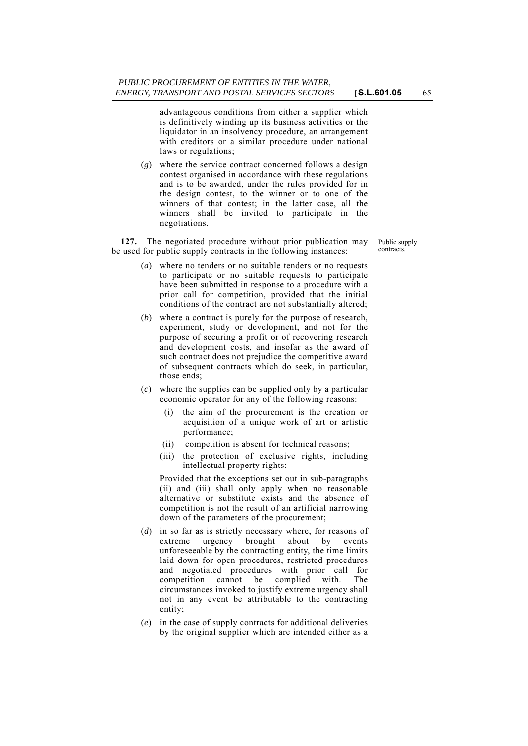advantageous conditions from either a supplier which is definitively winding up its business activities or the liquidator in an insolvency procedure, an arrangement with creditors or a similar procedure under national laws or regulations;

(*g*) where the service contract concerned follows a design contest organised in accordance with these regulations and is to be awarded, under the rules provided for in the design contest, to the winner or to one of the winners of that contest; in the latter case, all the winners shall be invited to participate in the negotiations.

**127.** The negotiated procedure without prior publication may be used for public supply contracts in the following instances:

Public supply contracts.

- (*a*) where no tenders or no suitable tenders or no requests to participate or no suitable requests to participate have been submitted in response to a procedure with a prior call for competition, provided that the initial conditions of the contract are not substantially altered;
- (*b*) where a contract is purely for the purpose of research, experiment, study or development, and not for the purpose of securing a profit or of recovering research and development costs, and insofar as the award of such contract does not prejudice the competitive award of subsequent contracts which do seek, in particular, those ends;
- (*c*) where the supplies can be supplied only by a particular economic operator for any of the following reasons:
	- (i) the aim of the procurement is the creation or acquisition of a unique work of art or artistic performance;
	- (ii) competition is absent for technical reasons;
	- (iii) the protection of exclusive rights, including intellectual property rights:

Provided that the exceptions set out in sub-paragraphs (ii) and (iii) shall only apply when no reasonable alternative or substitute exists and the absence of competition is not the result of an artificial narrowing down of the parameters of the procurement;

- (*d*) in so far as is strictly necessary where, for reasons of extreme urgency brought about by events unforeseeable by the contracting entity, the time limits laid down for open procedures, restricted procedures and negotiated procedures with prior call for competition cannot be complied with. The circumstances invoked to justify extreme urgency shall not in any event be attributable to the contracting entity;
- (*e*) in the case of supply contracts for additional deliveries by the original supplier which are intended either as a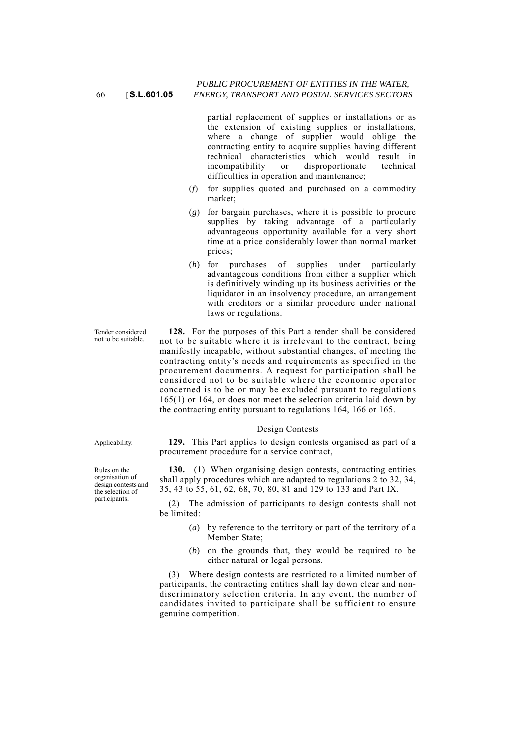partial replacement of supplies or installations or as the extension of existing supplies or installations, where a change of supplier would oblige the contracting entity to acquire supplies having different technical characteristics which would result in incompatibility or disproportionate technical difficulties in operation and maintenance;

- (*f*) for supplies quoted and purchased on a commodity market;
- (*g*) for bargain purchases, where it is possible to procure supplies by taking advantage of a particularly advantageous opportunity available for a very short time at a price considerably lower than normal market prices;
- (*h*) for purchases of supplies under particularly advantageous conditions from either a supplier which is definitively winding up its business activities or the liquidator in an insolvency procedure, an arrangement with creditors or a similar procedure under national laws or regulations.

**128.** For the purposes of this Part a tender shall be considered not to be suitable where it is irrelevant to the contract, being manifestly incapable, without substantial changes, of meeting the contracting entity's needs and requirements as specified in the procurement documents. A request for participation shall be considered not to be suitable where the economic operator concerned is to be or may be excluded pursuant to regulations 165(1) or 164, or does not meet the selection criteria laid down by the contracting entity pursuant to regulations 164, 166 or 165.

### Design Contests

Applicability. **129.** This Part applies to design contests organised as part of a procurement procedure for a service contract,

> **130.** (1) When organising design contests, contracting entities shall apply procedures which are adapted to regulations 2 to 32, 34, 35, 43 to 55, 61, 62, 68, 70, 80, 81 and 129 to 133 and Part IX.

> (2) The admission of participants to design contests shall not be limited:

- (*a*) by reference to the territory or part of the territory of a Member State;
- (*b*) on the grounds that, they would be required to be either natural or legal persons.

(3) Where design contests are restricted to a limited number of participants, the contracting entities shall lay down clear and nondiscriminatory selection criteria. In any event, the number of candidates invited to participate shall be sufficient to ensure genuine competition.

Tender considered not to be suitable.

Rules on the organisation of design contests and the selection of participants.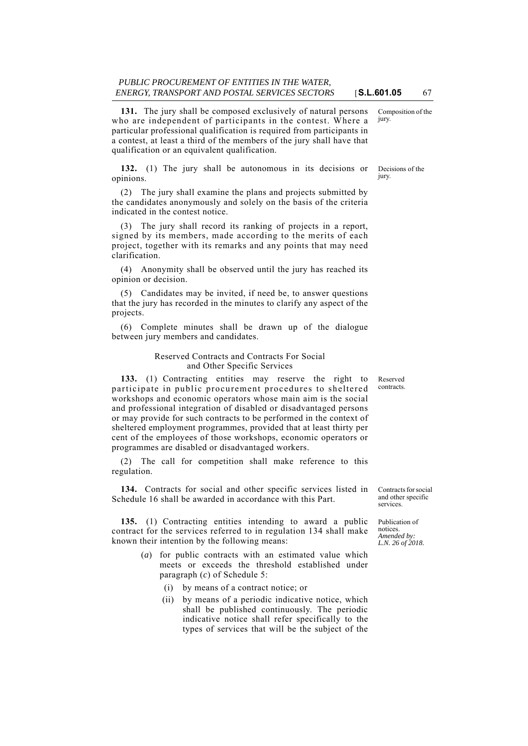**131.** The jury shall be composed exclusively of natural persons who are independent of participants in the contest. Where a particular professional qualification is required from participants in a contest, at least a third of the members of the jury shall have that qualification or an equivalent qualification.

**132.** (1) The jury shall be autonomous in its decisions or opinions.

(2) The jury shall examine the plans and projects submitted by the candidates anonymously and solely on the basis of the criteria indicated in the contest notice.

(3) The jury shall record its ranking of projects in a report, signed by its members, made according to the merits of each project, together with its remarks and any points that may need clarification.

(4) Anonymity shall be observed until the jury has reached its opinion or decision.

(5) Candidates may be invited, if need be, to answer questions that the jury has recorded in the minutes to clarify any aspect of the projects.

(6) Complete minutes shall be drawn up of the dialogue between jury members and candidates.

## Reserved Contracts and Contracts For Social and Other Specific Services

**133.** (1) Contracting entities may reserve the right to participate in public procurement procedures to sheltered workshops and economic operators whose main aim is the social and professional integration of disabled or disadvantaged persons or may provide for such contracts to be performed in the context of sheltered employment programmes, provided that at least thirty per cent of the employees of those workshops, economic operators or programmes are disabled or disadvantaged workers.

(2) The call for competition shall make reference to this regulation.

**134.** Contracts for social and other specific services listed in Schedule 16 shall be awarded in accordance with this Part.

**135.** (1) Contracting entities intending to award a public contract for the services referred to in regulation 134 shall make known their intention by the following means:

> (*a*) for public contracts with an estimated value which meets or exceeds the threshold established under paragraph (*c*) of Schedule 5:

(i) by means of a contract notice; or

(ii) by means of a periodic indicative notice, which shall be published continuously. The periodic indicative notice shall refer specifically to the types of services that will be the subject of the

Contracts for social and other specific services.

Publication of notices. *Amended by: L.N. 26 of 2018.*

Reserved contracts.

Decisions of the

Composition of the

jury.

jury.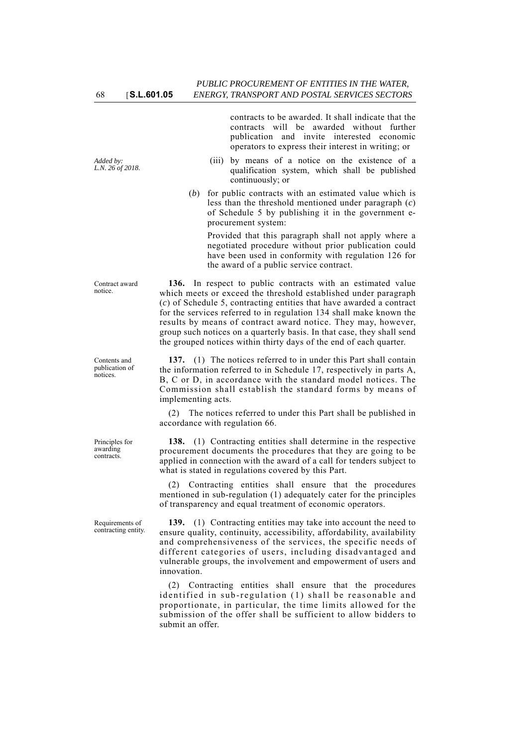*Added by: L.N. 26 of 2018.*

Contract award notice.

Contents and publication of notices.

Principles for awarding contracts.

Requirements of contracting entity. contracts to be awarded. It shall indicate that the contracts will be awarded without further publication and invite interested economic operators to express their interest in writing; or

- (iii) by means of a notice on the existence of a qualification system, which shall be published continuously; or
- (*b*) for public contracts with an estimated value which is less than the threshold mentioned under paragraph (*c*) of Schedule 5 by publishing it in the government eprocurement system:

Provided that this paragraph shall not apply where a negotiated procedure without prior publication could have been used in conformity with regulation 126 for the award of a public service contract.

**136.** In respect to public contracts with an estimated value which meets or exceed the threshold established under paragraph (*c*) of Schedule 5, contracting entities that have awarded a contract for the services referred to in regulation 134 shall make known the results by means of contract award notice. They may, however, group such notices on a quarterly basis. In that case, they shall send the grouped notices within thirty days of the end of each quarter.

**137.** (1) The notices referred to in under this Part shall contain the information referred to in Schedule 17, respectively in parts A, B, C or D, in accordance with the standard model notices. The Commission shall establish the standard forms by means of implementing acts.

(2) The notices referred to under this Part shall be published in accordance with regulation 66.

**138.** (1) Contracting entities shall determine in the respective procurement documents the procedures that they are going to be applied in connection with the award of a call for tenders subject to what is stated in regulations covered by this Part.

(2) Contracting entities shall ensure that the procedures mentioned in sub-regulation (1) adequately cater for the principles of transparency and equal treatment of economic operators.

**139.** (1) Contracting entities may take into account the need to ensure quality, continuity, accessibility, affordability, availability and comprehensiveness of the services, the specific needs of different categories of users, including disadvantaged and vulnerable groups, the involvement and empowerment of users and innovation.

(2) Contracting entities shall ensure that the procedures identified in sub-regulation (1) shall be reasonable and proportionate, in particular, the time limits allowed for the submission of the offer shall be sufficient to allow bidders to submit an offer.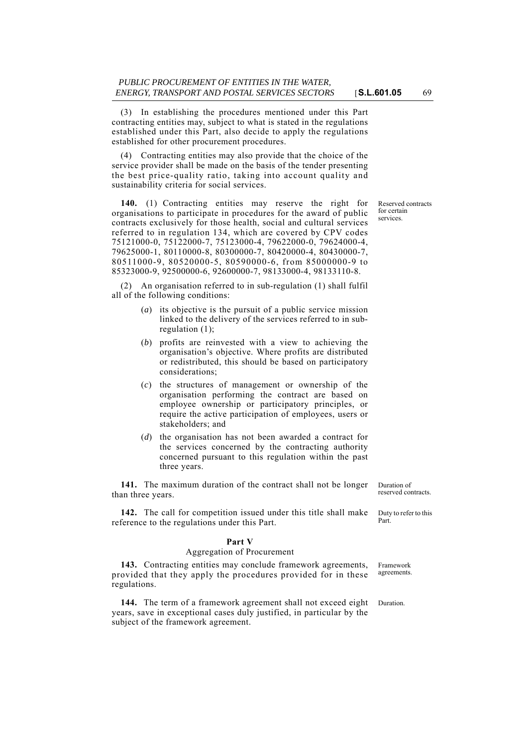(3) In establishing the procedures mentioned under this Part contracting entities may, subject to what is stated in the regulations established under this Part, also decide to apply the regulations established for other procurement procedures.

(4) Contracting entities may also provide that the choice of the service provider shall be made on the basis of the tender presenting the best price-quality ratio, taking into account quality and sustainability criteria for social services.

**140.** (1) Contracting entities may reserve the right for organisations to participate in procedures for the award of public contracts exclusively for those health, social and cultural services referred to in regulation 134, which are covered by CPV codes 75121000-0, 75122000-7, 75123000-4, 79622000-0, 79624000-4, 79625000-1, 80110000-8, 80300000-7, 80420000-4, 80430000-7, 80511000-9, 80520000-5, 80590000-6, from 85000000-9 to 85323000-9, 92500000-6, 92600000-7, 98133000-4, 98133110-8.

(2) An organisation referred to in sub-regulation (1) shall fulfil all of the following conditions:

- (*a*) its objective is the pursuit of a public service mission linked to the delivery of the services referred to in subregulation (1);
- (*b*) profits are reinvested with a view to achieving the organisation's objective. Where profits are distributed or redistributed, this should be based on participatory considerations;
- (*c*) the structures of management or ownership of the organisation performing the contract are based on employee ownership or participatory principles, or require the active participation of employees, users or stakeholders; and
- (*d*) the organisation has not been awarded a contract for the services concerned by the contracting authority concerned pursuant to this regulation within the past three years.

**141.** The maximum duration of the contract shall not be longer than three years.

**142.** The call for competition issued under this title shall make reference to the regulations under this Part.

# **Part V**

### Aggregation of Procurement

**143.** Contracting entities may conclude framework agreements, provided that they apply the procedures provided for in these regulations.

144. The term of a framework agreement shall not exceed eight Duration. years, save in exceptional cases duly justified, in particular by the subject of the framework agreement.

Duration of reserved contracts.

Duty to refer to this Part.

Framework agreements.

Reserved contracts for certain services.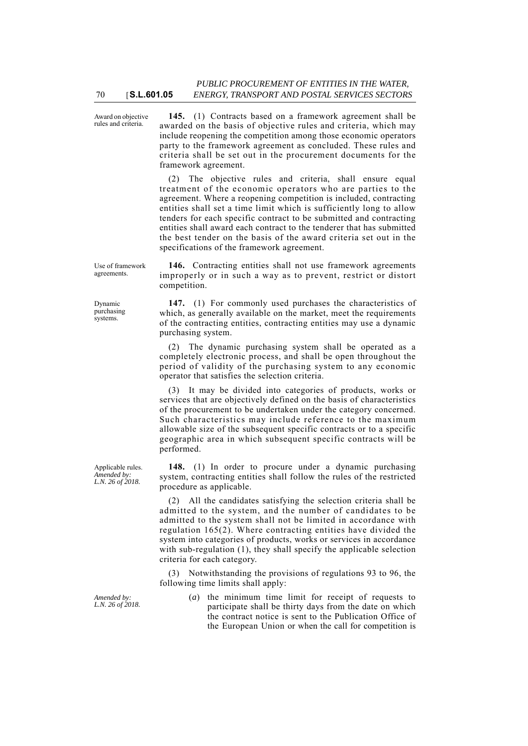Award on objective rules and criteria.

70 [**S.L.601.05**

**145.** (1) Contracts based on a framework agreement shall be awarded on the basis of objective rules and criteria, which may include reopening the competition among those economic operators party to the framework agreement as concluded. These rules and criteria shall be set out in the procurement documents for the framework agreement.

(2) The objective rules and criteria, shall ensure equal treatment of the economic operators who are parties to the agreement. Where a reopening competition is included, contracting entities shall set a time limit which is sufficiently long to allow tenders for each specific contract to be submitted and contracting entities shall award each contract to the tenderer that has submitted the best tender on the basis of the award criteria set out in the specifications of the framework agreement.

Use of framework agreements.

Dynamic purchasing .<br>systems.

Applicable rules. *Amended by: L.N. 26 of 2018.*

**146.** Contracting entities shall not use framework agreements improperly or in such a way as to prevent, restrict or distort competition.

**147.** (1) For commonly used purchases the characteristics of which, as generally available on the market, meet the requirements of the contracting entities, contracting entities may use a dynamic purchasing system.

(2) The dynamic purchasing system shall be operated as a completely electronic process, and shall be open throughout the period of validity of the purchasing system to any economic operator that satisfies the selection criteria.

(3) It may be divided into categories of products, works or services that are objectively defined on the basis of characteristics of the procurement to be undertaken under the category concerned. Such characteristics may include reference to the maximum allowable size of the subsequent specific contracts or to a specific geographic area in which subsequent specific contracts will be performed.

**148.** (1) In order to procure under a dynamic purchasing system, contracting entities shall follow the rules of the restricted procedure as applicable.

(2) All the candidates satisfying the selection criteria shall be admitted to the system, and the number of candidates to be admitted to the system shall not be limited in accordance with regulation 165(2). Where contracting entities have divided the system into categories of products, works or services in accordance with sub-regulation (1), they shall specify the applicable selection criteria for each category.

(3) Notwithstanding the provisions of regulations 93 to 96, the following time limits shall apply:

*Amended by: L.N. 26 of 2018.* (*a*) the minimum time limit for receipt of requests to participate shall be thirty days from the date on which the contract notice is sent to the Publication Office of the European Union or when the call for competition is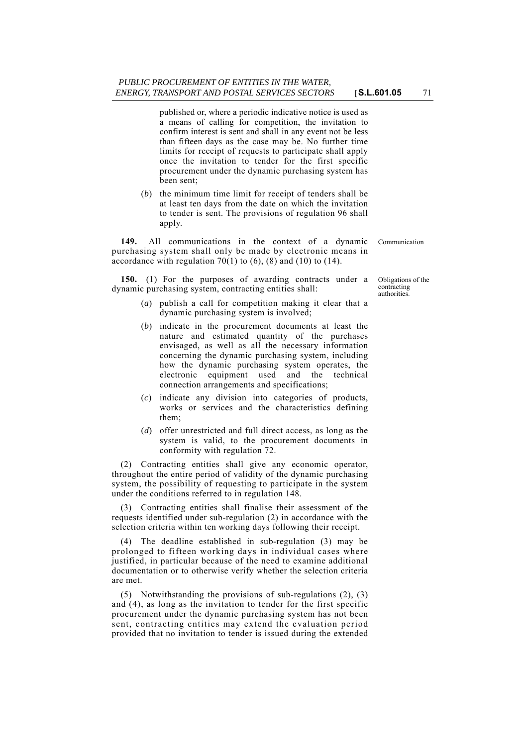published or, where a periodic indicative notice is used as a means of calling for competition, the invitation to confirm interest is sent and shall in any event not be less than fifteen days as the case may be. No further time limits for receipt of requests to participate shall apply once the invitation to tender for the first specific procurement under the dynamic purchasing system has been sent;

(*b*) the minimum time limit for receipt of tenders shall be at least ten days from the date on which the invitation to tender is sent. The provisions of regulation 96 shall apply.

**149.** All communications in the context of a dynamic Communication purchasing system shall only be made by electronic means in accordance with regulation  $70(1)$  to  $(6)$ ,  $(8)$  and  $(10)$  to  $(14)$ .

**150.** (1) For the purposes of awarding contracts under a dynamic purchasing system, contracting entities shall:

- (*a*) publish a call for competition making it clear that a dynamic purchasing system is involved;
- (*b*) indicate in the procurement documents at least the nature and estimated quantity of the purchases envisaged, as well as all the necessary information concerning the dynamic purchasing system, including how the dynamic purchasing system operates, the electronic equipment used and the technical connection arrangements and specifications;
- (*c*) indicate any division into categories of products, works or services and the characteristics defining them;
- (*d*) offer unrestricted and full direct access, as long as the system is valid, to the procurement documents in conformity with regulation 72.

(2) Contracting entities shall give any economic operator, throughout the entire period of validity of the dynamic purchasing system, the possibility of requesting to participate in the system under the conditions referred to in regulation 148.

(3) Contracting entities shall finalise their assessment of the requests identified under sub-regulation (2) in accordance with the selection criteria within ten working days following their receipt.

(4) The deadline established in sub-regulation (3) may be prolonged to fifteen working days in individual cases where justified, in particular because of the need to examine additional documentation or to otherwise verify whether the selection criteria are met.

(5) Notwithstanding the provisions of sub-regulations (2), (3) and (4), as long as the invitation to tender for the first specific procurement under the dynamic purchasing system has not been sent, contracting entities may extend the evaluation period provided that no invitation to tender is issued during the extended

Obligations of the contracting authorities.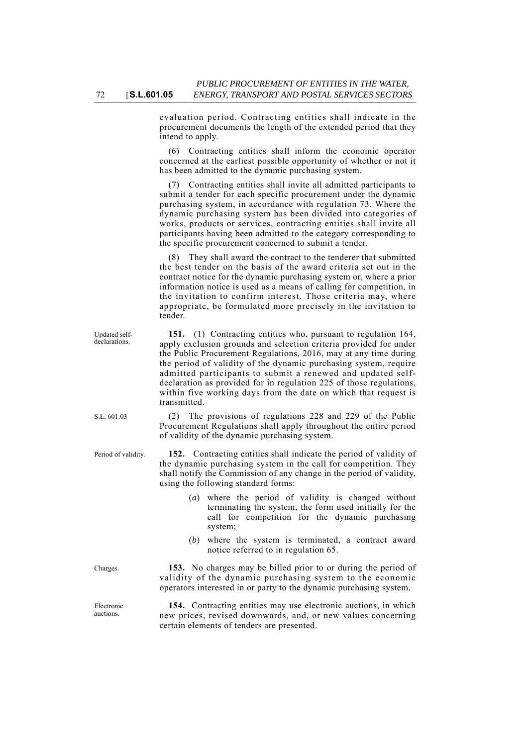evaluation period. Contracting entities shall indicate in the procurement documents the length of the extended period that they intend to apply.

(6) Contracting entities shall inform the economic operator concerned at the earliest possible opportunity of whether or not it has been admitted to the dynamic purchasing system.

(7) Contracting entities shall invite all admitted participants to submit a tender for each specific procurement under the dynamic purchasing system, in accordance with regulation 73. Where the dynamic purchasing system has been divided into categories of works, products or services, contracting entities shall invite all participants having been admitted to the category corresponding to the specific procurement concerned to submit a tender.

(8) They shall award the contract to the tenderer that submitted the best tender on the basis of the award criteria set out in the contract notice for the dynamic purchasing system or, where a prior information notice is used as a means of calling for competition, in the invitation to confirm interest. Those criteria may, where appropriate, be formulated more precisely in the invitation to tender.

**151.** (1) Contracting entities who, pursuant to regulation 164, apply exclusion grounds and selection criteria provided for under the Public Procurement Regulations, 2016, may at any time during the period of validity of the dynamic purchasing system, require admitted participants to submit a renewed and updated selfdeclaration as provided for in regulation 225 of those regulations, within five working days from the date on which that request is transmitted.

S.L. 601.03 (2) The provisions of regulations 228 and 229 of the Public Procurement Regulations shall apply throughout the entire period of validity of the dynamic purchasing system.

Period of validity. **152.** Contracting entities shall indicate the period of validity of the dynamic purchasing system in the call for competition. They shall notify the Commission of any change in the period of validity, using the following standard forms:

- (*a*) where the period of validity is changed without terminating the system, the form used initially for the call for competition for the dynamic purchasing system;
- (*b*) where the system is terminated, a contract award notice referred to in regulation 65.

Charges. **153.** No charges may be billed prior to or during the period of validity of the dynamic purchasing system to the economic operators interested in or party to the dynamic purchasing system.

> **154.** Contracting entities may use electronic auctions, in which new prices, revised downwards, and, or new values concerning certain elements of tenders are presented.

Updated selfdeclarations.

Electronic auctions.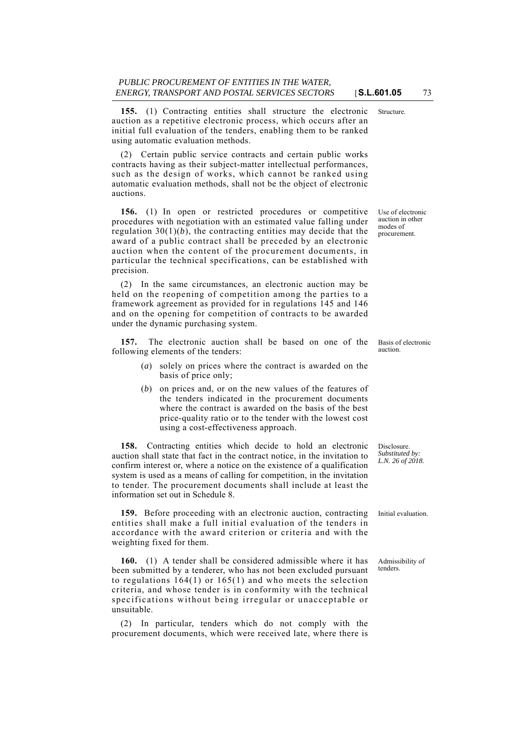**155.** (1) Contracting entities shall structure the electronic Structure. auction as a repetitive electronic process, which occurs after an initial full evaluation of the tenders, enabling them to be ranked using automatic evaluation methods.

(2) Certain public service contracts and certain public works contracts having as their subject-matter intellectual performances, such as the design of works, which cannot be ranked using automatic evaluation methods, shall not be the object of electronic auctions.

**156.** (1) In open or restricted procedures or competitive procedures with negotiation with an estimated value falling under regulation  $30(1)(b)$ , the contracting entities may decide that the award of a public contract shall be preceded by an electronic auction when the content of the procurement documents, in particular the technical specifications, can be established with precision.

(2) In the same circumstances, an electronic auction may be held on the reopening of competition among the parties to a framework agreement as provided for in regulations 145 and 146 and on the opening for competition of contracts to be awarded under the dynamic purchasing system.

**157.** The electronic auction shall be based on one of the following elements of the tenders:

- (*a*) solely on prices where the contract is awarded on the basis of price only;
- (*b*) on prices and, or on the new values of the features of the tenders indicated in the procurement documents where the contract is awarded on the basis of the best price-quality ratio or to the tender with the lowest cost using a cost-effectiveness approach.

**158.** Contracting entities which decide to hold an electronic auction shall state that fact in the contract notice, in the invitation to confirm interest or, where a notice on the existence of a qualification system is used as a means of calling for competition, in the invitation to tender. The procurement documents shall include at least the information set out in Schedule 8.

**159.** Before proceeding with an electronic auction, contracting Initial evaluation. entities shall make a full initial evaluation of the tenders in accordance with the award criterion or criteria and with the weighting fixed for them.

**160.** (1) A tender shall be considered admissible where it has been submitted by a tenderer, who has not been excluded pursuant to regulations 164(1) or 165(1) and who meets the selection criteria, and whose tender is in conformity with the technical specifications without being irregular or unacceptable or unsuitable.

(2) In particular, tenders which do not comply with the procurement documents, which were received late, where there is

Basis of electronic auction.

Disclosure. *Substituted by: L.N. 26 of 2018.*

Admissibility of tenders.

Use of electronic auction in other modes of procurement.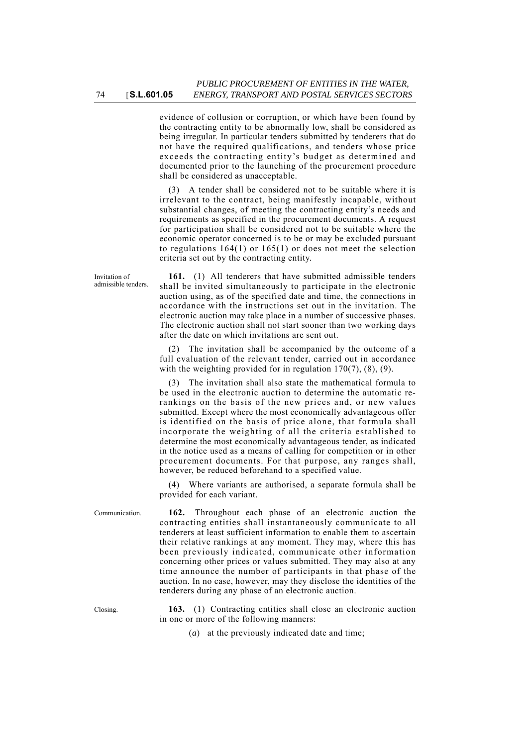evidence of collusion or corruption, or which have been found by the contracting entity to be abnormally low, shall be considered as being irregular. In particular tenders submitted by tenderers that do not have the required qualifications, and tenders whose price exceeds the contracting entity's budget as determined and documented prior to the launching of the procurement procedure shall be considered as unacceptable.

(3) A tender shall be considered not to be suitable where it is irrelevant to the contract, being manifestly incapable, without substantial changes, of meeting the contracting entity's needs and requirements as specified in the procurement documents. A request for participation shall be considered not to be suitable where the economic operator concerned is to be or may be excluded pursuant to regulations 164(1) or 165(1) or does not meet the selection criteria set out by the contracting entity.

**161.** (1) All tenderers that have submitted admissible tenders shall be invited simultaneously to participate in the electronic auction using, as of the specified date and time, the connections in accordance with the instructions set out in the invitation. The electronic auction may take place in a number of successive phases. The electronic auction shall not start sooner than two working days after the date on which invitations are sent out.

(2) The invitation shall be accompanied by the outcome of a full evaluation of the relevant tender, carried out in accordance with the weighting provided for in regulation 170(7), (8), (9).

(3) The invitation shall also state the mathematical formula to be used in the electronic auction to determine the automatic rerankings on the basis of the new prices and, or new values submitted. Except where the most economically advantageous offer is identified on the basis of price alone, that formula shall incorporate the weighting of all the criteria established to determine the most economically advantageous tender, as indicated in the notice used as a means of calling for competition or in other procurement documents. For that purpose, any ranges shall, however, be reduced beforehand to a specified value.

(4) Where variants are authorised, a separate formula shall be provided for each variant.

Communication. **162.** Throughout each phase of an electronic auction the contracting entities shall instantaneously communicate to all tenderers at least sufficient information to enable them to ascertain their relative rankings at any moment. They may, where this has been previously indicated, communicate other information concerning other prices or values submitted. They may also at any time announce the number of participants in that phase of the auction. In no case, however, may they disclose the identities of the tenderers during any phase of an electronic auction.

Closing. **163.** (1) Contracting entities shall close an electronic auction in one or more of the following manners:

(*a*) at the previously indicated date and time;

Invitation of admissible tenders.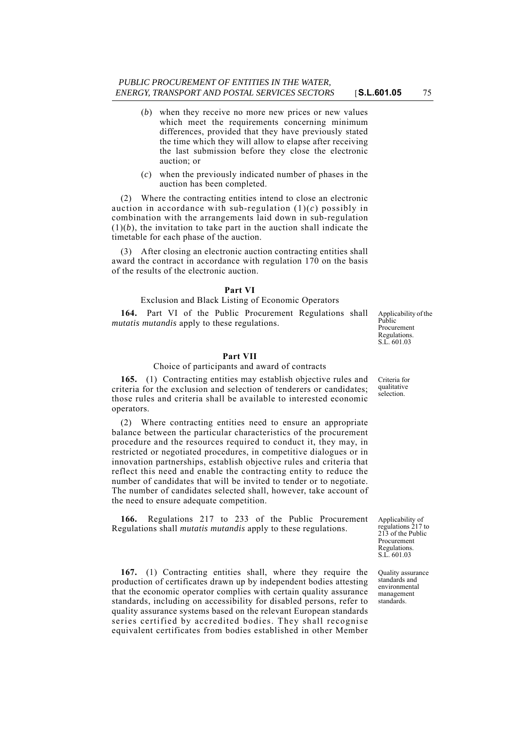- (*b*) when they receive no more new prices or new values which meet the requirements concerning minimum differences, provided that they have previously stated the time which they will allow to elapse after receiving the last submission before they close the electronic auction; or
- (*c*) when the previously indicated number of phases in the auction has been completed.

(2) Where the contracting entities intend to close an electronic auction in accordance with sub-regulation  $(1)(c)$  possibly in combination with the arrangements laid down in sub-regulation  $(1)(b)$ , the invitation to take part in the auction shall indicate the timetable for each phase of the auction.

(3) After closing an electronic auction contracting entities shall award the contract in accordance with regulation 170 on the basis of the results of the electronic auction.

### **Part VI**

### Exclusion and Black Listing of Economic Operators

**164.** Part VI of the Public Procurement Regulations shall *mutatis mutandis* apply to these regulations.

# **Part VII**

## Choice of participants and award of contracts

**165.** (1) Contracting entities may establish objective rules and criteria for the exclusion and selection of tenderers or candidates; those rules and criteria shall be available to interested economic operators.

(2) Where contracting entities need to ensure an appropriate balance between the particular characteristics of the procurement procedure and the resources required to conduct it, they may, in restricted or negotiated procedures, in competitive dialogues or in innovation partnerships, establish objective rules and criteria that reflect this need and enable the contracting entity to reduce the number of candidates that will be invited to tender or to negotiate. The number of candidates selected shall, however, take account of the need to ensure adequate competition.

**166.** Regulations 217 to 233 of the Public Procurement Regulations shall *mutatis mutandis* apply to these regulations.

**167.** (1) Contracting entities shall, where they require the production of certificates drawn up by independent bodies attesting that the economic operator complies with certain quality assurance standards, including on accessibility for disabled persons, refer to quality assurance systems based on the relevant European standards series certified by accredited bodies. They shall recognise equivalent certificates from bodies established in other Member Applicability of the Public Procurement Regulations. S.L. 601.03

Criteria for qualitative selection.

Applicability of regulations 217 to 213 of the Public Procurement Regulations. S.L. 601.03

Quality assurance standards and environmental management standards.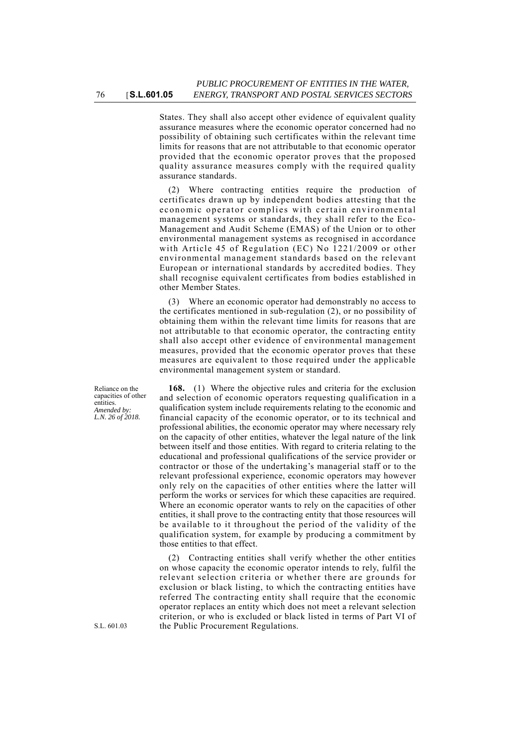States. They shall also accept other evidence of equivalent quality assurance measures where the economic operator concerned had no possibility of obtaining such certificates within the relevant time limits for reasons that are not attributable to that economic operator provided that the economic operator proves that the proposed quality assurance measures comply with the required quality assurance standards.

(2) Where contracting entities require the production of certificates drawn up by independent bodies attesting that the economic operator complies with certain environmental management systems or standards, they shall refer to the Eco-Management and Audit Scheme (EMAS) of the Union or to other environmental management systems as recognised in accordance with Article 45 of Regulation (EC) No 1221/2009 or other environmental management standards based on the relevant European or international standards by accredited bodies. They shall recognise equivalent certificates from bodies established in other Member States.

(3) Where an economic operator had demonstrably no access to the certificates mentioned in sub-regulation (2), or no possibility of obtaining them within the relevant time limits for reasons that are not attributable to that economic operator, the contracting entity shall also accept other evidence of environmental management measures, provided that the economic operator proves that these measures are equivalent to those required under the applicable environmental management system or standard.

**168.** (1) Where the objective rules and criteria for the exclusion and selection of economic operators requesting qualification in a qualification system include requirements relating to the economic and financial capacity of the economic operator, or to its technical and professional abilities, the economic operator may where necessary rely on the capacity of other entities, whatever the legal nature of the link between itself and those entities. With regard to criteria relating to the educational and professional qualifications of the service provider or contractor or those of the undertaking's managerial staff or to the relevant professional experience, economic operators may however only rely on the capacities of other entities where the latter will perform the works or services for which these capacities are required. Where an economic operator wants to rely on the capacities of other entities, it shall prove to the contracting entity that those resources will be available to it throughout the period of the validity of the qualification system, for example by producing a commitment by those entities to that effect.

(2) Contracting entities shall verify whether the other entities on whose capacity the economic operator intends to rely, fulfil the relevant selection criteria or whether there are grounds for exclusion or black listing, to which the contracting entities have referred The contracting entity shall require that the economic operator replaces an entity which does not meet a relevant selection criterion, or who is excluded or black listed in terms of Part VI of the Public Procurement Regulations.

Reliance on the capacities of other entities. *Amended by: L.N. 26 of 2018.*

S.L. 601.03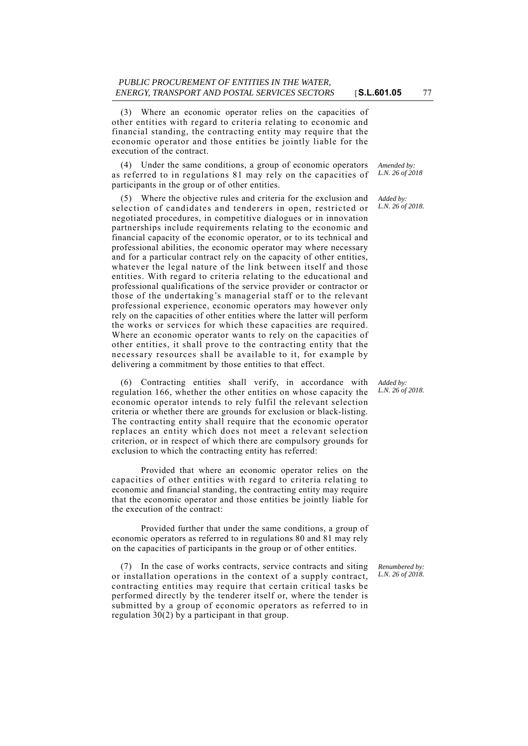(3) Where an economic operator relies on the capacities of other entities with regard to criteria relating to economic and financial standing, the contracting entity may require that the economic operator and those entities be jointly liable for the execution of the contract.

(4) Under the same conditions, a group of economic operators as referred to in regulations 81 may rely on the capacities of participants in the group or of other entities.

(5) Where the objective rules and criteria for the exclusion and selection of candidates and tenderers in open, restricted or negotiated procedures, in competitive dialogues or in innovation partnerships include requirements relating to the economic and financial capacity of the economic operator, or to its technical and professional abilities, the economic operator may where necessary and for a particular contract rely on the capacity of other entities, whatever the legal nature of the link between itself and those entities. With regard to criteria relating to the educational and professional qualifications of the service provider or contractor or those of the undertaking's managerial staff or to the relevant professional experience, economic operators may however only rely on the capacities of other entities where the latter will perform the works or services for which these capacities are required. Where an economic operator wants to rely on the capacities of other entities, it shall prove to the contracting entity that the necessary resources shall be available to it, for example by delivering a commitment by those entities to that effect.

(6) Contracting entities shall verify, in accordance with regulation 166, whether the other entities on whose capacity the economic operator intends to rely fulfil the relevant selection criteria or whether there are grounds for exclusion or black-listing. The contracting entity shall require that the economic operator replaces an entity which does not meet a relevant selection criterion, or in respect of which there are compulsory grounds for exclusion to which the contracting entity has referred:

Provided that where an economic operator relies on the capacities of other entities with regard to criteria relating to economic and financial standing, the contracting entity may require that the economic operator and those entities be jointly liable for the execution of the contract:

Provided further that under the same conditions, a group of economic operators as referred to in regulations 80 and 81 may rely on the capacities of participants in the group or of other entities.

(7) In the case of works contracts, service contracts and siting or installation operations in the context of a supply contract, contracting entities may require that certain critical tasks be performed directly by the tenderer itself or, where the tender is submitted by a group of economic operators as referred to in

regulation 30(2) by a participant in that group.

*Renumbered by: L.N. 26 of 2018.*

*Amended by: L.N. 26 of 2018*

*Added by: L.N. 26 of 2018.*

*Added by: L.N. 26 of 2018.*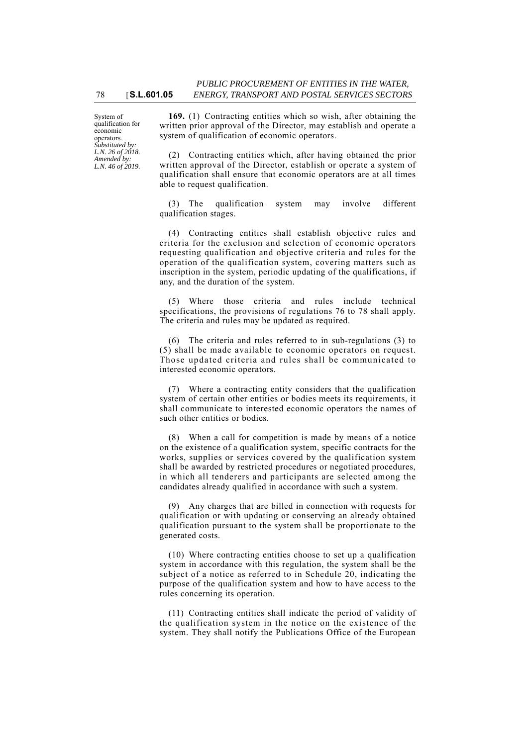System of qualification for economic operators. *Substituted by: L.N. 26 of 2018. Amended by: L.N. 46 of 2019.*

**169.** (1) Contracting entities which so wish, after obtaining the written prior approval of the Director, may establish and operate a system of qualification of economic operators.

(2) Contracting entities which, after having obtained the prior written approval of the Director, establish or operate a system of qualification shall ensure that economic operators are at all times able to request qualification.

(3) The qualification system may involve different qualification stages.

(4) Contracting entities shall establish objective rules and criteria for the exclusion and selection of economic operators requesting qualification and objective criteria and rules for the operation of the qualification system, covering matters such as inscription in the system, periodic updating of the qualifications, if any, and the duration of the system.

(5) Where those criteria and rules include technical specifications, the provisions of regulations 76 to 78 shall apply. The criteria and rules may be updated as required.

(6) The criteria and rules referred to in sub-regulations (3) to (5) shall be made available to economic operators on request. Those updated criteria and rules shall be communicated to interested economic operators.

(7) Where a contracting entity considers that the qualification system of certain other entities or bodies meets its requirements, it shall communicate to interested economic operators the names of such other entities or bodies.

(8) When a call for competition is made by means of a notice on the existence of a qualification system, specific contracts for the works, supplies or services covered by the qualification system shall be awarded by restricted procedures or negotiated procedures, in which all tenderers and participants are selected among the candidates already qualified in accordance with such a system.

(9) Any charges that are billed in connection with requests for qualification or with updating or conserving an already obtained qualification pursuant to the system shall be proportionate to the generated costs.

(10) Where contracting entities choose to set up a qualification system in accordance with this regulation, the system shall be the subject of a notice as referred to in Schedule 20, indicating the purpose of the qualification system and how to have access to the rules concerning its operation.

(11) Contracting entities shall indicate the period of validity of the qualification system in the notice on the existence of the system. They shall notify the Publications Office of the European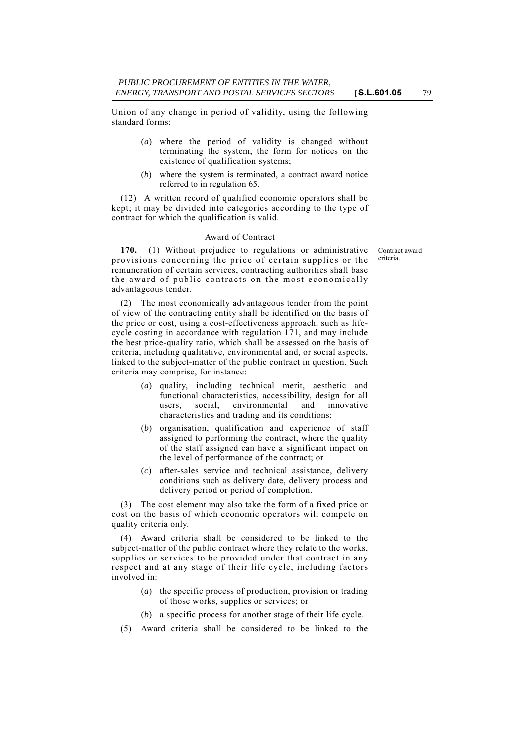Union of any change in period of validity, using the following standard forms:

- (*a*) where the period of validity is changed without terminating the system, the form for notices on the existence of qualification systems;
- (*b*) where the system is terminated, a contract award notice referred to in regulation 65.

(12) A written record of qualified economic operators shall be kept; it may be divided into categories according to the type of contract for which the qualification is valid.

#### Award of Contract

Contract award criteria.

**170.** (1) Without prejudice to regulations or administrative provisions concerning the price of certain supplies or the remuneration of certain services, contracting authorities shall base the award of public contracts on the most economically advantageous tender.

(2) The most economically advantageous tender from the point of view of the contracting entity shall be identified on the basis of the price or cost, using a cost-effectiveness approach, such as lifecycle costing in accordance with regulation 171, and may include the best price-quality ratio, which shall be assessed on the basis of criteria, including qualitative, environmental and, or social aspects, linked to the subject-matter of the public contract in question. Such criteria may comprise, for instance:

- (*a*) quality, including technical merit, aesthetic and functional characteristics, accessibility, design for all users, social, environmental and innovative characteristics and trading and its conditions;
- (*b*) organisation, qualification and experience of staff assigned to performing the contract, where the quality of the staff assigned can have a significant impact on the level of performance of the contract; or
- (*c*) after-sales service and technical assistance, delivery conditions such as delivery date, delivery process and delivery period or period of completion.

(3) The cost element may also take the form of a fixed price or cost on the basis of which economic operators will compete on quality criteria only.

(4) Award criteria shall be considered to be linked to the subject-matter of the public contract where they relate to the works, supplies or services to be provided under that contract in any respect and at any stage of their life cycle, including factors involved in:

- (*a*) the specific process of production, provision or trading of those works, supplies or services; or
- (*b*) a specific process for another stage of their life cycle.
- (5) Award criteria shall be considered to be linked to the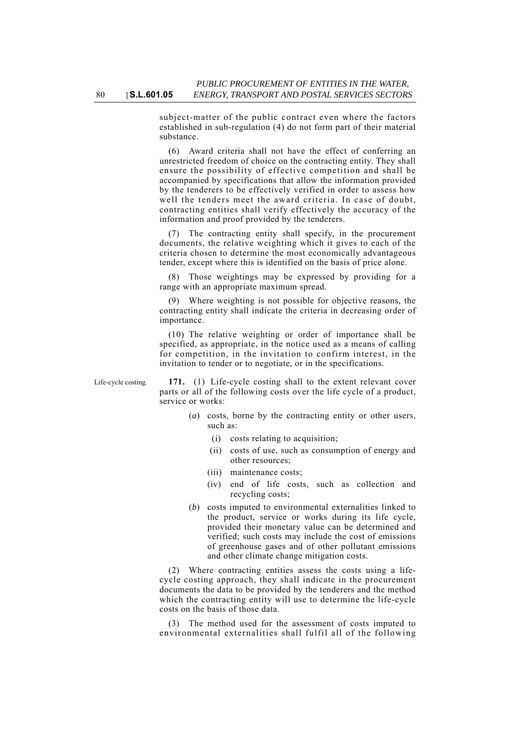subject-matter of the public contract even where the factors established in sub-regulation (4) do not form part of their material substance.

(6) Award criteria shall not have the effect of conferring an unrestricted freedom of choice on the contracting entity. They shall ensure the possibility of effective competition and shall be accompanied by specifications that allow the information provided by the tenderers to be effectively verified in order to assess how well the tenders meet the award criteria. In case of doubt, contracting entities shall verify effectively the accuracy of the information and proof provided by the tenderers.

(7) The contracting entity shall specify, in the procurement documents, the relative weighting which it gives to each of the criteria chosen to determine the most economically advantageous tender, except where this is identified on the basis of price alone.

(8) Those weightings may be expressed by providing for a range with an appropriate maximum spread.

(9) Where weighting is not possible for objective reasons, the contracting entity shall indicate the criteria in decreasing order of importance.

(10) The relative weighting or order of importance shall be specified, as appropriate, in the notice used as a means of calling for competition, in the invitation to confirm interest, in the invitation to tender or to negotiate, or in the specifications.

Life-cycle costing. **171.** (1) Life-cycle costing shall to the extent relevant cover parts or all of the following costs over the life cycle of a product, service or works:

- (*a*) costs, borne by the contracting entity or other users, such as:
	- (i) costs relating to acquisition;
	- (ii) costs of use, such as consumption of energy and other resources;
	- (iii) maintenance costs;
	- (iv) end of life costs, such as collection and recycling costs;
- (*b*) costs imputed to environmental externalities linked to the product, service or works during its life cycle, provided their monetary value can be determined and verified; such costs may include the cost of emissions of greenhouse gases and of other pollutant emissions and other climate change mitigation costs.

(2) Where contracting entities assess the costs using a lifecycle costing approach, they shall indicate in the procurement documents the data to be provided by the tenderers and the method which the contracting entity will use to determine the life-cycle costs on the basis of those data.

(3) The method used for the assessment of costs imputed to environmental externalities shall fulfil all of the following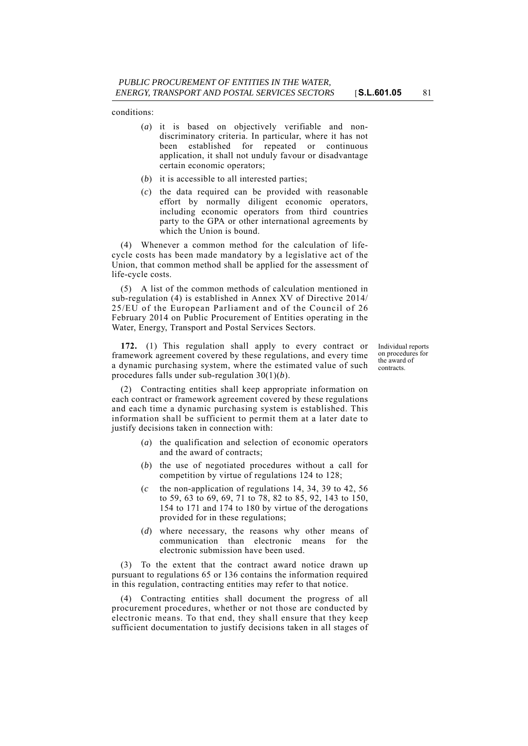conditions:

- (*a*) it is based on objectively verifiable and nondiscriminatory criteria. In particular, where it has not been established for repeated or continuous application, it shall not unduly favour or disadvantage certain economic operators;
- (*b*) it is accessible to all interested parties;
- (*c*) the data required can be provided with reasonable effort by normally diligent economic operators, including economic operators from third countries party to the GPA or other international agreements by which the Union is bound.

(4) Whenever a common method for the calculation of lifecycle costs has been made mandatory by a legislative act of the Union, that common method shall be applied for the assessment of life-cycle costs.

(5) A list of the common methods of calculation mentioned in sub-regulation (4) is established in Annex XV of Directive 2014/ 25/EU of the European Parliament and of the Council of 26 February 2014 on Public Procurement of Entities operating in the Water, Energy, Transport and Postal Services Sectors.

**172.** (1) This regulation shall apply to every contract or framework agreement covered by these regulations, and every time a dynamic purchasing system, where the estimated value of such procedures falls under sub-regulation 30(1)(*b*).

Individual reports on procedures for the award of contracts.

(2) Contracting entities shall keep appropriate information on each contract or framework agreement covered by these regulations and each time a dynamic purchasing system is established. This information shall be sufficient to permit them at a later date to justify decisions taken in connection with:

- (*a*) the qualification and selection of economic operators and the award of contracts;
- (*b*) the use of negotiated procedures without a call for competition by virtue of regulations 124 to 128;
- (*c* the non-application of regulations 14, 34, 39 to 42, 56 to 59, 63 to 69, 69, 71 to 78, 82 to 85, 92, 143 to 150, 154 to 171 and 174 to 180 by virtue of the derogations provided for in these regulations;
- (*d*) where necessary, the reasons why other means of communication than electronic means for the electronic submission have been used.

(3) To the extent that the contract award notice drawn up pursuant to regulations 65 or 136 contains the information required in this regulation, contracting entities may refer to that notice.

(4) Contracting entities shall document the progress of all procurement procedures, whether or not those are conducted by electronic means. To that end, they shall ensure that they keep sufficient documentation to justify decisions taken in all stages of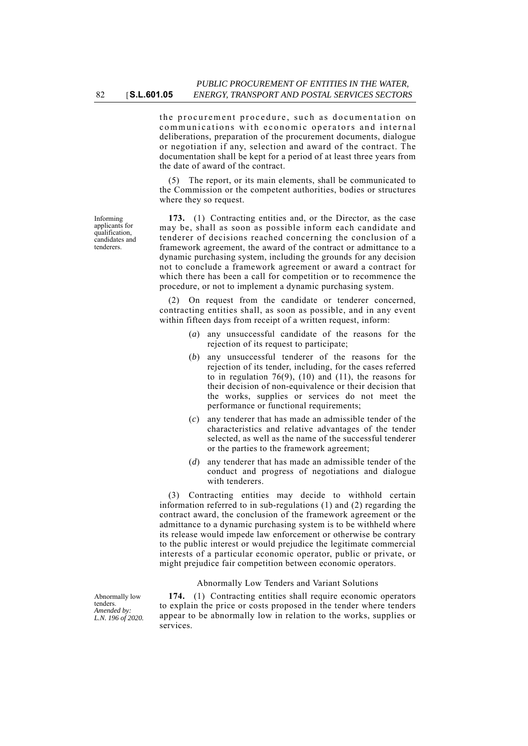the procurement procedure, such as documentation on communications with economic operators and internal deliberations, preparation of the procurement documents, dialogue or negotiation if any, selection and award of the contract. The documentation shall be kept for a period of at least three years from the date of award of the contract.

(5) The report, or its main elements, shall be communicated to the Commission or the competent authorities, bodies or structures where they so request.

**173.** (1) Contracting entities and, or the Director, as the case may be, shall as soon as possible inform each candidate and tenderer of decisions reached concerning the conclusion of a framework agreement, the award of the contract or admittance to a dynamic purchasing system, including the grounds for any decision not to conclude a framework agreement or award a contract for which there has been a call for competition or to recommence the procedure, or not to implement a dynamic purchasing system.

(2) On request from the candidate or tenderer concerned, contracting entities shall, as soon as possible, and in any event within fifteen days from receipt of a written request, inform:

- (*a*) any unsuccessful candidate of the reasons for the rejection of its request to participate;
- (*b*) any unsuccessful tenderer of the reasons for the rejection of its tender, including, for the cases referred to in regulation  $76(9)$ ,  $(10)$  and  $(11)$ , the reasons for their decision of non-equivalence or their decision that the works, supplies or services do not meet the performance or functional requirements;
- (*c*) any tenderer that has made an admissible tender of the characteristics and relative advantages of the tender selected, as well as the name of the successful tenderer or the parties to the framework agreement;
- (*d*) any tenderer that has made an admissible tender of the conduct and progress of negotiations and dialogue with tenderers.

(3) Contracting entities may decide to withhold certain information referred to in sub-regulations (1) and (2) regarding the contract award, the conclusion of the framework agreement or the admittance to a dynamic purchasing system is to be withheld where its release would impede law enforcement or otherwise be contrary to the public interest or would prejudice the legitimate commercial interests of a particular economic operator, public or private, or might prejudice fair competition between economic operators.

#### Abnormally Low Tenders and Variant Solutions

**174.** (1) Contracting entities shall require economic operators to explain the price or costs proposed in the tender where tenders appear to be abnormally low in relation to the works, supplies or services.

Informing applicants for qualification, candidates and tenderers.

Abnormally low tenders. *Amended by: L.N. 196 of 2020.*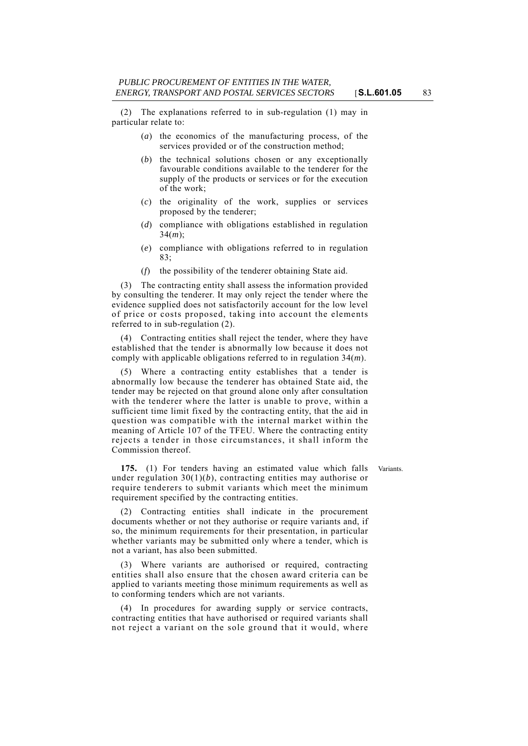(2) The explanations referred to in sub-regulation (1) may in particular relate to:

- (*a*) the economics of the manufacturing process, of the services provided or of the construction method;
- (*b*) the technical solutions chosen or any exceptionally favourable conditions available to the tenderer for the supply of the products or services or for the execution of the work;
- (*c*) the originality of the work, supplies or services proposed by the tenderer;
- (*d*) compliance with obligations established in regulation 34(*m*);
- (*e*) compliance with obligations referred to in regulation 83;
- (*f*) the possibility of the tenderer obtaining State aid.

The contracting entity shall assess the information provided by consulting the tenderer. It may only reject the tender where the evidence supplied does not satisfactorily account for the low level of price or costs proposed, taking into account the elements referred to in sub-regulation (2).

(4) Contracting entities shall reject the tender, where they have established that the tender is abnormally low because it does not comply with applicable obligations referred to in regulation 34(*m*).

(5) Where a contracting entity establishes that a tender is abnormally low because the tenderer has obtained State aid, the tender may be rejected on that ground alone only after consultation with the tenderer where the latter is unable to prove, within a sufficient time limit fixed by the contracting entity, that the aid in question was compatible with the internal market within the meaning of Article 107 of the TFEU. Where the contracting entity rejects a tender in those circumstances, it shall inform the Commission thereof.

**175.** (1) For tenders having an estimated value which falls Variants. under regulation  $30(1)(b)$ , contracting entities may authorise or require tenderers to submit variants which meet the minimum requirement specified by the contracting entities.

(2) Contracting entities shall indicate in the procurement documents whether or not they authorise or require variants and, if so, the minimum requirements for their presentation, in particular whether variants may be submitted only where a tender, which is not a variant, has also been submitted.

(3) Where variants are authorised or required, contracting entities shall also ensure that the chosen award criteria can be applied to variants meeting those minimum requirements as well as to conforming tenders which are not variants.

(4) In procedures for awarding supply or service contracts, contracting entities that have authorised or required variants shall not reject a variant on the sole ground that it would, where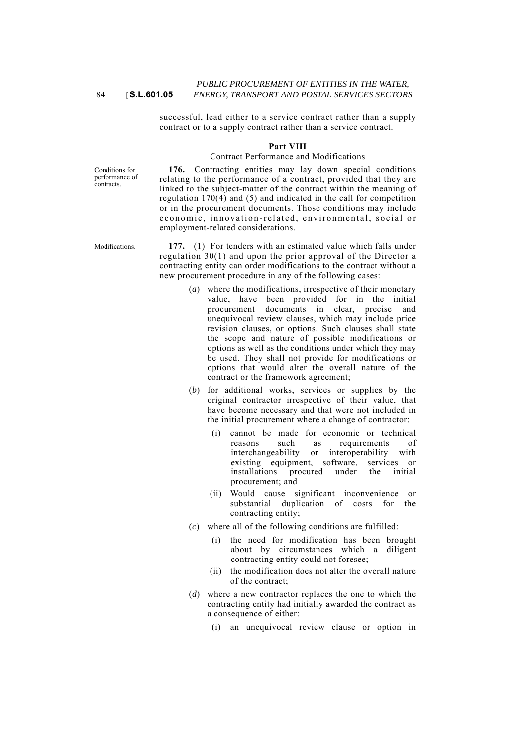successful, lead either to a service contract rather than a supply contract or to a supply contract rather than a service contract.

### **Part VIII**

#### Contract Performance and Modifications

Conditions for performance of contracts.

**176.** Contracting entities may lay down special conditions relating to the performance of a contract, provided that they are linked to the subject-matter of the contract within the meaning of regulation 170(4) and (5) and indicated in the call for competition or in the procurement documents. Those conditions may include economic, innovation-related, environmental, social or employment-related considerations.

Modifications. **177.** (1) For tenders with an estimated value which falls under regulation 30(1) and upon the prior approval of the Director a contracting entity can order modifications to the contract without a new procurement procedure in any of the following cases:

- (*a*) where the modifications, irrespective of their monetary value, have been provided for in the initial procurement documents in clear, precise and unequivocal review clauses, which may include price revision clauses, or options. Such clauses shall state the scope and nature of possible modifications or options as well as the conditions under which they may be used. They shall not provide for modifications or options that would alter the overall nature of the contract or the framework agreement;
- (*b*) for additional works, services or supplies by the original contractor irrespective of their value, that have become necessary and that were not included in the initial procurement where a change of contractor:
	- (i) cannot be made for economic or technical reasons such as requirements of interchangeability or interoperability with existing equipment, software, services or installations procured under the initial procurement; and
	- (ii) Would cause significant inconvenience or substantial duplication of costs for the contracting entity;
- (*c*) where all of the following conditions are fulfilled:
	- (i) the need for modification has been brought about by circumstances which a diligent contracting entity could not foresee;
	- (ii) the modification does not alter the overall nature of the contract;
- (*d*) where a new contractor replaces the one to which the contracting entity had initially awarded the contract as a consequence of either:
	- (i) an unequivocal review clause or option in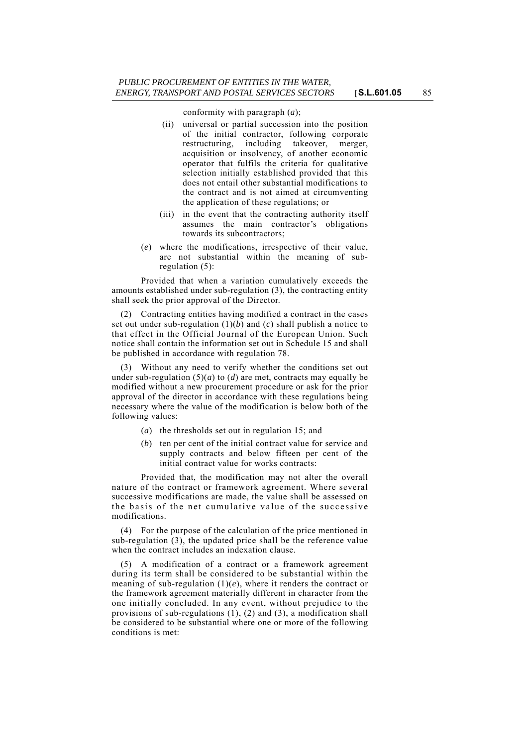conformity with paragraph (*a*);

- (ii) universal or partial succession into the position of the initial contractor, following corporate restructuring, including takeover, merger, acquisition or insolvency, of another economic operator that fulfils the criteria for qualitative selection initially established provided that this does not entail other substantial modifications to the contract and is not aimed at circumventing the application of these regulations; or
- (iii) in the event that the contracting authority itself assumes the main contractor's obligations towards its subcontractors;
- (*e*) where the modifications, irrespective of their value, are not substantial within the meaning of subregulation (5):

Provided that when a variation cumulatively exceeds the amounts established under sub-regulation (3), the contracting entity shall seek the prior approval of the Director.

(2) Contracting entities having modified a contract in the cases set out under sub-regulation  $(1)(b)$  and  $(c)$  shall publish a notice to that effect in the Official Journal of the European Union. Such notice shall contain the information set out in Schedule 15 and shall be published in accordance with regulation 78.

(3) Without any need to verify whether the conditions set out under sub-regulation  $(5)(a)$  to  $(d)$  are met, contracts may equally be modified without a new procurement procedure or ask for the prior approval of the director in accordance with these regulations being necessary where the value of the modification is below both of the following values:

- (*a*) the thresholds set out in regulation 15; and
- (*b*) ten per cent of the initial contract value for service and supply contracts and below fifteen per cent of the initial contract value for works contracts:

Provided that, the modification may not alter the overall nature of the contract or framework agreement. Where several successive modifications are made, the value shall be assessed on the basis of the net cumulative value of the successive modifications.

(4) For the purpose of the calculation of the price mentioned in sub-regulation (3), the updated price shall be the reference value when the contract includes an indexation clause.

(5) A modification of a contract or a framework agreement during its term shall be considered to be substantial within the meaning of sub-regulation (1)(*e*), where it renders the contract or the framework agreement materially different in character from the one initially concluded. In any event, without prejudice to the provisions of sub-regulations (1), (2) and (3), a modification shall be considered to be substantial where one or more of the following conditions is met: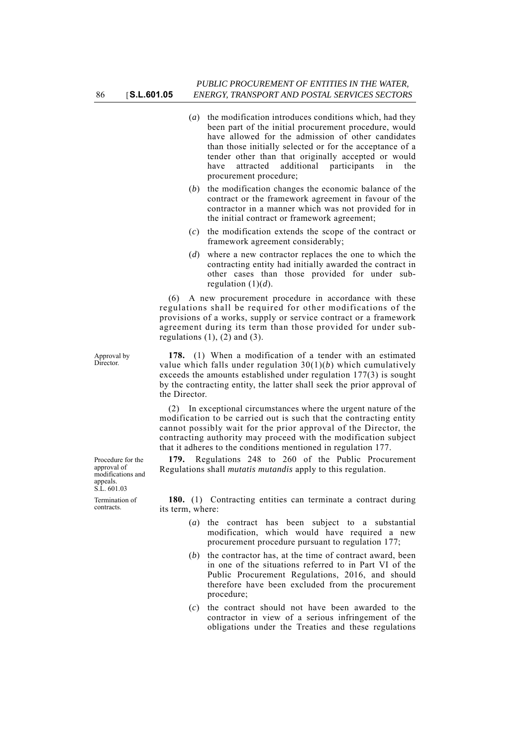- (*a*) the modification introduces conditions which, had they been part of the initial procurement procedure, would have allowed for the admission of other candidates than those initially selected or for the acceptance of a tender other than that originally accepted or would have attracted additional participants in the procurement procedure;
- (*b*) the modification changes the economic balance of the contract or the framework agreement in favour of the contractor in a manner which was not provided for in the initial contract or framework agreement;
- (*c*) the modification extends the scope of the contract or framework agreement considerably;
- (*d*) where a new contractor replaces the one to which the contracting entity had initially awarded the contract in other cases than those provided for under subregulation (1)(*d*).

(6) A new procurement procedure in accordance with these regulations shall be required for other modifications of the provisions of a works, supply or service contract or a framework agreement during its term than those provided for under subregulations  $(1)$ ,  $(2)$  and  $(3)$ .

**178.** (1) When a modification of a tender with an estimated value which falls under regulation 30(1)(*b*) which cumulatively exceeds the amounts established under regulation 177(3) is sought by the contracting entity, the latter shall seek the prior approval of the Director.

(2) In exceptional circumstances where the urgent nature of the modification to be carried out is such that the contracting entity cannot possibly wait for the prior approval of the Director, the contracting authority may proceed with the modification subject that it adheres to the conditions mentioned in regulation 177.

**179.** Regulations 248 to 260 of the Public Procurement Regulations shall *mutatis mutandis* apply to this regulation.

**180.** (1) Contracting entities can terminate a contract during its term, where:

- (*a*) the contract has been subject to a substantial modification, which would have required a new procurement procedure pursuant to regulation 177;
- (*b*) the contractor has, at the time of contract award, been in one of the situations referred to in Part VI of the Public Procurement Regulations, 2016, and should therefore have been excluded from the procurement procedure;
- (*c*) the contract should not have been awarded to the contractor in view of a serious infringement of the obligations under the Treaties and these regulations

Procedure for the approval of modifications and appeals. S.L. 601.03 Termination of contracts.

Approval by D<sub>irector</sub>.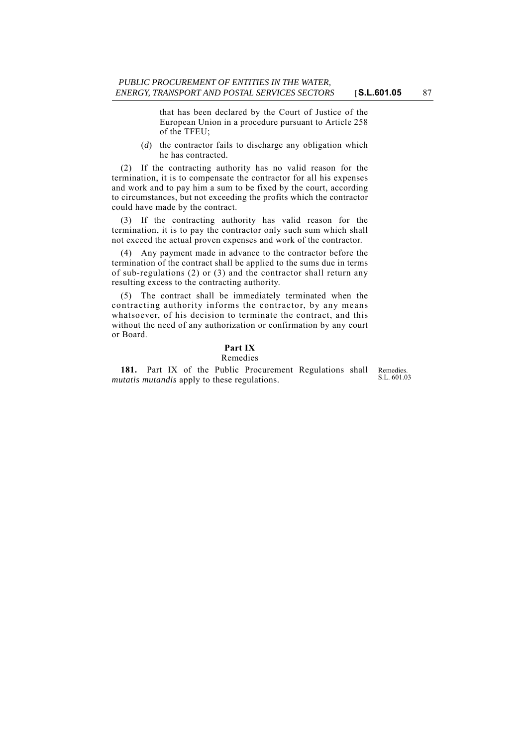that has been declared by the Court of Justice of the European Union in a procedure pursuant to Article 258 of the TFEU;

(*d*) the contractor fails to discharge any obligation which he has contracted.

(2) If the contracting authority has no valid reason for the termination, it is to compensate the contractor for all his expenses and work and to pay him a sum to be fixed by the court, according to circumstances, but not exceeding the profits which the contractor could have made by the contract.

(3) If the contracting authority has valid reason for the termination, it is to pay the contractor only such sum which shall not exceed the actual proven expenses and work of the contractor.

(4) Any payment made in advance to the contractor before the termination of the contract shall be applied to the sums due in terms of sub-regulations (2) or (3) and the contractor shall return any resulting excess to the contracting authority.

(5) The contract shall be immediately terminated when the contracting authority informs the contractor, by any means whatsoever, of his decision to terminate the contract, and this without the need of any authorization or confirmation by any court or Board.

#### **Part IX** Remedies

S.L. 601.03 **181.** Part IX of the Public Procurement Regulations shall *mutatis mutandis* apply to these regulations.

Remedies.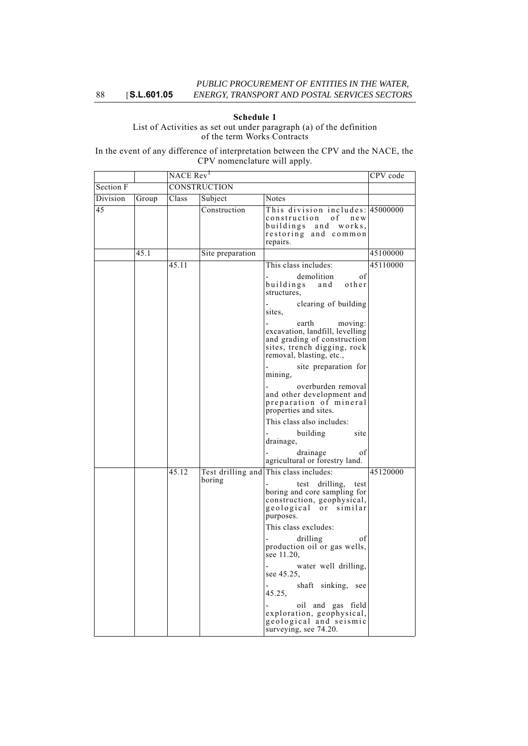# **Schedule 1**

List of Activities as set out under paragraph (a) of the definition of the term Works Contracts

In the event of any difference of interpretation between the CPV and the NACE, the CPV nomenclature will apply.

|           |       | NACE Rev <sup>1</sup> |                  |                                                                                                                                               | CPV code |
|-----------|-------|-----------------------|------------------|-----------------------------------------------------------------------------------------------------------------------------------------------|----------|
| Section F |       | <b>CONSTRUCTION</b>   |                  |                                                                                                                                               |          |
| Division  | Group | Class                 | Subject          | Notes                                                                                                                                         |          |
| 45        |       |                       | Construction     | This division includes: 45000000<br>construction of<br>n e w<br>buildings and works,<br>restoring and common<br>repairs.                      |          |
|           | 45.1  |                       | Site preparation |                                                                                                                                               | 45100000 |
|           |       | 45.11                 |                  | This class includes:                                                                                                                          | 45110000 |
|           |       |                       |                  | demolition<br>of<br>buildings<br>other<br>and<br>structures,                                                                                  |          |
|           |       |                       |                  | clearing of building<br>sites,                                                                                                                |          |
|           |       |                       |                  | earth<br>moving:<br>excavation, landfill, levelling<br>and grading of construction<br>sites, trench digging, rock<br>removal, blasting, etc., |          |
|           |       |                       |                  | site preparation for<br>mining,                                                                                                               |          |
|           |       |                       |                  | overburden removal<br>and other development and<br>preparation of mineral<br>properties and sites.                                            |          |
|           |       |                       |                  | This class also includes:                                                                                                                     |          |
|           |       |                       |                  | site<br>building<br>drainage,                                                                                                                 |          |
|           |       |                       |                  | drainage<br>οf<br>agricultural or forestry land.                                                                                              |          |
|           |       | 45.12                 |                  | Test drilling and This class includes:                                                                                                        | 45120000 |
|           |       |                       | boring           | test drilling,<br>test<br>boring and core sampling for<br>construction, geophysical,<br>geological or similar<br>purposes.                    |          |
|           |       |                       |                  | This class excludes:                                                                                                                          |          |
|           |       |                       |                  | drilling<br>οf<br>production oil or gas wells,<br>see 11.20,                                                                                  |          |
|           |       |                       |                  | water well drilling,<br>see 45.25.                                                                                                            |          |
|           |       |                       |                  | shaft sinking, see<br>45.25,                                                                                                                  |          |
|           |       |                       |                  | oil and gas field<br>exploration, geophysical,<br>geological and seismic<br>surveying, see 74.20.                                             |          |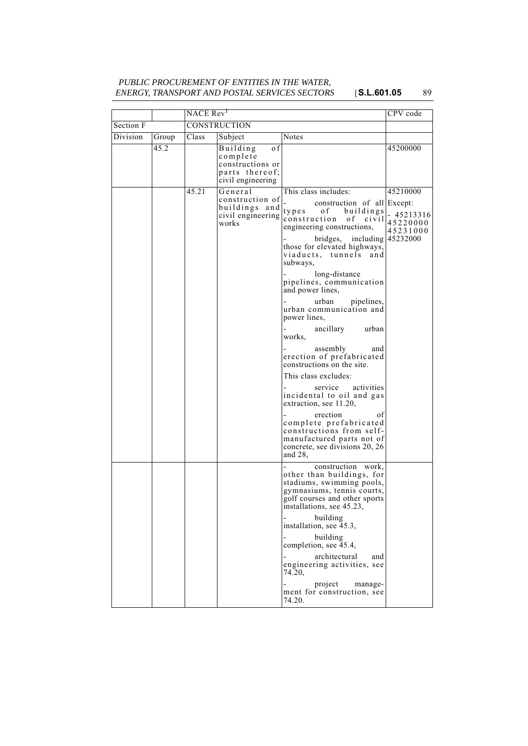# *PUBLIC PROCUREMENT OF ENTITIES IN THE WATER, ENERGY, TRANSPORT AND POSTAL SERVICES SECTORS* [**S.L.601.05** 89

|           |       | NACE Rev <sup>1</sup> | CPV code                                                                               |                                                                                                                                                                                                                                                                                                                                                                                                                                                                                                                                                                                                                                                                                                                                                                |                                                |
|-----------|-------|-----------------------|----------------------------------------------------------------------------------------|----------------------------------------------------------------------------------------------------------------------------------------------------------------------------------------------------------------------------------------------------------------------------------------------------------------------------------------------------------------------------------------------------------------------------------------------------------------------------------------------------------------------------------------------------------------------------------------------------------------------------------------------------------------------------------------------------------------------------------------------------------------|------------------------------------------------|
| Section F |       |                       | CONSTRUCTION                                                                           |                                                                                                                                                                                                                                                                                                                                                                                                                                                                                                                                                                                                                                                                                                                                                                |                                                |
| Division  | Group | Class                 | Subject                                                                                | <b>Notes</b>                                                                                                                                                                                                                                                                                                                                                                                                                                                                                                                                                                                                                                                                                                                                                   |                                                |
|           | 45.2  |                       | 0 f<br>Building<br>complete<br>constructions or<br>parts thereof;<br>civil engineering |                                                                                                                                                                                                                                                                                                                                                                                                                                                                                                                                                                                                                                                                                                                                                                | 45200000                                       |
|           |       | 45.21                 | General<br>construction of<br>buildings and<br>civil engineering<br>works              | This class includes:<br>construction of all Except:<br>buildings<br>types<br>of<br>construction<br>of civil<br>engineering constructions,<br>bridges, including 45232000<br>those for elevated highways,<br>viaducts, tunnels<br>and<br>subways,<br>long-distance<br>pipelines, communication<br>and power lines,<br>urban<br>pipelines,<br>urban communication and<br>power lines,<br>ancillary<br>urban<br>works,<br>assembly<br>and<br>erection of prefabricated<br>constructions on the site.<br>This class excludes:<br>service<br>activities<br>incidental to oil and gas<br>extraction, see 11.20,<br>erection<br>of<br>complete prefabricated<br>constructions from self-<br>manufactured parts not of<br>concrete, see divisions 20, 26<br>and $28$ , | 45210000<br>- 45213316<br>45220000<br>45231000 |
|           |       |                       |                                                                                        | construction work,<br>other than buildings, for<br>stadiums, swimming pools,<br>gymnasiums, tennis courts,<br>golf courses and other sports<br>installations, see 45.23,<br>building<br>installation, see 45.3,<br>building<br>completion, see 45.4,<br>architectural<br>and<br>engineering activities, see<br>74.20,<br>project<br>manage-<br>ment for construction, see<br>74.20.                                                                                                                                                                                                                                                                                                                                                                            |                                                |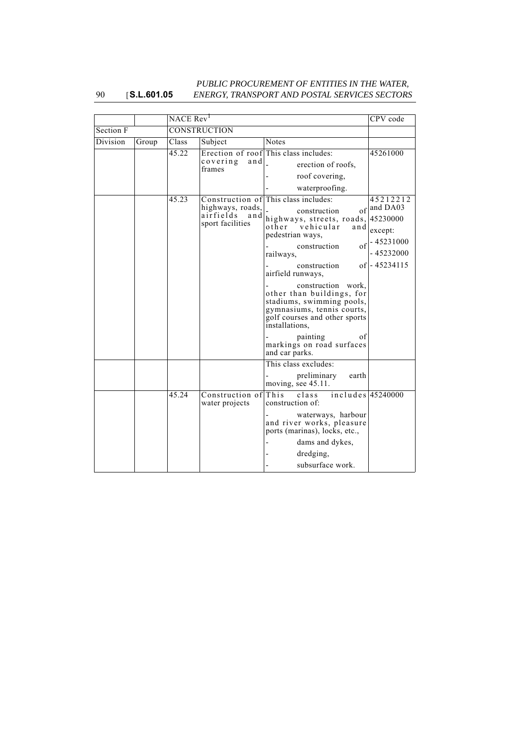#### 90 [**S.L.601.05** *PUBLIC PROCUREMENT OF ENTITIES IN THE WATER, ENERGY, TRANSPORT AND POSTAL SERVICES SECTORS*

|           |       | NACE Rev <sup>1</sup> | CPV code                                                 |                                                                                                                                                                                                                                                                                                                                                                                                                                                  |                                                                                              |
|-----------|-------|-----------------------|----------------------------------------------------------|--------------------------------------------------------------------------------------------------------------------------------------------------------------------------------------------------------------------------------------------------------------------------------------------------------------------------------------------------------------------------------------------------------------------------------------------------|----------------------------------------------------------------------------------------------|
| Section F |       | <b>CONSTRUCTION</b>   |                                                          |                                                                                                                                                                                                                                                                                                                                                                                                                                                  |                                                                                              |
| Division  | Group | Class                 | Subject                                                  | <b>Notes</b>                                                                                                                                                                                                                                                                                                                                                                                                                                     |                                                                                              |
|           |       | 45.22                 |                                                          | Erection of roof This class includes:                                                                                                                                                                                                                                                                                                                                                                                                            | 45261000                                                                                     |
|           |       |                       | covering<br>and<br>frames                                | erection of roofs,                                                                                                                                                                                                                                                                                                                                                                                                                               |                                                                                              |
|           |       |                       |                                                          | roof covering,                                                                                                                                                                                                                                                                                                                                                                                                                                   |                                                                                              |
|           |       |                       |                                                          | waterproofing.                                                                                                                                                                                                                                                                                                                                                                                                                                   |                                                                                              |
|           |       | 45.23                 | highways, roads,<br>airfields<br>and<br>sport facilities | Construction of This class includes:<br>$\sigma$ f<br>construction<br>highways, streets, roads,<br>vehicular<br>other<br>and<br>pedestrian ways,<br>$\sigma$ f<br>construction<br>railways,<br>construction<br>airfield runways,<br>construction work,<br>other than buildings, for<br>stadiums, swimming pools,<br>gymnasiums, tennis courts,<br>golf courses and other sports<br>installations,<br>painting<br>οf<br>markings on road surfaces | 45212212<br>and DA03<br>45230000<br>except:<br>$-45231000$<br>$-45232000$<br>$of$ - 45234115 |
|           |       |                       |                                                          | and car parks.                                                                                                                                                                                                                                                                                                                                                                                                                                   |                                                                                              |
|           |       |                       |                                                          | This class excludes:<br>preliminary<br>earth<br>moving, see 45.11.                                                                                                                                                                                                                                                                                                                                                                               |                                                                                              |
|           |       | 45.24                 | Construction of This<br>water projects                   | includes $45240000$<br>class<br>construction of:<br>waterways, harbour<br>and river works, pleasure<br>ports (marinas), locks, etc.,                                                                                                                                                                                                                                                                                                             |                                                                                              |
|           |       |                       |                                                          | dams and dykes,<br>dredging,<br>subsurface work.                                                                                                                                                                                                                                                                                                                                                                                                 |                                                                                              |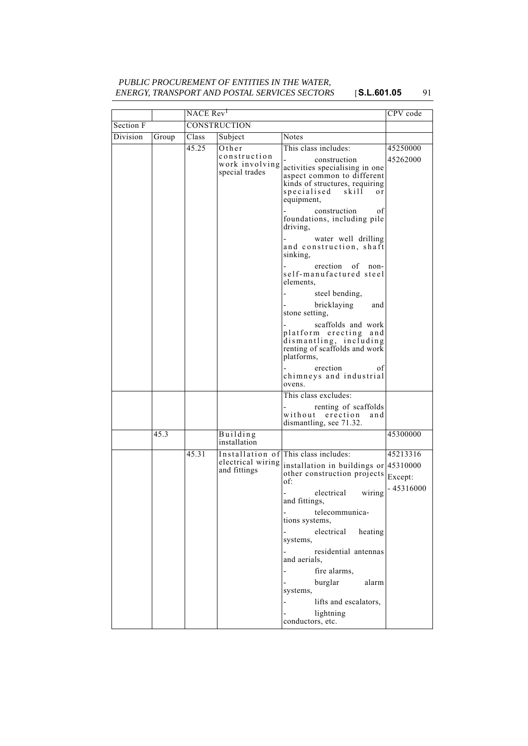# *PUBLIC PROCUREMENT OF ENTITIES IN THE WATER, ENERGY, TRANSPORT AND POSTAL SERVICES SECTORS* [**S.L.601.05** 91

|           |       | NACE Rev <sup>1</sup> |                                                  |                                                                                                                                                          | CPV code              |
|-----------|-------|-----------------------|--------------------------------------------------|----------------------------------------------------------------------------------------------------------------------------------------------------------|-----------------------|
| Section F |       | <b>CONSTRUCTION</b>   |                                                  |                                                                                                                                                          |                       |
| Division  | Group | Class                 | Subject                                          | Notes                                                                                                                                                    |                       |
|           |       | 45.25                 | Other                                            | This class includes:                                                                                                                                     | 45250000              |
|           |       |                       | construction<br>work involving<br>special trades | construction<br>activities specialising in one<br>aspect common to different<br>kinds of structures, requiring<br>specialised skill<br>o r<br>equipment, | 45262000              |
|           |       |                       |                                                  | construction<br>οf<br>foundations, including pile<br>driving,                                                                                            |                       |
|           |       |                       |                                                  | water well drilling<br>and construction, shaft<br>sinking,                                                                                               |                       |
|           |       |                       |                                                  | erection of<br>non-<br>self-manufactured steel<br>elements.                                                                                              |                       |
|           |       |                       |                                                  | steel bending,                                                                                                                                           |                       |
|           |       |                       |                                                  | bricklaying<br>and<br>stone setting,                                                                                                                     |                       |
|           |       |                       |                                                  | scaffolds and work<br>platform erecting and<br>dismantling, including<br>renting of scaffolds and work<br>platforms,                                     |                       |
|           |       |                       |                                                  | erection<br>οf<br>chimneys and industrial<br>ovens.                                                                                                      |                       |
|           |       |                       |                                                  | This class excludes:<br>renting of scaffolds<br>without erection<br>and<br>dismantling, see 71.32.                                                       |                       |
|           | 45.3  |                       | Building<br>installation                         |                                                                                                                                                          | 45300000              |
|           |       | 45.31                 |                                                  | Installation of This class includes:                                                                                                                     | 45213316              |
|           |       |                       | electrical wiring<br>and fittings                | installation in buildings or 45310000<br>other construction projects<br>of:                                                                              | Except:<br>- 45316000 |
|           |       |                       |                                                  | electrical<br>wiring<br>and fittings,                                                                                                                    |                       |
|           |       |                       |                                                  | telecommunica-<br>tions systems,                                                                                                                         |                       |
|           |       |                       |                                                  | electrical<br>heating<br>systems,                                                                                                                        |                       |
|           |       |                       |                                                  | residential antennas<br>and aerials,                                                                                                                     |                       |
|           |       |                       |                                                  | fire alarms,<br>$\overline{a}$                                                                                                                           |                       |
|           |       |                       |                                                  | burglar<br>alarm<br>systems,                                                                                                                             |                       |
|           |       |                       |                                                  | lifts and escalators,<br>$\overline{a}$                                                                                                                  |                       |
|           |       |                       |                                                  | lightning                                                                                                                                                |                       |
|           |       |                       |                                                  | conductors, etc.                                                                                                                                         |                       |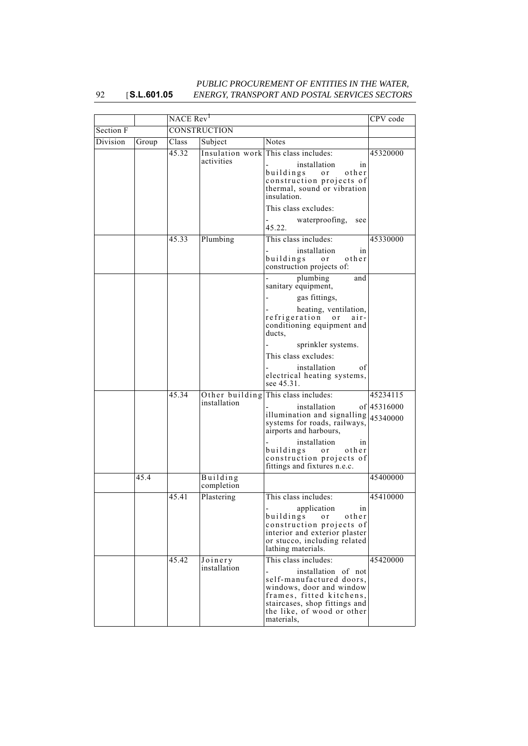#### 92 [**S.L.601.05** *PUBLIC PROCUREMENT OF ENTITIES IN THE WATER, ENERGY, TRANSPORT AND POSTAL SERVICES SECTORS*

|           |       | NACE Rev <sup>1</sup> |                         |                                                                                                                                                                                                              | CPV code    |
|-----------|-------|-----------------------|-------------------------|--------------------------------------------------------------------------------------------------------------------------------------------------------------------------------------------------------------|-------------|
| Section F |       | <b>CONSTRUCTION</b>   |                         |                                                                                                                                                                                                              |             |
| Division  | Group | Class                 | Subject                 | <b>Notes</b>                                                                                                                                                                                                 |             |
|           |       | 45.32                 |                         | Insulation work This class includes:                                                                                                                                                                         | 45320000    |
|           |       |                       | activities              | installation<br>in<br>buildings<br>other<br>or<br>construction projects of<br>thermal, sound or vibration<br>insulation.                                                                                     |             |
|           |       |                       |                         | This class excludes:                                                                                                                                                                                         |             |
|           |       |                       |                         | waterproofing,<br>see<br>45.22.                                                                                                                                                                              |             |
|           |       | 45.33                 | Plumbing                | This class includes:                                                                                                                                                                                         | 45330000    |
|           |       |                       |                         | installation<br>in<br>buildings<br>other<br>or<br>construction projects of:                                                                                                                                  |             |
|           |       |                       |                         | plumbing<br>and<br>sanitary equipment,                                                                                                                                                                       |             |
|           |       |                       |                         | gas fittings,                                                                                                                                                                                                |             |
|           |       |                       |                         | heating, ventilation,<br>refrigeration or<br>$air -$<br>conditioning equipment and<br>ducts,                                                                                                                 |             |
|           |       |                       |                         | sprinkler systems.                                                                                                                                                                                           |             |
|           |       |                       |                         | This class excludes:                                                                                                                                                                                         |             |
|           |       |                       |                         | installation<br>οf<br>electrical heating systems,<br>see 45.31.                                                                                                                                              |             |
|           |       | 45.34                 |                         | Other building This class includes:                                                                                                                                                                          | 45234115    |
|           |       |                       | installation            | installation<br>illumination and signalling $ 45340000$<br>systems for roads, railways,<br>airports and harbours,                                                                                            | of 45316000 |
|           |       |                       |                         | installation<br>in<br>buildings or other<br>construction projects of<br>fittings and fixtures n.e.c.                                                                                                         |             |
|           | 45.4  |                       | Building<br>completion  |                                                                                                                                                                                                              | 45400000    |
|           |       | 45.41                 | Plastering              | This class includes:                                                                                                                                                                                         | 45410000    |
|           |       |                       |                         | application<br>in<br>buildings<br>or.<br>other<br>construction projects of<br>interior and exterior plaster<br>or stucco, including related<br>lathing materials.                                            |             |
|           |       | 45.42                 | Joinery<br>installation | This class includes:<br>installation of not<br>self-manufactured doors.<br>windows, door and window<br>frames, fitted kitchens,<br>staircases, shop fittings and<br>the like, of wood or other<br>materials. | 45420000    |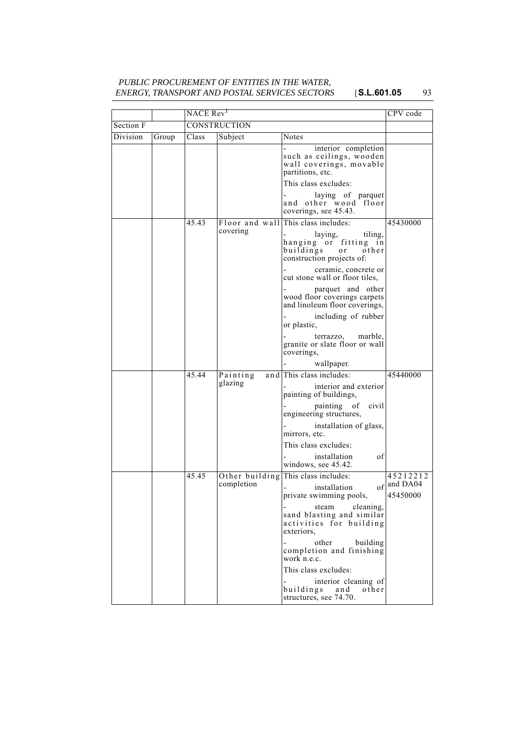# *PUBLIC PROCUREMENT OF ENTITIES IN THE WATER, ENERGY, TRANSPORT AND POSTAL SERVICES SECTORS* [**S.L.601.05** 93

|           |       | NACE Rev <sup>1</sup> |                            |                                                                                                       | CPV code                |
|-----------|-------|-----------------------|----------------------------|-------------------------------------------------------------------------------------------------------|-------------------------|
| Section F |       | CONSTRUCTION          |                            |                                                                                                       |                         |
| Division  | Group | Class                 | Subject                    | Notes                                                                                                 |                         |
|           |       |                       |                            | interior completion<br>such as ceilings, wooden<br>wall coverings, movable<br>partitions, etc.        |                         |
|           |       |                       |                            | This class excludes:                                                                                  |                         |
|           |       |                       |                            | - laying of parquet<br>and other wood floor<br>coverings, see 45.43.                                  |                         |
|           |       | 45.43                 | Floor and wall             | This class includes:                                                                                  | 45430000                |
|           |       |                       | covering                   | laying,<br>tiling,<br>hanging or fitting in<br>buildings<br>other<br>o r<br>construction projects of: |                         |
|           |       |                       |                            | ceramic, concrete or<br>cut stone wall or floor tiles,                                                |                         |
|           |       |                       |                            | parquet and other<br>wood floor coverings carpets<br>and linoleum floor coverings,                    |                         |
|           |       |                       |                            | including of rubber<br>or plastic,                                                                    |                         |
|           |       |                       |                            | terrazzo, marble,<br>granite or slate floor or wall<br>coverings,                                     |                         |
|           |       |                       |                            | wallpaper.                                                                                            |                         |
|           |       | 45.44                 | Painting<br>and<br>glazing | This class includes:                                                                                  | 45440000                |
|           |       |                       |                            | interior and exterior<br>painting of buildings,                                                       |                         |
|           |       |                       |                            | painting of civil<br>engineering structures,                                                          |                         |
|           |       |                       |                            | installation of glass,<br>mirrors, etc.                                                               |                         |
|           |       |                       |                            | This class excludes:                                                                                  |                         |
|           |       |                       |                            | installation<br>οf<br>windows, see 45.42.                                                             |                         |
|           |       | 45.45                 | Other building             | This class includes:                                                                                  | 45212212                |
|           |       |                       | completion                 | installation<br>private swimming pools,                                                               | of and DA04<br>45450000 |
|           |       |                       |                            | steam cleaning,<br>sand blasting and similar<br>activities for building<br>exteriors,                 |                         |
|           |       |                       |                            | other<br>building<br>completion and finishing<br>work n.e.c.                                          |                         |
|           |       |                       |                            | This class excludes:                                                                                  |                         |
|           |       |                       |                            | interior cleaning of<br>buildings<br>other<br>and<br>structures, see 74.70.                           |                         |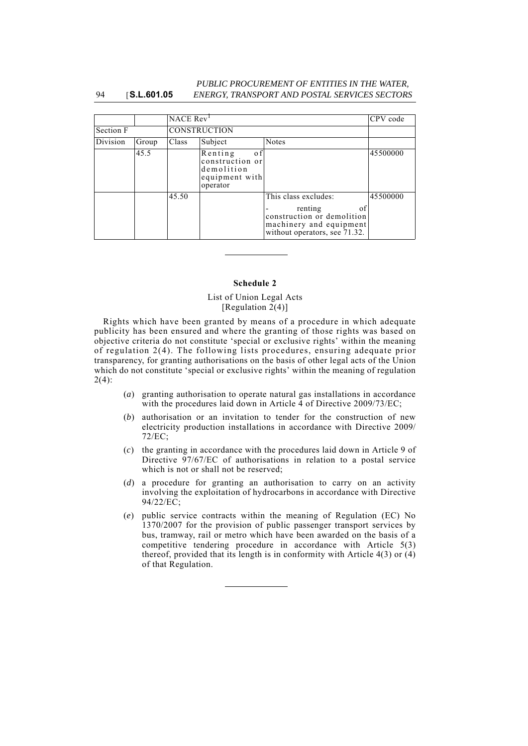#### 94 [**S.L.601.05** *PUBLIC PROCUREMENT OF ENTITIES IN THE WATER, ENERGY, TRANSPORT AND POSTAL SERVICES SECTORS*

|           |       |       | NACE Rev <sup>1</sup><br>CPV code                                             |                                                                                                                                 |          |  |
|-----------|-------|-------|-------------------------------------------------------------------------------|---------------------------------------------------------------------------------------------------------------------------------|----------|--|
| Section F |       |       | <b>CONSTRUCTION</b>                                                           |                                                                                                                                 |          |  |
| Division  | Group | Class | Subject                                                                       | <b>Notes</b>                                                                                                                    |          |  |
|           | 45.5  |       | Renting<br>0 f<br>construction or<br>demolition<br>equipment with<br>operator |                                                                                                                                 | 45500000 |  |
|           |       | 45.50 |                                                                               | This class excludes:<br>renting<br>οf<br>construction or demolition<br>machinery and equipment<br>without operators, see 71.32. | 45500000 |  |

### **Schedule 2**

### List of Union Legal Acts [Regulation 2(4)]

Rights which have been granted by means of a procedure in which adequate publicity has been ensured and where the granting of those rights was based on objective criteria do not constitute 'special or exclusive rights' within the meaning of regulation 2(4). The following lists procedures, ensuring adequate prior transparency, for granting authorisations on the basis of other legal acts of the Union which do not constitute 'special or exclusive rights' within the meaning of regulation  $2(4)$ :

- (*a*) granting authorisation to operate natural gas installations in accordance with the procedures laid down in Article 4 of Directive 2009/73/EC;
- (*b*) authorisation or an invitation to tender for the construction of new electricity production installations in accordance with Directive 2009/ 72/EC;
- (*c*) the granting in accordance with the procedures laid down in Article 9 of Directive 97/67/EC of authorisations in relation to a postal service which is not or shall not be reserved;
- (*d*) a procedure for granting an authorisation to carry on an activity involving the exploitation of hydrocarbons in accordance with Directive 94/22/EC;
- (*e*) public service contracts within the meaning of Regulation (EC) No 1370/2007 for the provision of public passenger transport services by bus, tramway, rail or metro which have been awarded on the basis of a competitive tendering procedure in accordance with Article 5(3) thereof, provided that its length is in conformity with Article 4(3) or (4) of that Regulation.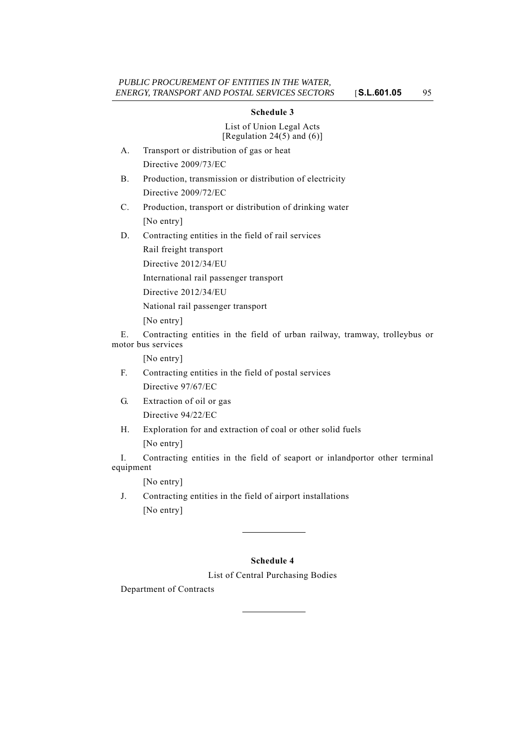## **Schedule 3**

List of Union Legal Acts [Regulation 24(5) and  $(6)$ ]

- A. Transport or distribution of gas or heat Directive 2009/73/EC
- B. Production, transmission or distribution of electricity Directive 2009/72/EC
- C. Production, transport or distribution of drinking water [No entry]
- D. Contracting entities in the field of rail services Rail freight transport

Directive 2012/34/EU

International rail passenger transport

Directive 2012/34/EU

National rail passenger transport

[No entry]

E. Contracting entities in the field of urban railway, tramway, trolleybus or motor bus services

[No entry]

- F. Contracting entities in the field of postal services Directive 97/67/EC
- G. Extraction of oil or gas Directive 94/22/EC

H. Exploration for and extraction of coal or other solid fuels [No entry]

I. Contracting entities in the field of seaport or inlandportor other terminal equipment

[No entry]

J. Contracting entities in the field of airport installations [No entry]

# **Schedule 4**

List of Central Purchasing Bodies

Department of Contracts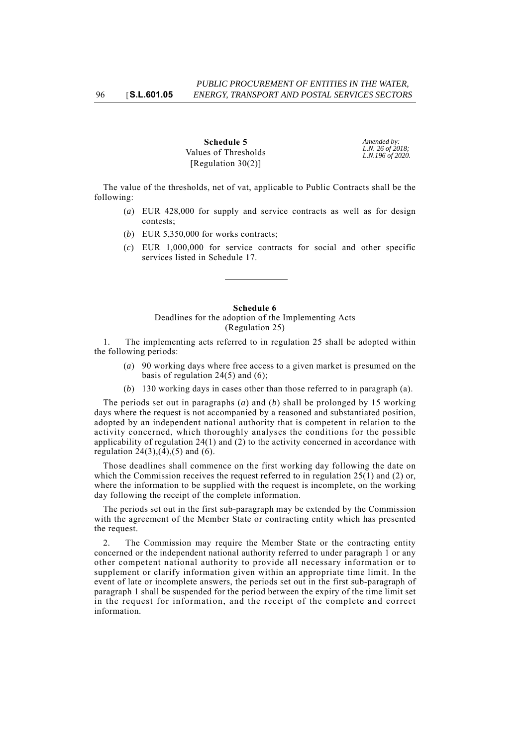**Schedule 5** Values of Thresholds [Regulation 30(2)]

*Amended by: L.N. 26 of 2018; L.N.196 of 2020.*

The value of the thresholds, net of vat, applicable to Public Contracts shall be the following:

- (*a*) EUR 428,000 for supply and service contracts as well as for design contests;
- (*b*) EUR 5,350,000 for works contracts;
- (*c*) EUR 1,000,000 for service contracts for social and other specific services listed in Schedule 17.

#### **Schedule 6**

Deadlines for the adoption of the Implementing Acts (Regulation 25)

1. The implementing acts referred to in regulation 25 shall be adopted within the following periods:

- (*a*) 90 working days where free access to a given market is presumed on the basis of regulation  $24(5)$  and  $(6)$ ;
- (*b*) 130 working days in cases other than those referred to in paragraph (a).

The periods set out in paragraphs (*a*) and (*b*) shall be prolonged by 15 working days where the request is not accompanied by a reasoned and substantiated position, adopted by an independent national authority that is competent in relation to the activity concerned, which thoroughly analyses the conditions for the possible applicability of regulation  $24(1)$  and (2) to the activity concerned in accordance with regulation  $24(3)$ ,  $(4)$ ,  $(5)$  and  $(6)$ .

Those deadlines shall commence on the first working day following the date on which the Commission receives the request referred to in regulation  $25(1)$  and (2) or, where the information to be supplied with the request is incomplete, on the working day following the receipt of the complete information.

The periods set out in the first sub-paragraph may be extended by the Commission with the agreement of the Member State or contracting entity which has presented the request.

2. The Commission may require the Member State or the contracting entity concerned or the independent national authority referred to under paragraph 1 or any other competent national authority to provide all necessary information or to supplement or clarify information given within an appropriate time limit. In the event of late or incomplete answers, the periods set out in the first sub-paragraph of paragraph 1 shall be suspended for the period between the expiry of the time limit set in the request for information, and the receipt of the complete and correct information.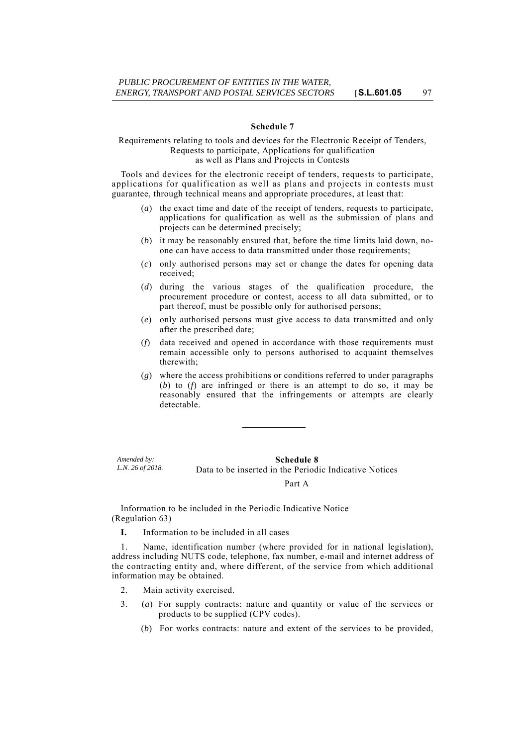#### **Schedule 7**

### Requirements relating to tools and devices for the Electronic Receipt of Tenders, Requests to participate, Applications for qualification as well as Plans and Projects in Contests

Tools and devices for the electronic receipt of tenders, requests to participate, applications for qualification as well as plans and projects in contests must guarantee, through technical means and appropriate procedures, at least that:

- (*a*) the exact time and date of the receipt of tenders, requests to participate, applications for qualification as well as the submission of plans and projects can be determined precisely;
- (*b*) it may be reasonably ensured that, before the time limits laid down, noone can have access to data transmitted under those requirements;
- (*c*) only authorised persons may set or change the dates for opening data received;
- (*d*) during the various stages of the qualification procedure, the procurement procedure or contest, access to all data submitted, or to part thereof, must be possible only for authorised persons;
- (*e*) only authorised persons must give access to data transmitted and only after the prescribed date;
- (*f*) data received and opened in accordance with those requirements must remain accessible only to persons authorised to acquaint themselves therewith;
- (*g*) where the access prohibitions or conditions referred to under paragraphs (*b*) to (*f*) are infringed or there is an attempt to do so, it may be reasonably ensured that the infringements or attempts are clearly detectable.

*Amended by: L.N. 26 of 2018.*

### **Schedule 8** Data to be inserted in the Periodic Indicative Notices

#### Part A

Information to be included in the Periodic Indicative Notice (Regulation 63)

**I.** Information to be included in all cases

1. Name, identification number (where provided for in national legislation), address including NUTS code, telephone, fax number, e-mail and internet address of the contracting entity and, where different, of the service from which additional information may be obtained.

- 2. Main activity exercised.
- 3. (*a*) For supply contracts: nature and quantity or value of the services or products to be supplied (CPV codes).
	- (*b*) For works contracts: nature and extent of the services to be provided,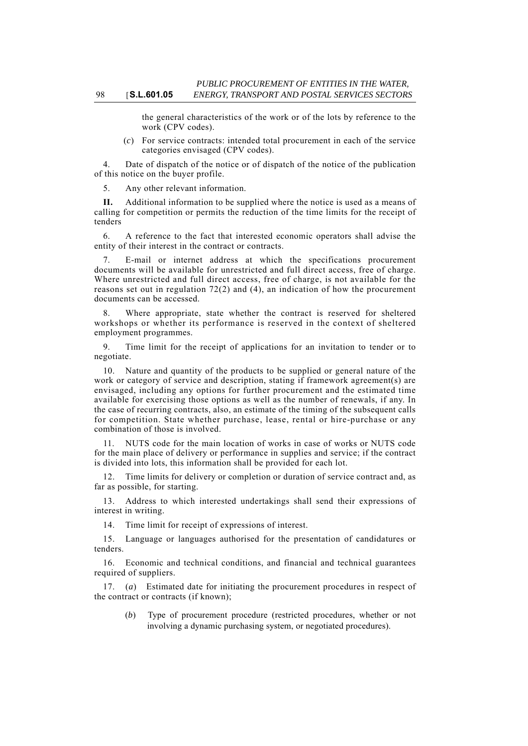the general characteristics of the work or of the lots by reference to the work (CPV codes).

(*c*) For service contracts: intended total procurement in each of the service categories envisaged (CPV codes).

4. Date of dispatch of the notice or of dispatch of the notice of the publication of this notice on the buyer profile.

Any other relevant information.

Additional information to be supplied where the notice is used as a means of calling for competition or permits the reduction of the time limits for the receipt of tenders

6. A reference to the fact that interested economic operators shall advise the entity of their interest in the contract or contracts.

7. E-mail or internet address at which the specifications procurement documents will be available for unrestricted and full direct access, free of charge. Where unrestricted and full direct access, free of charge, is not available for the reasons set out in regulation 72(2) and (4), an indication of how the procurement documents can be accessed.

Where appropriate, state whether the contract is reserved for sheltered workshops or whether its performance is reserved in the context of sheltered employment programmes.

9. Time limit for the receipt of applications for an invitation to tender or to negotiate.

10. Nature and quantity of the products to be supplied or general nature of the work or category of service and description, stating if framework agreement(s) are envisaged, including any options for further procurement and the estimated time available for exercising those options as well as the number of renewals, if any. In the case of recurring contracts, also, an estimate of the timing of the subsequent calls for competition. State whether purchase, lease, rental or hire-purchase or any combination of those is involved.

11. NUTS code for the main location of works in case of works or NUTS code for the main place of delivery or performance in supplies and service; if the contract is divided into lots, this information shall be provided for each lot.

12. Time limits for delivery or completion or duration of service contract and, as far as possible, for starting.

13. Address to which interested undertakings shall send their expressions of interest in writing.

14. Time limit for receipt of expressions of interest.

15. Language or languages authorised for the presentation of candidatures or tenders.

16. Economic and technical conditions, and financial and technical guarantees required of suppliers.

17. (*a*) Estimated date for initiating the procurement procedures in respect of the contract or contracts (if known);

(*b*) Type of procurement procedure (restricted procedures, whether or not involving a dynamic purchasing system, or negotiated procedures).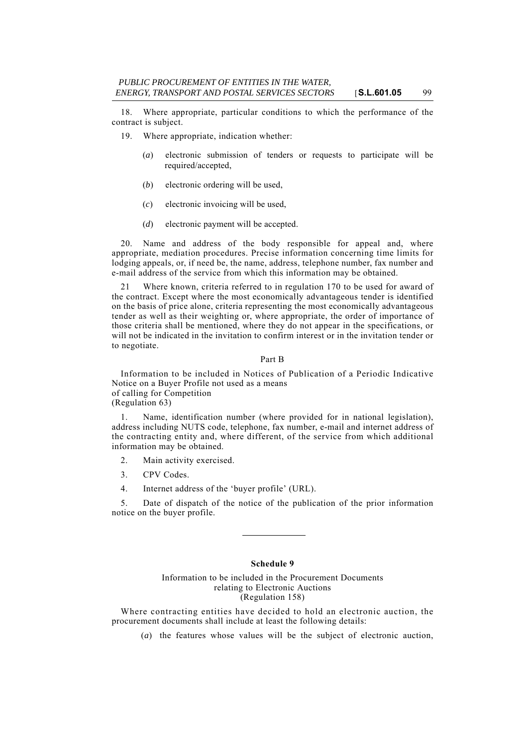18. Where appropriate, particular conditions to which the performance of the contract is subject.

19. Where appropriate, indication whether:

- (*a*) electronic submission of tenders or requests to participate will be required/accepted,
- (*b*) electronic ordering will be used,
- (*c*) electronic invoicing will be used,
- (*d*) electronic payment will be accepted.

20. Name and address of the body responsible for appeal and, where appropriate, mediation procedures. Precise information concerning time limits for lodging appeals, or, if need be, the name, address, telephone number, fax number and e-mail address of the service from which this information may be obtained.

21 Where known, criteria referred to in regulation 170 to be used for award of the contract. Except where the most economically advantageous tender is identified on the basis of price alone, criteria representing the most economically advantageous tender as well as their weighting or, where appropriate, the order of importance of those criteria shall be mentioned, where they do not appear in the specifications, or will not be indicated in the invitation to confirm interest or in the invitation tender or to negotiate.

#### Part B

Information to be included in Notices of Publication of a Periodic Indicative Notice on a Buyer Profile not used as a means of calling for Competition

(Regulation 63)

1. Name, identification number (where provided for in national legislation), address including NUTS code, telephone, fax number, e-mail and internet address of the contracting entity and, where different, of the service from which additional information may be obtained.

- 2. Main activity exercised.
- 3. CPV Codes.
- 4. Internet address of the 'buyer profile' (URL).

5. Date of dispatch of the notice of the publication of the prior information notice on the buyer profile.

### **Schedule 9**

## Information to be included in the Procurement Documents relating to Electronic Auctions (Regulation 158)

Where contracting entities have decided to hold an electronic auction, the procurement documents shall include at least the following details:

(*a*) the features whose values will be the subject of electronic auction,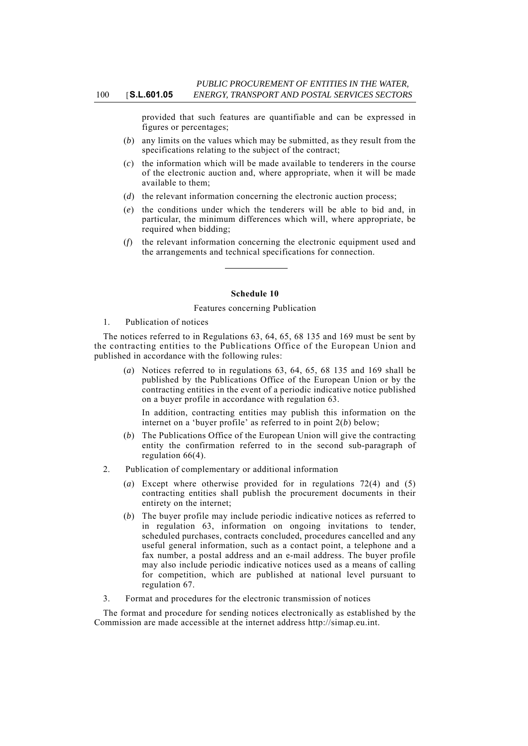provided that such features are quantifiable and can be expressed in figures or percentages;

- (*b*) any limits on the values which may be submitted, as they result from the specifications relating to the subject of the contract;
- (*c*) the information which will be made available to tenderers in the course of the electronic auction and, where appropriate, when it will be made available to them;
- (*d*) the relevant information concerning the electronic auction process;
- (*e*) the conditions under which the tenderers will be able to bid and, in particular, the minimum differences which will, where appropriate, be required when bidding;
- (*f*) the relevant information concerning the electronic equipment used and the arrangements and technical specifications for connection.

#### **Schedule 10**

#### Features concerning Publication

#### 1. Publication of notices

The notices referred to in Regulations 63, 64, 65, 68 135 and 169 must be sent by the contracting entities to the Publications Office of the European Union and published in accordance with the following rules:

(*a*) Notices referred to in regulations 63, 64, 65, 68 135 and 169 shall be published by the Publications Office of the European Union or by the contracting entities in the event of a periodic indicative notice published on a buyer profile in accordance with regulation 63.

In addition, contracting entities may publish this information on the internet on a 'buyer profile' as referred to in point 2(*b*) below;

- (*b*) The Publications Office of the European Union will give the contracting entity the confirmation referred to in the second sub-paragraph of regulation 66(4).
- 2. Publication of complementary or additional information
	- (*a*) Except where otherwise provided for in regulations 72(4) and (5) contracting entities shall publish the procurement documents in their entirety on the internet;
	- (*b*) The buyer profile may include periodic indicative notices as referred to in regulation 63, information on ongoing invitations to tender, scheduled purchases, contracts concluded, procedures cancelled and any useful general information, such as a contact point, a telephone and a fax number, a postal address and an e-mail address. The buyer profile may also include periodic indicative notices used as a means of calling for competition, which are published at national level pursuant to regulation 67.
- 3. Format and procedures for the electronic transmission of notices

The format and procedure for sending notices electronically as established by the Commission are made accessible at the internet address http://simap.eu.int.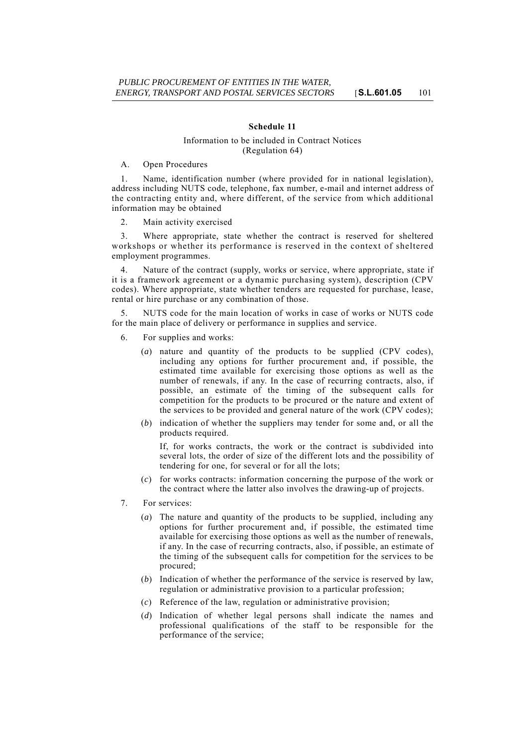### **Schedule 11**

### Information to be included in Contract Notices (Regulation 64)

A. Open Procedures

1. Name, identification number (where provided for in national legislation), address including NUTS code, telephone, fax number, e-mail and internet address of the contracting entity and, where different, of the service from which additional information may be obtained

2. Main activity exercised

3. Where appropriate, state whether the contract is reserved for sheltered workshops or whether its performance is reserved in the context of sheltered employment programmes.

4. Nature of the contract (supply, works or service, where appropriate, state if it is a framework agreement or a dynamic purchasing system), description (CPV codes). Where appropriate, state whether tenders are requested for purchase, lease, rental or hire purchase or any combination of those.

5. NUTS code for the main location of works in case of works or NUTS code for the main place of delivery or performance in supplies and service.

- 6. For supplies and works:
	- (*a*) nature and quantity of the products to be supplied (CPV codes), including any options for further procurement and, if possible, the estimated time available for exercising those options as well as the number of renewals, if any. In the case of recurring contracts, also, if possible, an estimate of the timing of the subsequent calls for competition for the products to be procured or the nature and extent of the services to be provided and general nature of the work (CPV codes);
	- (*b*) indication of whether the suppliers may tender for some and, or all the products required.

If, for works contracts, the work or the contract is subdivided into several lots, the order of size of the different lots and the possibility of tendering for one, for several or for all the lots;

- (*c*) for works contracts: information concerning the purpose of the work or the contract where the latter also involves the drawing-up of projects.
- 7. For services:
	- (*a*) The nature and quantity of the products to be supplied, including any options for further procurement and, if possible, the estimated time available for exercising those options as well as the number of renewals, if any. In the case of recurring contracts, also, if possible, an estimate of the timing of the subsequent calls for competition for the services to be procured;
	- (*b*) Indication of whether the performance of the service is reserved by law, regulation or administrative provision to a particular profession;
	- (*c*) Reference of the law, regulation or administrative provision;
	- (*d*) Indication of whether legal persons shall indicate the names and professional qualifications of the staff to be responsible for the performance of the service;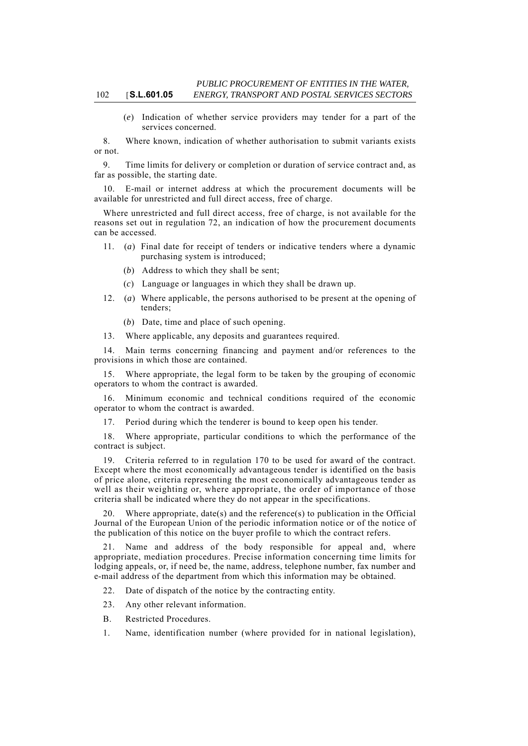(*e*) Indication of whether service providers may tender for a part of the services concerned.

8. Where known, indication of whether authorisation to submit variants exists or not.

9. Time limits for delivery or completion or duration of service contract and, as far as possible, the starting date.

E-mail or internet address at which the procurement documents will be available for unrestricted and full direct access, free of charge.

Where unrestricted and full direct access, free of charge, is not available for the reasons set out in regulation 72, an indication of how the procurement documents can be accessed.

- 11. (*a*) Final date for receipt of tenders or indicative tenders where a dynamic purchasing system is introduced;
	- (*b*) Address to which they shall be sent;
	- (*c*) Language or languages in which they shall be drawn up.
- 12. (*a*) Where applicable, the persons authorised to be present at the opening of tenders;
	- (*b*) Date, time and place of such opening.
- 13. Where applicable, any deposits and guarantees required.

14. Main terms concerning financing and payment and/or references to the provisions in which those are contained.

15. Where appropriate, the legal form to be taken by the grouping of economic operators to whom the contract is awarded.

16. Minimum economic and technical conditions required of the economic operator to whom the contract is awarded.

17. Period during which the tenderer is bound to keep open his tender.

18. Where appropriate, particular conditions to which the performance of the contract is subject.

19. Criteria referred to in regulation 170 to be used for award of the contract. Except where the most economically advantageous tender is identified on the basis of price alone, criteria representing the most economically advantageous tender as well as their weighting or, where appropriate, the order of importance of those criteria shall be indicated where they do not appear in the specifications.

20. Where appropriate, date(s) and the reference(s) to publication in the Official Journal of the European Union of the periodic information notice or of the notice of the publication of this notice on the buyer profile to which the contract refers.

21. Name and address of the body responsible for appeal and, where appropriate, mediation procedures. Precise information concerning time limits for lodging appeals, or, if need be, the name, address, telephone number, fax number and e-mail address of the department from which this information may be obtained.

22. Date of dispatch of the notice by the contracting entity.

- 23. Any other relevant information.
- B. Restricted Procedures.
- 1. Name, identification number (where provided for in national legislation),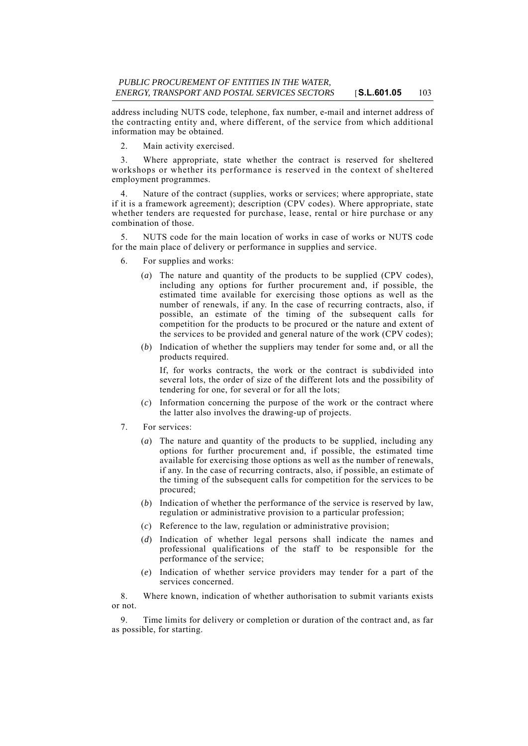address including NUTS code, telephone, fax number, e-mail and internet address of the contracting entity and, where different, of the service from which additional information may be obtained.

2. Main activity exercised.

3. Where appropriate, state whether the contract is reserved for sheltered workshops or whether its performance is reserved in the context of sheltered employment programmes.

4. Nature of the contract (supplies, works or services; where appropriate, state if it is a framework agreement); description (CPV codes). Where appropriate, state whether tenders are requested for purchase, lease, rental or hire purchase or any combination of those.

5. NUTS code for the main location of works in case of works or NUTS code for the main place of delivery or performance in supplies and service.

- 6. For supplies and works:
	- (*a*) The nature and quantity of the products to be supplied (CPV codes), including any options for further procurement and, if possible, the estimated time available for exercising those options as well as the number of renewals, if any. In the case of recurring contracts, also, if possible, an estimate of the timing of the subsequent calls for competition for the products to be procured or the nature and extent of the services to be provided and general nature of the work (CPV codes);
	- (*b*) Indication of whether the suppliers may tender for some and, or all the products required.

If, for works contracts, the work or the contract is subdivided into several lots, the order of size of the different lots and the possibility of tendering for one, for several or for all the lots;

- (*c*) Information concerning the purpose of the work or the contract where the latter also involves the drawing-up of projects.
- 7. For services:
	- (*a*) The nature and quantity of the products to be supplied, including any options for further procurement and, if possible, the estimated time available for exercising those options as well as the number of renewals, if any. In the case of recurring contracts, also, if possible, an estimate of the timing of the subsequent calls for competition for the services to be procured;
	- (*b*) Indication of whether the performance of the service is reserved by law, regulation or administrative provision to a particular profession;
	- (*c*) Reference to the law, regulation or administrative provision;
	- (*d*) Indication of whether legal persons shall indicate the names and professional qualifications of the staff to be responsible for the performance of the service;
	- (*e*) Indication of whether service providers may tender for a part of the services concerned.

8. Where known, indication of whether authorisation to submit variants exists or not.

9. Time limits for delivery or completion or duration of the contract and, as far as possible, for starting.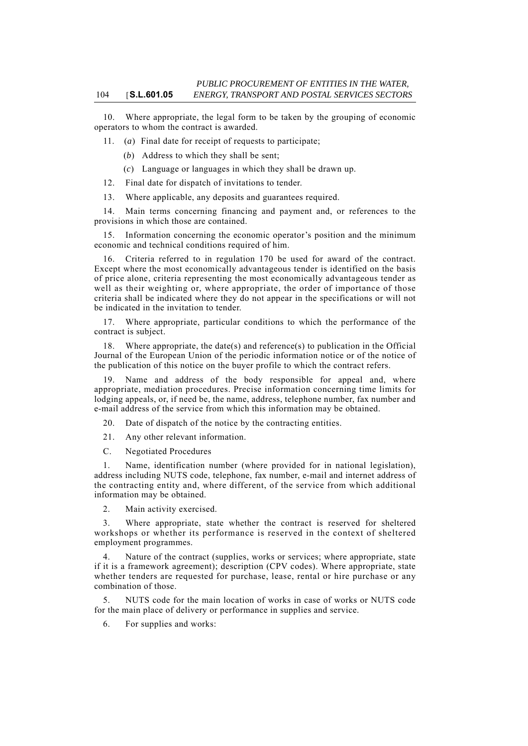10. Where appropriate, the legal form to be taken by the grouping of economic operators to whom the contract is awarded.

11. (*a*) Final date for receipt of requests to participate;

(*b*) Address to which they shall be sent;

(*c*) Language or languages in which they shall be drawn up.

12. Final date for dispatch of invitations to tender.

13. Where applicable, any deposits and guarantees required.

14. Main terms concerning financing and payment and, or references to the provisions in which those are contained.

15. Information concerning the economic operator's position and the minimum economic and technical conditions required of him.

16. Criteria referred to in regulation 170 be used for award of the contract. Except where the most economically advantageous tender is identified on the basis of price alone, criteria representing the most economically advantageous tender as well as their weighting or, where appropriate, the order of importance of those criteria shall be indicated where they do not appear in the specifications or will not be indicated in the invitation to tender.

17. Where appropriate, particular conditions to which the performance of the contract is subject.

18. Where appropriate, the date(s) and reference(s) to publication in the Official Journal of the European Union of the periodic information notice or of the notice of the publication of this notice on the buyer profile to which the contract refers.

19. Name and address of the body responsible for appeal and, where appropriate, mediation procedures. Precise information concerning time limits for lodging appeals, or, if need be, the name, address, telephone number, fax number and e-mail address of the service from which this information may be obtained.

20. Date of dispatch of the notice by the contracting entities.

21. Any other relevant information.

C. Negotiated Procedures

1. Name, identification number (where provided for in national legislation), address including NUTS code, telephone, fax number, e-mail and internet address of the contracting entity and, where different, of the service from which additional information may be obtained.

2. Main activity exercised.

3. Where appropriate, state whether the contract is reserved for sheltered workshops or whether its performance is reserved in the context of sheltered employment programmes.

Nature of the contract (supplies, works or services; where appropriate, state if it is a framework agreement); description (CPV codes). Where appropriate, state whether tenders are requested for purchase, lease, rental or hire purchase or any combination of those.

5. NUTS code for the main location of works in case of works or NUTS code for the main place of delivery or performance in supplies and service.

6. For supplies and works: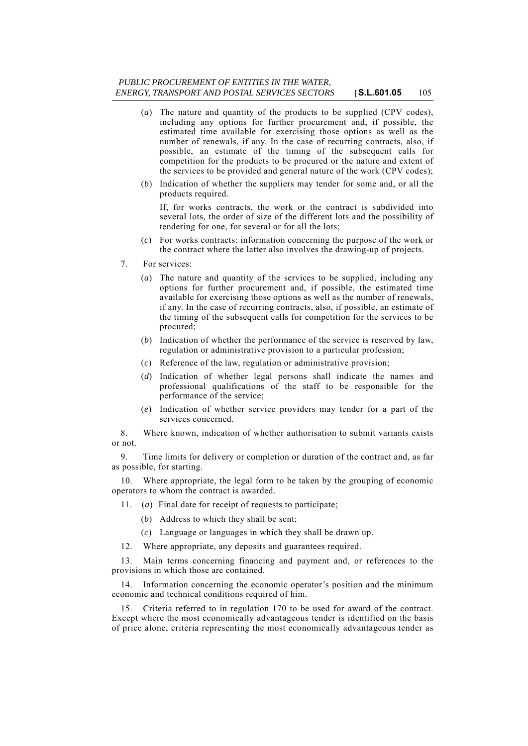## *PUBLIC PROCUREMENT OF ENTITIES IN THE WATER, ENERGY, TRANSPORT AND POSTAL SERVICES SECTORS* [**S.L.601.05** 105

- (*a*) The nature and quantity of the products to be supplied (CPV codes), including any options for further procurement and, if possible, the estimated time available for exercising those options as well as the number of renewals, if any. In the case of recurring contracts, also, if possible, an estimate of the timing of the subsequent calls for competition for the products to be procured or the nature and extent of the services to be provided and general nature of the work (CPV codes);
- (*b*) Indication of whether the suppliers may tender for some and, or all the products required.

If, for works contracts, the work or the contract is subdivided into several lots, the order of size of the different lots and the possibility of tendering for one, for several or for all the lots;

- (*c*) For works contracts: information concerning the purpose of the work or the contract where the latter also involves the drawing-up of projects.
- 7. For services:
	- (*a*) The nature and quantity of the services to be supplied, including any options for further procurement and, if possible, the estimated time available for exercising those options as well as the number of renewals, if any. In the case of recurring contracts, also, if possible, an estimate of the timing of the subsequent calls for competition for the services to be procured;
	- (*b*) Indication of whether the performance of the service is reserved by law, regulation or administrative provision to a particular profession;
	- (*c*) Reference of the law, regulation or administrative provision;
	- (*d*) Indication of whether legal persons shall indicate the names and professional qualifications of the staff to be responsible for the performance of the service;
	- (*e*) Indication of whether service providers may tender for a part of the services concerned.

8. Where known, indication of whether authorisation to submit variants exists or not.

9. Time limits for delivery or completion or duration of the contract and, as far as possible, for starting.

10. Where appropriate, the legal form to be taken by the grouping of economic operators to whom the contract is awarded.

- 11. (*a*) Final date for receipt of requests to participate;
	- (*b*) Address to which they shall be sent;
	- (*c*) Language or languages in which they shall be drawn up.
- 12. Where appropriate, any deposits and guarantees required.

13. Main terms concerning financing and payment and, or references to the provisions in which those are contained.

14. Information concerning the economic operator's position and the minimum economic and technical conditions required of him.

15. Criteria referred to in regulation 170 to be used for award of the contract. Except where the most economically advantageous tender is identified on the basis of price alone, criteria representing the most economically advantageous tender as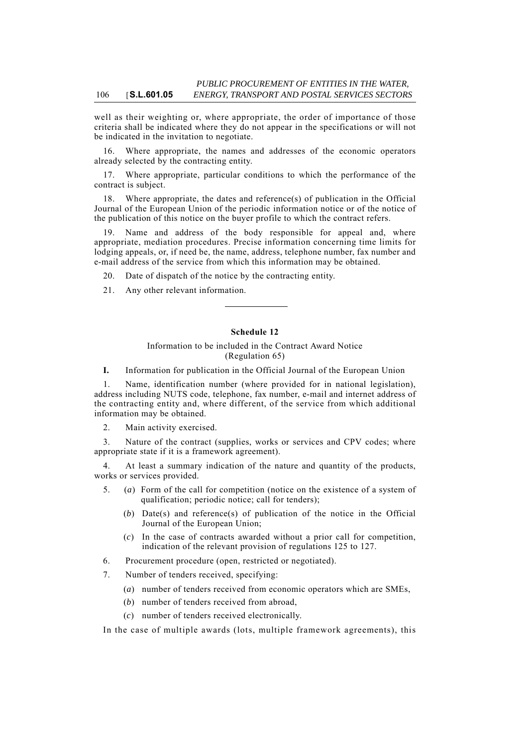well as their weighting or, where appropriate, the order of importance of those criteria shall be indicated where they do not appear in the specifications or will not be indicated in the invitation to negotiate.

16. Where appropriate, the names and addresses of the economic operators already selected by the contracting entity.

17. Where appropriate, particular conditions to which the performance of the contract is subject.

18. Where appropriate, the dates and reference(s) of publication in the Official Journal of the European Union of the periodic information notice or of the notice of the publication of this notice on the buyer profile to which the contract refers.

19. Name and address of the body responsible for appeal and, where appropriate, mediation procedures. Precise information concerning time limits for lodging appeals, or, if need be, the name, address, telephone number, fax number and e-mail address of the service from which this information may be obtained.

20. Date of dispatch of the notice by the contracting entity.

21. Any other relevant information.

# **Schedule 12**

## Information to be included in the Contract Award Notice (Regulation 65)

**I.** Information for publication in the Official Journal of the European Union

1. Name, identification number (where provided for in national legislation), address including NUTS code, telephone, fax number, e-mail and internet address of the contracting entity and, where different, of the service from which additional information may be obtained.

2. Main activity exercised.

3. Nature of the contract (supplies, works or services and CPV codes; where appropriate state if it is a framework agreement).

At least a summary indication of the nature and quantity of the products, works or services provided.

- 5. (*a*) Form of the call for competition (notice on the existence of a system of qualification; periodic notice; call for tenders);
	- (*b*) Date(s) and reference(s) of publication of the notice in the Official Journal of the European Union;
	- (*c*) In the case of contracts awarded without a prior call for competition, indication of the relevant provision of regulations 125 to 127.
- 6. Procurement procedure (open, restricted or negotiated).
- 7. Number of tenders received, specifying:
	- (*a*) number of tenders received from economic operators which are SMEs,
	- (*b*) number of tenders received from abroad,
	- (*c*) number of tenders received electronically.

In the case of multiple awards (lots, multiple framework agreements), this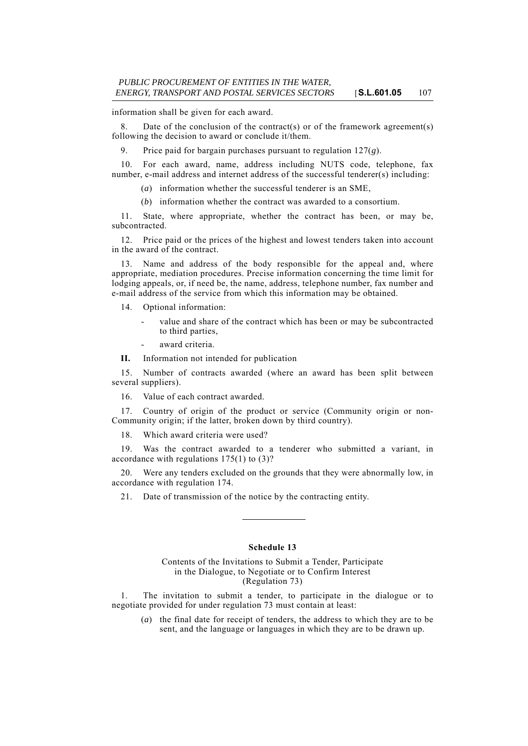information shall be given for each award.

8. Date of the conclusion of the contract(s) or of the framework agreement(s) following the decision to award or conclude it/them.

9. Price paid for bargain purchases pursuant to regulation 127(*g*).

10. For each award, name, address including NUTS code, telephone, fax number, e-mail address and internet address of the successful tenderer(s) including:

(*a*) information whether the successful tenderer is an SME,

(*b*) information whether the contract was awarded to a consortium.

11. State, where appropriate, whether the contract has been, or may be, subcontracted.

12. Price paid or the prices of the highest and lowest tenders taken into account in the award of the contract.

13. Name and address of the body responsible for the appeal and, where appropriate, mediation procedures. Precise information concerning the time limit for lodging appeals, or, if need be, the name, address, telephone number, fax number and e-mail address of the service from which this information may be obtained.

14. Optional information:

- value and share of the contract which has been or may be subcontracted to third parties,
- award criteria.

**II.** Information not intended for publication

15. Number of contracts awarded (where an award has been split between several suppliers).

16. Value of each contract awarded.

17. Country of origin of the product or service (Community origin or non-Community origin; if the latter, broken down by third country).

18. Which award criteria were used?

19. Was the contract awarded to a tenderer who submitted a variant, in accordance with regulations 175(1) to (3)?

20. Were any tenders excluded on the grounds that they were abnormally low, in accordance with regulation 174.

21. Date of transmission of the notice by the contracting entity.

### **Schedule 13**

### Contents of the Invitations to Submit a Tender, Participate in the Dialogue, to Negotiate or to Confirm Interest (Regulation 73)

1. The invitation to submit a tender, to participate in the dialogue or to negotiate provided for under regulation 73 must contain at least:

(*a*) the final date for receipt of tenders, the address to which they are to be sent, and the language or languages in which they are to be drawn up.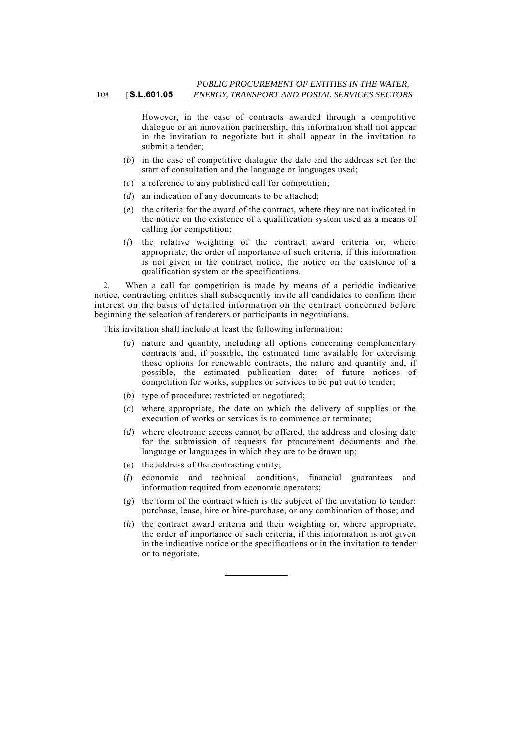However, in the case of contracts awarded through a competitive dialogue or an innovation partnership, this information shall not appear in the invitation to negotiate but it shall appear in the invitation to submit a tender;

- (*b*) in the case of competitive dialogue the date and the address set for the start of consultation and the language or languages used;
- (*c*) a reference to any published call for competition;
- (*d*) an indication of any documents to be attached;
- (*e*) the criteria for the award of the contract, where they are not indicated in the notice on the existence of a qualification system used as a means of calling for competition;
- (*f*) the relative weighting of the contract award criteria or, where appropriate, the order of importance of such criteria, if this information is not given in the contract notice, the notice on the existence of a qualification system or the specifications.

2. When a call for competition is made by means of a periodic indicative notice, contracting entities shall subsequently invite all candidates to confirm their interest on the basis of detailed information on the contract concerned before beginning the selection of tenderers or participants in negotiations.

This invitation shall include at least the following information:

- (*a*) nature and quantity, including all options concerning complementary contracts and, if possible, the estimated time available for exercising those options for renewable contracts, the nature and quantity and, if possible, the estimated publication dates of future notices of competition for works, supplies or services to be put out to tender;
- (*b*) type of procedure: restricted or negotiated;
- (*c*) where appropriate, the date on which the delivery of supplies or the execution of works or services is to commence or terminate;
- (*d*) where electronic access cannot be offered, the address and closing date for the submission of requests for procurement documents and the language or languages in which they are to be drawn up;
- (*e*) the address of the contracting entity;
- (*f*) economic and technical conditions, financial guarantees and information required from economic operators;
- (*g*) the form of the contract which is the subject of the invitation to tender: purchase, lease, hire or hire-purchase, or any combination of those; and
- (*h*) the contract award criteria and their weighting or, where appropriate, the order of importance of such criteria, if this information is not given in the indicative notice or the specifications or in the invitation to tender or to negotiate.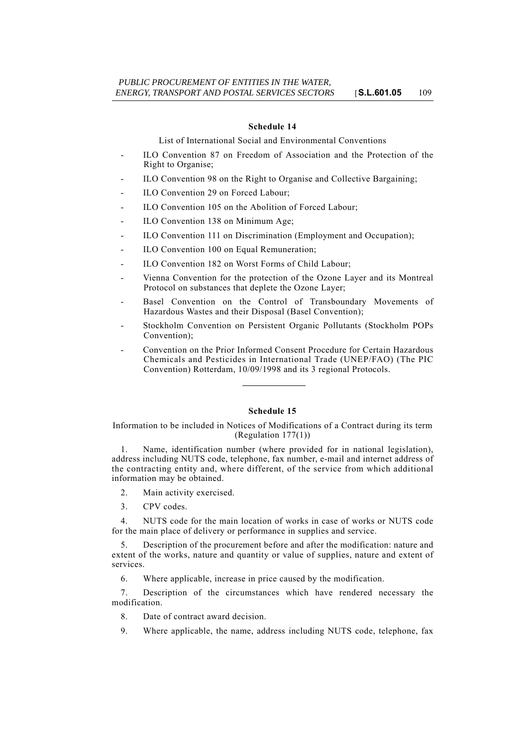#### **Schedule 14**

List of International Social and Environmental Conventions

- ILO Convention 87 on Freedom of Association and the Protection of the Right to Organise;
- ILO Convention 98 on the Right to Organise and Collective Bargaining;
- ILO Convention 29 on Forced Labour;
- ILO Convention 105 on the Abolition of Forced Labour;
- ILO Convention 138 on Minimum Age:
- ILO Convention 111 on Discrimination (Employment and Occupation);
- ILO Convention 100 on Equal Remuneration;
- ILO Convention 182 on Worst Forms of Child Labour;
- Vienna Convention for the protection of the Ozone Layer and its Montreal Protocol on substances that deplete the Ozone Layer;
- Basel Convention on the Control of Transboundary Movements of Hazardous Wastes and their Disposal (Basel Convention);
- Stockholm Convention on Persistent Organic Pollutants (Stockholm POPs Convention);
- Convention on the Prior Informed Consent Procedure for Certain Hazardous Chemicals and Pesticides in International Trade (UNEP/FAO) (The PIC Convention) Rotterdam, 10/09/1998 and its 3 regional Protocols.

### **Schedule 15**

Information to be included in Notices of Modifications of a Contract during its term (Regulation 177(1))

1. Name, identification number (where provided for in national legislation), address including NUTS code, telephone, fax number, e-mail and internet address of the contracting entity and, where different, of the service from which additional information may be obtained.

- 2. Main activity exercised.
- 3. CPV codes.

4. NUTS code for the main location of works in case of works or NUTS code for the main place of delivery or performance in supplies and service.

5. Description of the procurement before and after the modification: nature and extent of the works, nature and quantity or value of supplies, nature and extent of services.

6. Where applicable, increase in price caused by the modification.

7. Description of the circumstances which have rendered necessary the modification.

- 8. Date of contract award decision.
- 9. Where applicable, the name, address including NUTS code, telephone, fax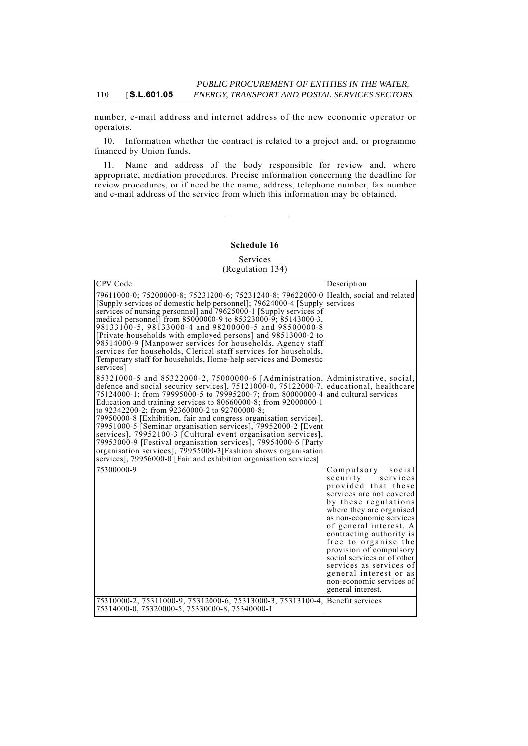number, e-mail address and internet address of the new economic operator or operators.

10. Information whether the contract is related to a project and, or programme financed by Union funds.

11. Name and address of the body responsible for review and, where appropriate, mediation procedures. Precise information concerning the deadline for review procedures, or if need be the name, address, telephone number, fax number and e-mail address of the service from which this information may be obtained.

## **Schedule 16**

Services

(Regulation 134)

| CPV Code                                                                                                                                                                                                                                                                                                                                                                                                                                                                                                                                                                                                                                                                                                                                                                        | Description                                                                                                                                                                                                                                                                                                                                                                                                                   |
|---------------------------------------------------------------------------------------------------------------------------------------------------------------------------------------------------------------------------------------------------------------------------------------------------------------------------------------------------------------------------------------------------------------------------------------------------------------------------------------------------------------------------------------------------------------------------------------------------------------------------------------------------------------------------------------------------------------------------------------------------------------------------------|-------------------------------------------------------------------------------------------------------------------------------------------------------------------------------------------------------------------------------------------------------------------------------------------------------------------------------------------------------------------------------------------------------------------------------|
| 79611000-0; 75200000-8; 75231200-6; 75231240-8; 79622000-0 Health, social and related<br>[Supply services of domestic help personnel]; 79624000-4 [Supply services]<br>services of nursing personnel] and 79625000-1 [Supply services of<br>medical personnell from 85000000-9 to 85323000-9; 85143000-3,<br>98133100-5, 98133000-4 and 98200000-5 and 98500000-8<br>[Private households with employed persons] and 98513000-2 to<br>98514000-9 [Manpower services for households, Agency staff<br>services for households, Clerical staff services for households,<br>Temporary staff for households, Home-help services and Domestic<br>services]                                                                                                                             |                                                                                                                                                                                                                                                                                                                                                                                                                               |
| 85321000-5 and 85322000-2, 75000000-6 [Administration, Administrative, social,<br>defence and social security services], $75121000-0$ , $75122000-7$ , educational, healthcare<br>75124000-1; from 79995000-5 to 79995200-7; from 80000000-4<br>Education and training services to 80660000-8; from 92000000-1<br>to 92342200-2; from 92360000-2 to 92700000-8;<br>79950000-8 [Exhibition, fair and congress organisation services],<br>79951000-5 [Seminar organisation services], 79952000-2 [Event]<br>services], 79952100-3 [Cultural event organisation services],<br>79953000-9 [Festival organisation services], 79954000-6 [Party<br>organisation services], 79955000-3[Fashion shows organisation<br>services], 79956000-0 [Fair and exhibition organisation services] | and cultural services                                                                                                                                                                                                                                                                                                                                                                                                         |
| 75300000-9                                                                                                                                                                                                                                                                                                                                                                                                                                                                                                                                                                                                                                                                                                                                                                      | Compulsory<br>social<br>security<br>services<br>provided that these<br>services are not covered<br>by these regulations<br>where they are organised<br>as non-economic services<br>of general interest. A<br>contracting authority is<br>free to organise the<br>provision of compulsory<br>social services or of other<br>services as services of<br>general interest or as<br>non-economic services of<br>general interest. |
| 75310000-2, 75311000-9, 75312000-6, 75313000-3, 75313100-4, Benefit services<br>75314000-0, 75320000-5, 75330000-8, 75340000-1                                                                                                                                                                                                                                                                                                                                                                                                                                                                                                                                                                                                                                                  |                                                                                                                                                                                                                                                                                                                                                                                                                               |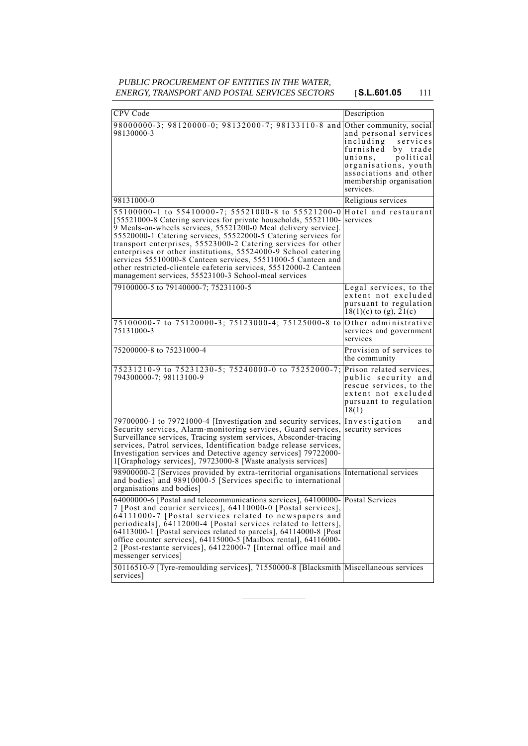# *PUBLIC PROCUREMENT OF ENTITIES IN THE WATER, ENERGY, TRANSPORT AND POSTAL SERVICES SECTORS* [**S.L.601.05** 111

| CPV Code                                                                                                                                                                                                                                                                                                                                                                                                                                                                                                                                                                                 | Description                                                                                                                                                                            |
|------------------------------------------------------------------------------------------------------------------------------------------------------------------------------------------------------------------------------------------------------------------------------------------------------------------------------------------------------------------------------------------------------------------------------------------------------------------------------------------------------------------------------------------------------------------------------------------|----------------------------------------------------------------------------------------------------------------------------------------------------------------------------------------|
| 98000000-3; 98120000-0; 98132000-7; 98133110-8 and Other community, social<br>98130000-3                                                                                                                                                                                                                                                                                                                                                                                                                                                                                                 | and personal services<br>including<br>services<br>furnished by trade<br>unions,<br>political<br>organisations, youth<br>associations and other<br>membership organisation<br>services. |
| 98131000-0                                                                                                                                                                                                                                                                                                                                                                                                                                                                                                                                                                               | Religious services                                                                                                                                                                     |
| 55100000-1 to 55410000-7; 55521000-8 to 55521200-0<br>[55521000-8 Catering services for private households, 55521100-<br>9 Meals-on-wheels services, 55521200-0 Meal delivery service].<br>55520000-1 Catering services, 55522000-5 Catering services for<br>transport enterprises, 55523000-2 Catering services for other<br>enterprises or other institutions, 55524000-9 School catering<br>services 55510000-8 Canteen services, 55511000-5 Canteen and<br>other restricted-clientele cafeteria services, 55512000-2 Canteen<br>management services, 55523100-3 School-meal services | Hotel and restaurant<br>services                                                                                                                                                       |
| 79100000-5 to 79140000-7; 75231100-5                                                                                                                                                                                                                                                                                                                                                                                                                                                                                                                                                     | Legal services, to the<br>extent not excluded<br>pursuant to regulation<br>$18(1)(c)$ to (g), $21(c)$                                                                                  |
| 75100000-7 to 75120000-3; 75123000-4; 75125000-8 to Other administrative<br>75131000-3                                                                                                                                                                                                                                                                                                                                                                                                                                                                                                   | services and government<br>services                                                                                                                                                    |
| 75200000-8 to 75231000-4                                                                                                                                                                                                                                                                                                                                                                                                                                                                                                                                                                 | Provision of services to<br>the community                                                                                                                                              |
| 75231210-9 to 75231230-5; 75240000-0 to 75252000-7;<br>794300000-7; 98113100-9                                                                                                                                                                                                                                                                                                                                                                                                                                                                                                           | Prison related services,<br>public security and<br>rescue services, to the<br>extent not excluded<br>pursuant to regulation<br>18(1)                                                   |
| 79700000-1 to 79721000-4 [Investigation and security services,<br>Security services, Alarm-monitoring services, Guard services, security services<br>Surveillance services, Tracing system services, Absconder-tracing<br>services, Patrol services, Identification badge release services,<br>Investigation services and Detective agency services] 79722000-<br>1[Graphology services], 79723000-8 [Waste analysis services]                                                                                                                                                           | Investigation<br>and                                                                                                                                                                   |
| 98900000-2 [Services provided by extra-territorial organisations International services<br>and bodies] and 98910000-5 [Services specific to international<br>organisations and bodies]                                                                                                                                                                                                                                                                                                                                                                                                   |                                                                                                                                                                                        |
| 64000000-6 [Postal and telecommunications services], 64100000- Postal Services<br>7 [Post and courier services], 64110000-0 [Postal services],<br>64111000-7 [Postal services related to newspapers and<br>periodicals], 64112000-4 [Postal services related to letters],<br>64113000-1 [Postal services related to parcels], 64114000-8 [Post<br>office counter services], 64115000-5 [Mailbox rental], 64116000-<br>2 [Post-restante services], 64122000-7 [Internal office mail and<br>messenger services]                                                                            |                                                                                                                                                                                        |
| 50116510-9 [Tyre-remoulding services], 71550000-8 [Blacksmith Miscellaneous services<br>services]                                                                                                                                                                                                                                                                                                                                                                                                                                                                                        |                                                                                                                                                                                        |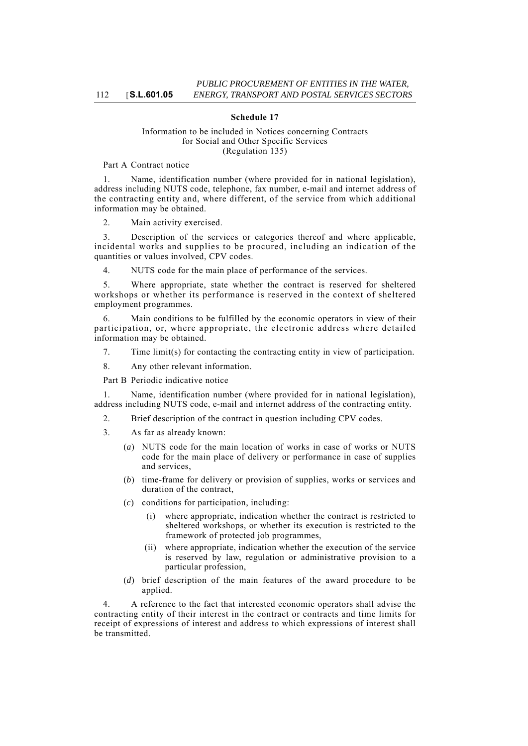## **Schedule 17**

## Information to be included in Notices concerning Contracts for Social and Other Specific Services (Regulation 135)

## Part A Contract notice

Name, identification number (where provided for in national legislation), address including NUTS code, telephone, fax number, e-mail and internet address of the contracting entity and, where different, of the service from which additional information may be obtained.

2. Main activity exercised.

3. Description of the services or categories thereof and where applicable, incidental works and supplies to be procured, including an indication of the quantities or values involved, CPV codes.

4. NUTS code for the main place of performance of the services.

5. Where appropriate, state whether the contract is reserved for sheltered workshops or whether its performance is reserved in the context of sheltered employment programmes.

6. Main conditions to be fulfilled by the economic operators in view of their participation, or, where appropriate, the electronic address where detailed information may be obtained.

7. Time limit(s) for contacting the contracting entity in view of participation.

8. Any other relevant information.

Part B Periodic indicative notice

1. Name, identification number (where provided for in national legislation), address including NUTS code, e-mail and internet address of the contracting entity.

- 2. Brief description of the contract in question including CPV codes.
- 3. As far as already known:
	- (*a*) NUTS code for the main location of works in case of works or NUTS code for the main place of delivery or performance in case of supplies and services,
	- (*b*) time-frame for delivery or provision of supplies, works or services and duration of the contract,
	- (*c*) conditions for participation, including:
		- (i) where appropriate, indication whether the contract is restricted to sheltered workshops, or whether its execution is restricted to the framework of protected job programmes,
		- (ii) where appropriate, indication whether the execution of the service is reserved by law, regulation or administrative provision to a particular profession,
	- (*d*) brief description of the main features of the award procedure to be applied.

4. A reference to the fact that interested economic operators shall advise the contracting entity of their interest in the contract or contracts and time limits for receipt of expressions of interest and address to which expressions of interest shall be transmitted.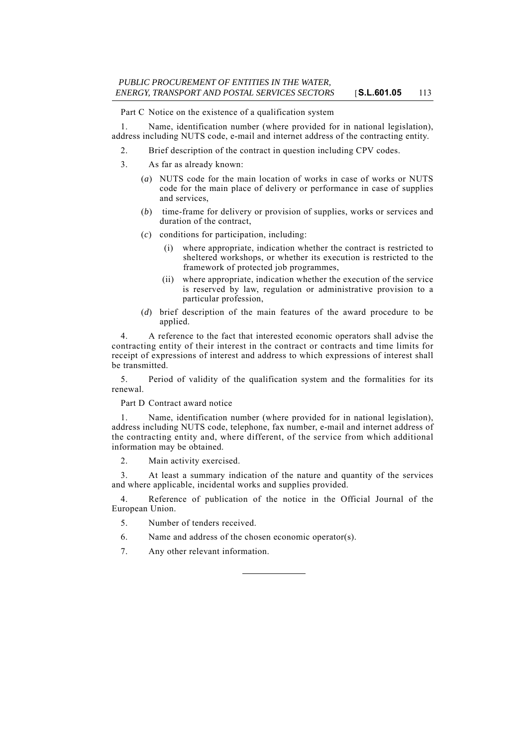Part C Notice on the existence of a qualification system

1. Name, identification number (where provided for in national legislation), address including NUTS code, e-mail and internet address of the contracting entity.

2. Brief description of the contract in question including CPV codes.

- 3. As far as already known:
	- (*a*) NUTS code for the main location of works in case of works or NUTS code for the main place of delivery or performance in case of supplies and services,
	- (*b*) time-frame for delivery or provision of supplies, works or services and duration of the contract,
	- (*c*) conditions for participation, including:
		- (i) where appropriate, indication whether the contract is restricted to sheltered workshops, or whether its execution is restricted to the framework of protected job programmes,
		- (ii) where appropriate, indication whether the execution of the service is reserved by law, regulation or administrative provision to a particular profession,
	- (*d*) brief description of the main features of the award procedure to be applied.

4. A reference to the fact that interested economic operators shall advise the contracting entity of their interest in the contract or contracts and time limits for receipt of expressions of interest and address to which expressions of interest shall be transmitted.

5. Period of validity of the qualification system and the formalities for its renewal.

Part D Contract award notice

1. Name, identification number (where provided for in national legislation), address including NUTS code, telephone, fax number, e-mail and internet address of the contracting entity and, where different, of the service from which additional information may be obtained.

2. Main activity exercised.

3. At least a summary indication of the nature and quantity of the services and where applicable, incidental works and supplies provided.

4. Reference of publication of the notice in the Official Journal of the European Union.

- 5. Number of tenders received.
- 6. Name and address of the chosen economic operator(s).
- 7. Any other relevant information.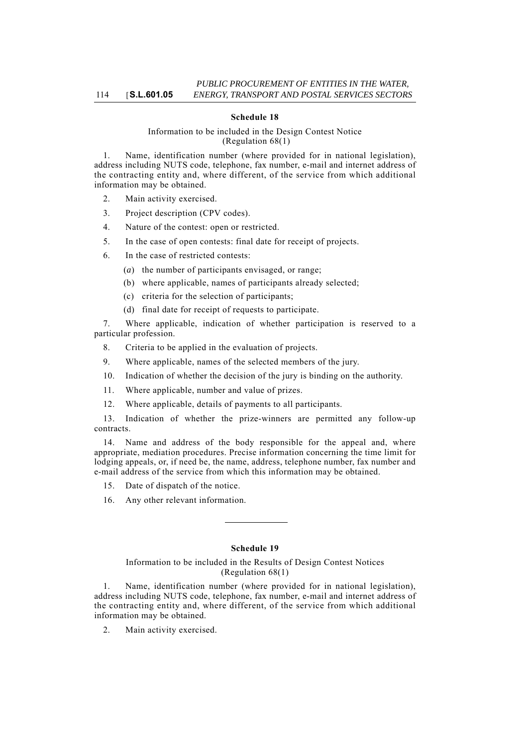## **Schedule 18**

## Information to be included in the Design Contest Notice (Regulation 68(1)

1. Name, identification number (where provided for in national legislation), address including NUTS code, telephone, fax number, e-mail and internet address of the contracting entity and, where different, of the service from which additional information may be obtained.

- 2. Main activity exercised.
- 3. Project description (CPV codes).
- 4. Nature of the contest: open or restricted.
- 5. In the case of open contests: final date for receipt of projects.
- 6. In the case of restricted contests:
	- (*a*) the number of participants envisaged, or range;
	- (b) where applicable, names of participants already selected;
	- (c) criteria for the selection of participants;
	- (d) final date for receipt of requests to participate.

7. Where applicable, indication of whether participation is reserved to a particular profession.

- 8. Criteria to be applied in the evaluation of projects.
- 9. Where applicable, names of the selected members of the jury.
- 10. Indication of whether the decision of the jury is binding on the authority.
- 11. Where applicable, number and value of prizes.
- 12. Where applicable, details of payments to all participants.

13. Indication of whether the prize-winners are permitted any follow-up contracts.

14. Name and address of the body responsible for the appeal and, where appropriate, mediation procedures. Precise information concerning the time limit for lodging appeals, or, if need be, the name, address, telephone number, fax number and e-mail address of the service from which this information may be obtained.

- 15. Date of dispatch of the notice.
- 16. Any other relevant information.

## **Schedule 19**

#### Information to be included in the Results of Design Contest Notices (Regulation 68(1)

1. Name, identification number (where provided for in national legislation), address including NUTS code, telephone, fax number, e-mail and internet address of the contracting entity and, where different, of the service from which additional information may be obtained.

2. Main activity exercised.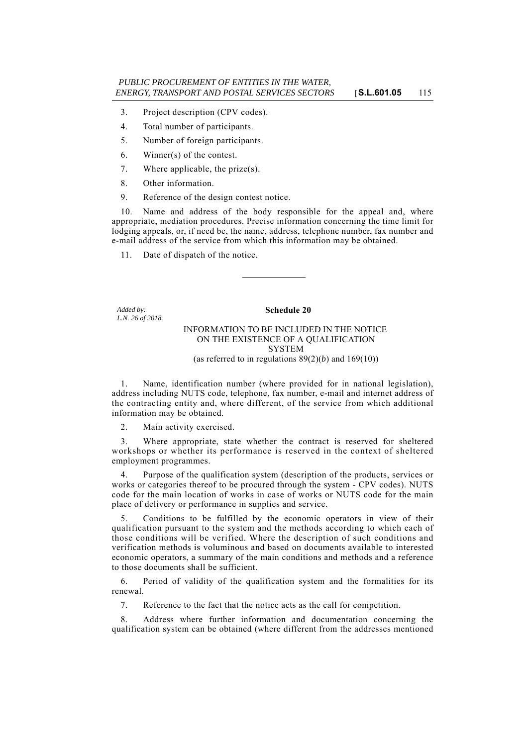- 3. Project description (CPV codes).
- 4. Total number of participants.
- 5. Number of foreign participants.
- 6. Winner(s) of the contest.
- 7. Where applicable, the prize(s).
- 8. Other information.
- 9. Reference of the design contest notice.

10. Name and address of the body responsible for the appeal and, where appropriate, mediation procedures. Precise information concerning the time limit for lodging appeals, or, if need be, the name, address, telephone number, fax number and e-mail address of the service from which this information may be obtained.

11. Date of dispatch of the notice.

*Added by: L.N. 26 of 2018.*

## **Schedule 20**

## INFORMATION TO BE INCLUDED IN THE NOTICE ON THE EXISTENCE OF A QUALIFICATION SYSTEM (as referred to in regulations  $89(2)(b)$  and  $169(10)$ )

1. Name, identification number (where provided for in national legislation), address including NUTS code, telephone, fax number, e-mail and internet address of the contracting entity and, where different, of the service from which additional information may be obtained.

2. Main activity exercised.

3. Where appropriate, state whether the contract is reserved for sheltered workshops or whether its performance is reserved in the context of sheltered employment programmes.

4. Purpose of the qualification system (description of the products, services or works or categories thereof to be procured through the system - CPV codes). NUTS code for the main location of works in case of works or NUTS code for the main place of delivery or performance in supplies and service.

5. Conditions to be fulfilled by the economic operators in view of their qualification pursuant to the system and the methods according to which each of those conditions will be verified. Where the description of such conditions and verification methods is voluminous and based on documents available to interested economic operators, a summary of the main conditions and methods and a reference to those documents shall be sufficient.

6. Period of validity of the qualification system and the formalities for its renewal.

7. Reference to the fact that the notice acts as the call for competition.

8. Address where further information and documentation concerning the qualification system can be obtained (where different from the addresses mentioned